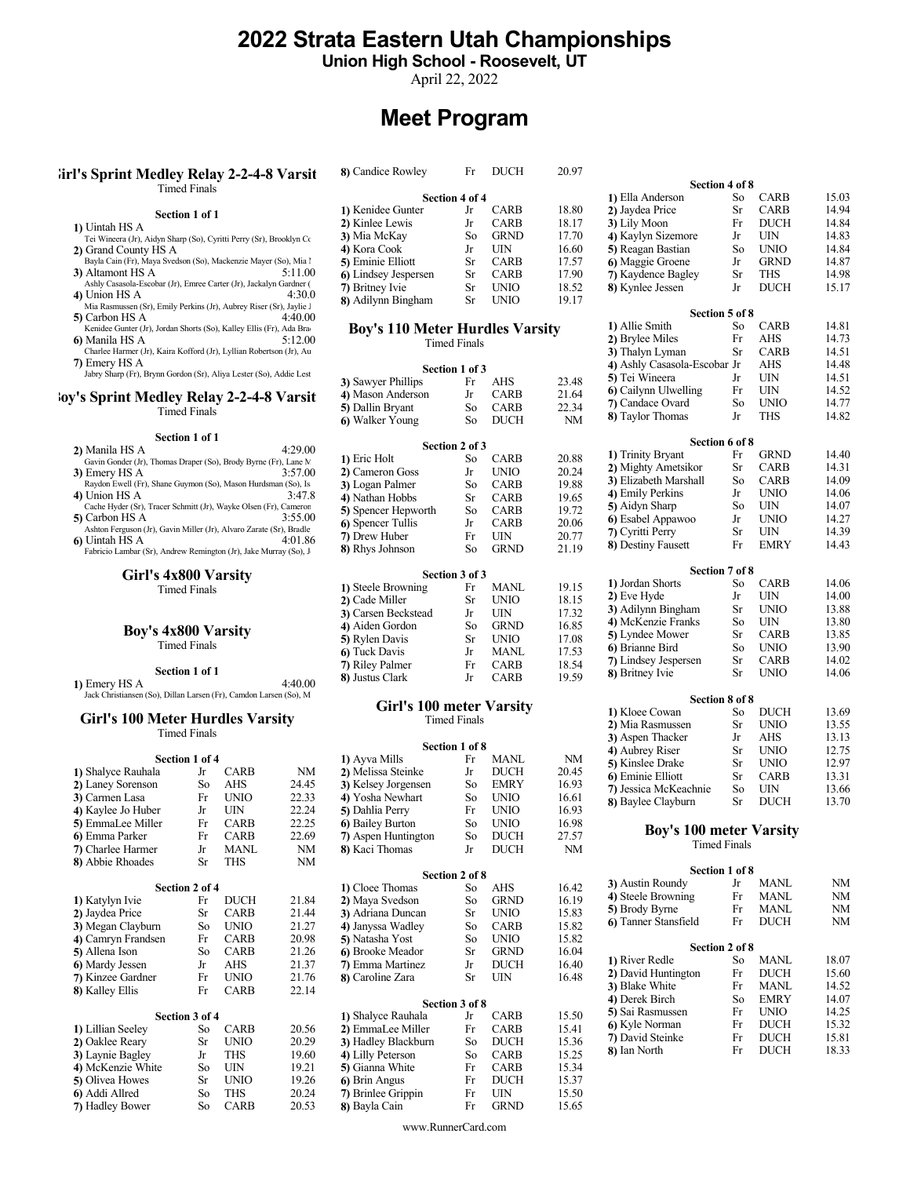## 2022 Strata Eastern Utah Championships

Union High School - Roosevelt, UT

April 22, 2022

## Meet Program

#### $Girl's$  Sprint Medley Relay 2-2-4-8 Varsit 8) Candice Rowley Fr DUCH 20.97 Timed Finals

#### Section 1 of 1

- 1) Uintah HS A
- Tei Wineera (Jr), Aidyn Sharp (So), Cyritti Perry (Sr), Brooklyn Co 2) Grand County HS A
- Bayla Cain (Fr), Maya Svedson (So), Mackenzie Mayer (So), Mia l 3) Altamont HS A 5:11.00
- Ashly Casasola-Escobar (Jr), Emree Carter (Jr), Jackalyn Gardner (Jr), Union HS A  $4$ ) Union HS A
- Mia Rasmussen (Sr), Emily Perkins (Jr), Aubrey Riser (Sr), Jaylie J<br>Carbon HS A  $4:40.00\,$ 5) Carbon HS A
- Kenidee Gunter (Jr), Jordan Shorts (So), Kalley Ellis (Fr), Ada Bra<br>Manila HS A (Sol) 6) Manila HS A
- Charlee Harmer (Jr), Kaira Kofford (Jr), Lyllian Robertson (Jr), Au 7) Emery HS A
- Jabry Sharp (Fr), Brynn Gordon (Sr), Aliya Lester (So), Addie Lest

#### loy's Sprint Medley Relay 2-2-4-8 Varsit Timed Finals

## Section 1 of 1

| 41 іманна п.э. А<br>1) Eric Holt<br>So<br>Gavin Gonder (Jr), Thomas Draper (So), Brody Byrne (Fr), Lane M.              | <b>CARB</b> |
|-------------------------------------------------------------------------------------------------------------------------|-------------|
|                                                                                                                         |             |
| 2) Cameron Goss<br>3:57.00<br>Jr<br>3) Emery HS A                                                                       | <b>UNIO</b> |
| Raydon Ewell (Fr), Shane Guymon (So), Mason Hurdsman (So), Is<br>3) Logan Palmer<br>So                                  | CARB        |
| 3:47.8<br>4) Union HS A<br>4) Nathan Hobbs<br>Sr                                                                        | CARB        |
| Cache Hyder (Sr), Tracer Schmitt (Jr), Wayke Olsen (Fr), Cameron<br>5) Spencer Hepworth<br>So                           | CARB        |
| 5) Carbon HS A<br>3:55.00<br>6) Spencer Tullis<br>Jr                                                                    | <b>CARB</b> |
| Ashton Ferguson (Jr), Gavin Miller (Jr), Alvaro Zarate (Sr), Bradle<br>7) Drew Huber<br>Fr<br>6) Uintah HS A<br>4:01.86 | UIN         |
| 8) Rhys Johnson<br>So<br>Fabricio Lambar (Sr), Andrew Remington (Jr), Jake Murray (So), J                               | <b>GRND</b> |
|                                                                                                                         |             |

#### Girl's 4x800 Varsity Timed Finals

## Boy's 4x800 Varsity

Timed Finals

Section 1 of 1  $\begin{pmatrix} 1 & 0 \\ 4:40.00 & 8 \end{pmatrix}$ 1) Emery HS A 4:40.00 (3) AUSTAL AND 4:40.00 (3) AUSTAL AND Just Chain Steven (So), Dillan Larsen (Fr), Camdon Larsen (So), M

#### Girl's 100 Meter Hurdles Varsity Timed Finals

|                    |           |             |       |                     |                |             |       | 4) Aubrey Riser                | Ыr                  | UNIO        | 12.75 |
|--------------------|-----------|-------------|-------|---------------------|----------------|-------------|-------|--------------------------------|---------------------|-------------|-------|
| Section 1 of 4     |           |             |       | 1) Ayva Mills       | Fr             | <b>MANL</b> | NM    | 5) Kinslee Drake               | <b>Sr</b>           | <b>UNIO</b> | 12.97 |
| 1) Shalyce Rauhala | Jr        | <b>CARB</b> | NM    | 2) Melissa Steinke  | Jr             | DUCH        | 20.45 | 6) Eminie Elliott              | <b>Sr</b>           | CARB        | 13.31 |
| 2) Laney Sorenson  | So        | AHS         | 24.45 | 3) Kelsey Jorgensen | So             | <b>EMRY</b> | 16.93 | 7) Jessica McKeachnie          | So                  | <b>UIN</b>  | 13.66 |
| 3) Carmen Lasa     | Fr        | <b>UNIO</b> | 22.33 | 4) Yosha Newhart    | So             | <b>UNIO</b> | 16.61 | 8) Baylee Clayburn             | <b>Sr</b>           | <b>DUCH</b> | 13.70 |
| 4) Kaylee Jo Huber | Jr        | <b>UIN</b>  | 22.24 | 5) Dahlia Perry     | Fr             | <b>UNIO</b> | 16.93 |                                |                     |             |       |
| 5) EmmaLee Miller  | Fr        | <b>CARB</b> | 22.25 | 6) Bailey Burton    | So             | <b>UNIO</b> | 16.98 |                                |                     |             |       |
| 6) Emma Parker     | Fr        | <b>CARB</b> | 22.69 | 7) Aspen Huntington | So             | <b>DUCH</b> | 27.57 | <b>Boy's 100 meter Varsity</b> |                     |             |       |
| 7) Charlee Harmer  | Jr        | <b>MANL</b> | NM    | 8) Kaci Thomas      | Jr             | <b>DUCH</b> | NM    |                                | <b>Timed Finals</b> |             |       |
| 8) Abbie Rhoades   | <b>Sr</b> | <b>THS</b>  | NM    |                     |                |             |       |                                |                     |             |       |
|                    |           |             |       |                     | Section 2 of 8 |             |       |                                | Section 1 of 8      |             |       |
| Section 2 of 4     |           |             |       | 1) Cloee Thomas     | So             | AHS         | 16.42 | 3) Austin Roundy               | Jr                  | <b>MANL</b> | NM    |
| 1) Katylyn Ivie    | Fr        | <b>DUCH</b> | 21.84 | 2) Maya Svedson     | So             | <b>GRND</b> | 16.19 | 4) Steele Browning             | Fr                  | <b>MANL</b> | NM    |
| 2) Jaydea Price    | Sr        | <b>CARB</b> | 21.44 | 3) Adriana Duncan   | Sr             | <b>UNIO</b> | 15.83 | 5) Brody Byrne                 | Fr                  | <b>MANL</b> | NM    |
| 3) Megan Clayburn  | So        | <b>UNIO</b> | 21.27 | 4) Janyssa Wadley   | So             | <b>CARB</b> | 15.82 | 6) Tanner Stansfield           | Fr                  | <b>DUCH</b> | NM    |
| 4) Camryn Frandsen | Fr        | <b>CARB</b> | 20.98 | 5) Natasha Yost     | So             | <b>UNIO</b> | 15.82 |                                |                     |             |       |
| 5) Allena Ison     | So        | <b>CARB</b> | 21.26 | 6) Brooke Meador    | Sr             | <b>GRND</b> | 16.04 |                                | Section 2 of 8      |             |       |
| 6) Mardy Jessen    | Jr        | AHS         | 21.37 | 7) Emma Martinez    | Jr             | <b>DUCH</b> | 16.40 | 1) River Redle                 | So                  | <b>MANL</b> | 18.07 |
| 7) Kinzee Gardner  | Fr        | <b>UNIO</b> | 21.76 | 8) Caroline Zara    | Sr             | <b>UIN</b>  | 16.48 | 2) David Huntington            | Fr                  | <b>DUCH</b> | 15.60 |
| 8) Kalley Ellis    | Fr        | <b>CARB</b> | 22.14 |                     |                |             |       | 3) Blake White                 | Fr                  | <b>MANL</b> | 14.52 |
|                    |           |             |       |                     | Section 3 of 8 |             |       | 4) Derek Birch                 | So                  | <b>EMRY</b> | 14.07 |
| Section 3 of 4     |           |             |       | 1) Shalyce Rauhala  | Jr             | CARB        | 15.50 | 5) Sai Rasmussen               | Fr                  | <b>UNIO</b> | 14.25 |
| 1) Lillian Seeley  | So        | <b>CARB</b> | 20.56 | 2) EmmaLee Miller   | Fr             | <b>CARB</b> | 15.41 | 6) Kyle Norman                 | Fr                  | <b>DUCH</b> | 15.32 |
| 2) Oaklee Reary    | Sr        | <b>UNIO</b> | 20.29 | 3) Hadley Blackburn | So             | <b>DUCH</b> | 15.36 | 7) David Steinke               | Fr                  | <b>DUCH</b> | 15.81 |
| 3) Laynie Bagley   | Jr        | <b>THS</b>  | 19.60 | 4) Lilly Peterson   | So             | <b>CARB</b> | 15.25 | 8) Ian North                   | Fr                  | <b>DUCH</b> | 18.33 |
| 4) McKenzie White  | So        | <b>UIN</b>  | 19.21 | 5) Gianna White     | Fr             | <b>CARB</b> | 15.34 |                                |                     |             |       |
| 5) Olivea Howes    | <b>Sr</b> | <b>UNIO</b> | 19.26 | 6) Brin Angus       | Fr             | <b>DUCH</b> | 15.37 |                                |                     |             |       |
| 6) Addi Allred     | So        | <b>THS</b>  | 20.24 | 7) Brinlee Grippin  | Fr             | UIN         | 15.50 |                                |                     |             |       |
| 7) Hadley Bower    | So        | <b>CARB</b> | 20.53 | 8) Bayla Cain       | Fr             | <b>GRND</b> | 15.65 |                                |                     |             |       |

| 8) Candice Rowley    | Fr             | DUCH        | 20.97 |                    |                |             |       |  |
|----------------------|----------------|-------------|-------|--------------------|----------------|-------------|-------|--|
|                      |                |             |       |                    | Section 4 of 8 |             |       |  |
|                      | Section 4 of 4 |             |       | 1) Ella Anderson   | So             | <b>CARB</b> | 15.03 |  |
| 1) Kenidee Gunter    | Jr             | CARB        | 18.80 | 2) Jaydea Price    | Sr             | <b>CARB</b> | 14.94 |  |
| 2) Kinlee Lewis      | Jr             | CARB        | 18.17 | 3) Lily Moon       | Fr             | DUCH        | 14.84 |  |
| 3) Mia McKay         | So             | <b>GRND</b> | 17.70 | 4) Kaylyn Sizemore | Jr.            | UIN         | 14.83 |  |
| 4) Kora Cook         | Jr             | UIN         | 16.60 | 5) Reagan Bastian  | So             | <b>UNIO</b> | 14.84 |  |
| 5) Eminie Elliott    | Sr             | CARB        | 17.57 | 6) Maggie Groene   | .Jr            | <b>GRND</b> | 14.87 |  |
| 6) Lindsey Jespersen | Sr             | CARB        | 17.90 | 7) Kaydence Bagley | Sr             | THS         | 14.98 |  |
| 7) Britney Ivie      | Sr             | UNIO        | 18.52 | 8) Kynlee Jessen   | Jr             | DUCH        | 15.17 |  |
| 8) Adilynn Bingham   | Sr             | <b>UNIO</b> | 19.17 |                    |                |             |       |  |

#### **Boy's 110 Meter Hurdles Varsity**  $\frac{1}{2}$  Allie Smith So CARB Timed Finals

|                                         |                |             |       | 4) Ashly Casasola-Escobar Jr |    | AHS  | 14.48 |  |
|-----------------------------------------|----------------|-------------|-------|------------------------------|----|------|-------|--|
|                                         | Section 1 of 3 | AHS         | 23.48 | 5) Tei Wineera               |    | UIN  | 14.51 |  |
| 3) Sawyer Phillips<br>4) Mason Anderson |                | CARB        | 21.64 | 6 Cailynn Ulwelling          | Fr | UIN  | 14.52 |  |
| 5) Dallin Bryant                        | So             | CARB        | 22.34 | <b>7)</b> Candace Ovard      | So | UNIO | 14.77 |  |
| 6 Walker Young                          | So             | <b>DUCH</b> | NM    | 8) Taylor Thomas             |    | THS  | 14.82 |  |

| Section 1 of 1                                                                                                                                                                                                                                                                                                                                                                                                            |                                                                                                                                                       |                                                                                                                    |                                                                      | Section 6 of 8                                                                                                                                                        |                                           |                                                                                 |                                                                      |  |  |  |  |
|---------------------------------------------------------------------------------------------------------------------------------------------------------------------------------------------------------------------------------------------------------------------------------------------------------------------------------------------------------------------------------------------------------------------------|-------------------------------------------------------------------------------------------------------------------------------------------------------|--------------------------------------------------------------------------------------------------------------------|----------------------------------------------------------------------|-----------------------------------------------------------------------------------------------------------------------------------------------------------------------|-------------------------------------------|---------------------------------------------------------------------------------|----------------------------------------------------------------------|--|--|--|--|
| 4:29.00<br>2) Manila HS A<br>Gavin Gonder (Jr), Thomas Draper (So), Brody Byrne (Fr), Lane M<br>3:57.00<br>3) Emery HS A<br>Raydon Ewell (Fr), Shane Guymon (So), Mason Hurdsman (So), Is<br>4) Union HS A<br>3:47.8<br>Cache Hyder (Sr), Tracer Schmitt (Jr), Wayke Olsen (Fr), Cameron<br>3:55.00<br>5) Carbon HS A<br>Ashton Ferguson (Jr), Gavin Miller (Jr), Alvaro Zarate (Sr), Bradle<br>6) Uintah HS A<br>4:01.86 | 1) Eric Holt<br>2) Cameron Goss<br>3) Logan Palmer<br>4) Nathan Hobbs<br>5) Spencer Hepworth<br>6) Spencer Tullis<br>7) Drew Huber<br>8) Rhys Johnson | Section 2 of 3<br>CARB<br>So<br>UNIO<br>CARB<br>So<br>CARB<br>Sr<br>CARB<br>So.<br>CARB<br>UIN<br>Fr<br>GRND<br>So | 20.88<br>20.24<br>19.88<br>19.65<br>19.72<br>20.06<br>20.77<br>21.19 | 1) Trinity Bryant<br>2) Mighty Ametsikor<br>3) Elizabeth Marshall<br>4) Emily Perkins<br>5) Aidyn Sharp<br>6 Esabel Appawoo<br>7) Cyritti Perry<br>8) Destiny Fausett | Sr<br>So.<br>Jr<br>So<br>Jr.<br>Sr<br>Fr. | GRND<br><b>CARB</b><br><b>CARB</b><br>UNIO<br>UIN<br>UNIO<br>UIN<br><b>EMRY</b> | 14.40<br>14.31<br>14.09<br>14.06<br>14.07<br>14.27<br>14.39<br>14.43 |  |  |  |  |

|                     | Section 3 of 3 |             |       |                      | Section 7 of 8 |             |  |
|---------------------|----------------|-------------|-------|----------------------|----------------|-------------|--|
| 1) Steele Browning  | Fr             | MANL        | 19.15 | 1) Jordan Shorts     | So.            | <b>CARB</b> |  |
| 2) Cade Miller      | Sr             | <b>UNIO</b> | 18.15 | 2) Eve Hyde          | .Jr            | UIN         |  |
|                     |                |             |       | 3) Adilynn Bingham   | Sr             | <b>UNIO</b> |  |
| 3) Carsen Beckstead | .Jr            | UIN         | 17.32 | 4) McKenzie Franks   | So             | UIN         |  |
| 4) Aiden Gordon     | So             | <b>GRND</b> | 16.85 | 5) Lyndee Mower      | Sr             | <b>CARB</b> |  |
| 5) Rylen Davis      | Sr             | <b>UNIO</b> | 17.08 | 6) Brianne Bird      | So.            | <b>UNIO</b> |  |
| 6) Tuck Davis       | .Jr            | MANL        | 17.53 |                      |                |             |  |
| 7) Riley Palmer     | Fr             | <b>CARB</b> | 18.54 | 7) Lindsey Jespersen | Sr             | <b>CARB</b> |  |
| 8) Justus Clark     | .lr            | CARB        | 19.59 | 8) Britney Ivie      | Sr             | UNIO        |  |

## Timed Finals

|                     | Section 1 of 8 |             |         | JJ ASPUI THAUNU<br>4) Aubrey Riser | IJ<br>Sr            | 711 I.O<br>UNIO |  |
|---------------------|----------------|-------------|---------|------------------------------------|---------------------|-----------------|--|
| 1) Ayva Mills       | Fr             | MANL        | NM      | 5) Kinslee Drake                   | Sr                  | UNIO            |  |
| 2) Melissa Steinke  | Jr             | <b>DUCH</b> | 20.45   | 6) Eminie Elliott                  | Sr                  | <b>CARB</b>     |  |
| 3) Kelsey Jorgensen | So             | <b>EMRY</b> | 16.93   | 7) Jessica McKeachnie              | So                  | UIN             |  |
| 4) Yosha Newhart    | So             | UNIO        | 16.61   | 8) Baylee Clayburn                 | Sr                  | <b>DUCH</b>     |  |
| 5) Dahlia Perry     | Fr             | <b>UNIO</b> | 16.93   |                                    |                     |                 |  |
| 6) Bailey Burton    | So             | <b>UNIO</b> | 16.98   |                                    |                     |                 |  |
| 7) Aspen Huntington | So             | <b>DUCH</b> | 27.57   | <b>Boy's 100 meter Varsity</b>     |                     |                 |  |
| 8) Kaci Thomas      | Jr             | DUCH        | NM      |                                    | <b>Timed Finals</b> |                 |  |
|                     | Section 2 of 8 |             |         | Section 1 of 8                     |                     |                 |  |
| 1) Cloee Thomas     | So             | <b>AHS</b>  | 16.42   | 3) Austin Roundy                   | Jr                  | MANL            |  |
| 2) Maya Svedson     | So             | <b>GRND</b> | 16.19   | 4) Steele Browning                 | Fr                  | MANL            |  |
| 3) Adriana Duncan   | Sr             | UNIO        | 15.83   | 5) Brody Byrne                     | Fr                  | <b>MANL</b>     |  |
| 4) Janyssa Wadley   | So             | CARB        | 15.82   | 6) Tanner Stansfield               | Fr                  | DUCH            |  |
| =\\\T . 1 \TT .     | $\sim$         | T T T       | $1 - 0$ |                                    |                     |                 |  |

# Section 3 of 8<br>la Jr CARB 15.50

#### 8) Adilynn Bingham Sr UNIO 19.17 Section 1 of 3 4) Ashly Casasola-Escobar Jr AHS 14.48 6) Walker Young So DUCH NM 8) Taylor Inomas 5 Jr THS 14.82 Section 2 of 3<br>
So CARB 20.88 1) Trinity Bryant Fr GRND 14.40 2) Cade Miller Sr UNIO  $18.15$  2) EVE Hyde Jr UIN  $14.00$ 3) Carsen Beckstead Jr UIN  $17.32$  3) Adulynn Bingnan Sr UNIV  $13.88$ 4) Aiden Gordon So GRND 16.85 4) McKenzie Franks So UIN 13.80  $5)$  Rylen Davis Sr UNIO  $17.08$   $5)$  Lyndee Mower Sr UNIO  $13.85$ 7) Riley Palmer Fr CARB 18.54 7) Lindsey Jespersen Sr CARB 14.02 8) Justus Clark  $Jr$  CARB 19.59 8) Bruney Ivie Sr UNIO 14. Girl's 100 meter Varsity  $\frac{\text{Section 8 01 8}}{11 \text{ Kloee Cowan}}$ Section 1 of 8  $\overline{4}$  Aubrey Riser Sr UNIO 12.75 1) Ayva Mills Fr MANL NM 5) Kinslee Drake Sr UNIO 12.97 2) Melissa Steinke Jr DUCH  $20.45$  6) Eminie Elliott Sr CARB 13.31  $3)$  Kelsey Jorgensen So EMRY  $16.93$   $7)$  Jessica McKeachnie So UIN  $13.66$ 4) Yosha Newhart So UNIO 16.61 8) Baylee Clayburn Sr DUCH 13.70  $5)$  Dahlia Perry Fr UNIO  $16.93$   $5)$   $50,30,300$   $50,300$   $50,300$ 6) Bailey Burton So UNIO  $16.98$  **D** axis 1.00 motor Manufacture **b**) Balley Burton So UNIO 10.98<br>  $\frac{7}{27.57}$  Boy's 100 meter Varsity 8) Kaci Thomas Jr DUCH NM Section 5 of 8<br>So CARB 14.81 1) Allie Smith 2) Brylee Miles Fr AHS 14.73 3) Thalyn Lyman Sr CARB 14.51<br>4) Ashly Casasola-Escobar Jr AHS 14.48 5) Tei Wineera  $\qquad \qquad$  Jr UIN 14.51<br>6) Cailynn Ulwelling Fr UIN 14.52 7) Candace Ovard So UNIO 14.77<br>
8) Taylor Thomas Jr THS 14.82 8) Taylor Thomas **Section 6 of 8**<br>Fr GRND 14.40 3) Elizabeth Marshall So CARB 14.09 4) Emily Perkins Jr UNIO 14.06<br>5) Aidyn Sharp So UIN 14.07 5) Aidyn Sharp So UIN<br>6) Esabel Appawoo Jr UNIO 6) Esabel Appawoo Jr UNIO 14.27 7) Cyritti Perry Sr UIN 14.39 8) Destiny Fausett Fr EMRY 14.43 Section 7 of 8 1) Jordan Shorts So CARB 14.06<br>
2) Eve Hyde Jr UIN 14.00 2) Eve Hyde Jr UIN 14.00<br>3) Adilynn Bingham Sr UNIO 13.88 3) Adilynn Bingham Sr UNIO 13.88<br>4) McKenzie Franks So UIN 13.80 5) Lyndee Mower Sr CARB 13.85<br>
6) Brianne Bird So UNIO 13.90 6) Brianne Bird So UNIO 13.90<br>
7) Lindsey Jespersen Sr CARB 14.02 8) Britney Ivie Sr UNIO 14.06 Section 8 of 8<br>So DUCH  $13.69$ 1) Kloee Cowan So DUCH 13.69<br>
2) Mia Rasmussen Sr UNIO 13.55 2) Mia Rasmussen Sr UNIO 13.55<br>3) Aspen Thacker Jr AHS 13.13 3) Aspen Thacker Jr AHS 13.13<br>4) Aubrev Riser Sr UNIO 12.75 Timed Finals Section 1 of 8

|                                                                       |                |              |       |                                                     | Section 2 of 8 |       | <b>Secuon</b> 1 of 6 |                |             |           |  |  |
|-----------------------------------------------------------------------|----------------|--------------|-------|-----------------------------------------------------|----------------|-------|----------------------|----------------|-------------|-----------|--|--|
|                                                                       | Section 2 of 4 |              |       | 1) Cloee Thomas                                     | AHS<br>So.     | 16.42 | 3) Austin Roundy     | Jr             | MANL        | <b>NM</b> |  |  |
| 1) Katylyn Ivie                                                       | Fr             | DUCH         | 21.84 | 2) Maya Svedson                                     | So GRND        | 16.19 | 4) Steele Browning   | Fr             | MANL        | <b>NM</b> |  |  |
| 2) Jaydea Price                                                       | Sr             | CARB         | 21.44 | 3) Adriana Duncan                                   | Sr UNIO        | 15.83 | 5) Brody Byrne       | Fr             | MANL        | <b>NM</b> |  |  |
| 3) Megan Clayburn                                                     | So             | UNIO         | 21.27 | 4) Janyssa Wadley                                   | So CARB        | 15.82 | 6) Tanner Stansfield | Fr             | <b>DUCH</b> | <b>NM</b> |  |  |
| 4) Camryn Frandsen                                                    | Fr             | <b>CARB</b>  | 20.98 | 5) Natasha Yost                                     | So UNIO        | 15.82 |                      |                |             |           |  |  |
| 5) Allena Ison                                                        | So             | CARB         | 21.26 | 6) Brooke Meador                                    | GRND           | 16.04 |                      | Section 2 of 8 |             |           |  |  |
| 6) Mardy Jessen                                                       | Jr.            | AHS          | 21.37 | 7) Emma Martinez                                    | DUCH           | 16.40 | 1) River Redle       | So             | MANL        | 18.07     |  |  |
| 7) Kinzee Gardner                                                     | Fr             | UNIO         | 21.76 | 8) Caroline Zara                                    | UIN<br>Sr      | 16.48 | 2) David Huntington  | Fr             | <b>DUCH</b> | 15.60     |  |  |
| 8) Kalley Ellis                                                       | Fr             | CARB         | 22.14 |                                                     |                |       | 3) Blake White       | Fr             | <b>MANL</b> | 14.52     |  |  |
|                                                                       |                |              |       |                                                     | Section 3 of 8 |       | 4) Derek Birch       | So             | <b>EMRY</b> | 14.07     |  |  |
|                                                                       | Section 3 of 4 |              |       | 1) Shalyce Rauhala                                  | CARB           | 15.50 | 5) Sai Rasmussen     | Fr             | <b>UNIO</b> | 14.25     |  |  |
| 1) Lillian Seeley                                                     | So             | CARB         | 20.56 | 2) EmmaLee Miller                                   | Fr CARB        | 15.41 | 6) Kyle Norman       | Fr             | DUCH        | 15.32     |  |  |
| 2) Oaklee Reary                                                       | Sr             | UNIO         | 20.29 | 3) Hadley Blackburn                                 | So DUCH        | 15.36 | 7) David Steinke     | Fr             | <b>DUCH</b> | 15.81     |  |  |
| 3) Laynie Bagley                                                      | Jr             | <b>THS</b>   | 19.60 | 4) Lilly Peterson                                   | So CARB        | 15.25 | 8) Ian North         | Fr             | <b>DUCH</b> | 18.33     |  |  |
| $A$ M $A$ $\sim$ $M$ $\sim$ $\sim$ $\sim$ $\sim$ $\sim$ $\sim$ $\sim$ | $\sim$         | <b>TITAT</b> | 10.21 | $\Gamma$ $\cap$ $\ldots$ $\Gamma$ $\Gamma$ $\ldots$ | CADD           | 1524  |                      |                |             |           |  |  |

www.RunnerCard.com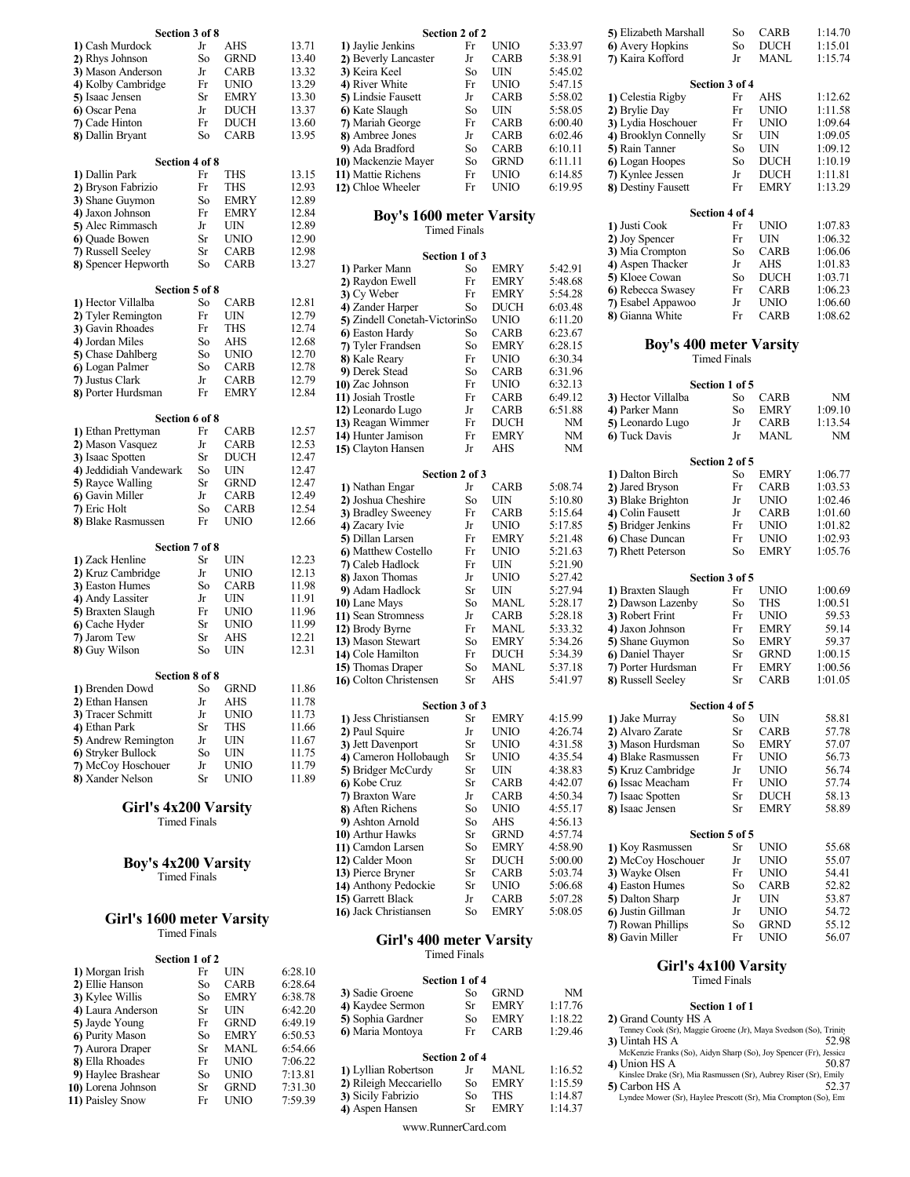| Section 3 of 8                             |          |             |                | Section 2 of 2                          |              |                    |               |
|--------------------------------------------|----------|-------------|----------------|-----------------------------------------|--------------|--------------------|---------------|
| 1) Cash Murdock                            | Jr       | AHS         | 13.71          | 1) Jaylie Jenkins                       | Fr           | UNIO               | 5             |
| 2) Rhys Johnson                            | So       | GRND        | 13.40          | 2) Beverly Lancaster                    | Jr           | CARB               | 5             |
| 3) Mason Anderson                          | Jr       | CARB        | 13.32          | 3) Keira Keel                           | So           | UIN                |               |
| 4) Kolby Cambridge                         | Fr       | UNIO        | 13.29          | 4) River White                          | Fr           | <b>UNIO</b>        | $\frac{1}{2}$ |
| 5) Isaac Jensen                            | Sr       | <b>EMRY</b> | 13.30          | 5) Lindsie Fausett                      | Jr           | <b>CARB</b>        |               |
| 6) Oscar Pena                              | Jr       | <b>DUCH</b> | 13.37          | 6) Kate Slaugh                          | So           | UIN                | $\frac{1}{2}$ |
| 7) Cade Hinton                             | Fr       | <b>DUCH</b> | 13.60          | 7) Mariah George                        | Fr           | <b>CARB</b>        | $\epsilon$    |
| 8) Dallin Bryant                           | So       | <b>CARB</b> | 13.95          | 8) Ambree Jones                         | Jr           | <b>CARB</b>        | $\epsilon$    |
|                                            |          |             |                | 9) Ada Bradford                         | So           | <b>CARB</b>        | $\epsilon$    |
| Section 4 of 8                             |          |             |                | 10) Mackenzie Mayer                     | So           | <b>GRND</b>        | $\epsilon$    |
| 1) Dallin Park                             | Fr       | THS         | 13.15          | 11) Mattie Richens                      | Fr           | UNIO               | $\epsilon$    |
| 2) Bryson Fabrizio                         | Fr       | THS         | 12.93          | 12) Chloe Wheeler                       | Fr           | UNIO               | $\epsilon$    |
| 3) Shane Guymon                            | So       | <b>EMRY</b> | 12.89          |                                         |              |                    |               |
| 4) Jaxon Johnson                           | Fr       | <b>EMRY</b> | 12.84          | <b>Boy's 1600 meter Varsity</b>         |              |                    |               |
| 5) Alec Rimmasch                           | Jr       | UIN         | 12.89          | <b>Timed Finals</b>                     |              |                    |               |
| 6) Quade Bowen                             | Sr       | UNIO        | 12.90          |                                         |              |                    |               |
| 7) Russell Seeley                          | Sr       | <b>CARB</b> | 12.98          | Section 1 of 3                          |              |                    |               |
| 8) Spencer Hepworth                        | So       | CARB        | 13.27          | 1) Parker Mann                          | So           | <b>EMRY</b>        |               |
|                                            |          |             |                | 2) Raydon Ewell                         | Fr           | <b>EMRY</b>        | $\frac{4}{5}$ |
| Section 5 of 8                             |          |             |                | 3) Cy Weber                             | Fr           | <b>EMRY</b>        | 5             |
| 1) Hector Villalba                         | So       | <b>CARB</b> | 12.81          | 4) Zander Harper                        | So           | <b>DUCH</b>        | $\epsilon$    |
| 2) Tyler Remington                         | Fr       | UIN         | 12.79          | 5) Zindell Conetah-VictorinSo           |              | <b>UNIO</b>        | $\epsilon$    |
| 3) Gavin Rhoades                           | Fr       | THS         | 12.74          | 6) Easton Hardy                         | So           | CARB               | $\epsilon$    |
| 4) Jordan Miles                            | So       | AHS         | 12.68          | 7) Tyler Frandsen                       | So           | <b>EMRY</b>        | $\epsilon$    |
| 5) Chase Dahlberg                          | So       | <b>UNIO</b> | 12.70          | 8) Kale Reary                           | Fr           | <b>UNIO</b>        | $\epsilon$    |
| 6) Logan Palmer                            | So       | <b>CARB</b> | 12.78          | 9) Derek Stead                          | So           | <b>CARB</b>        | $\epsilon$    |
| 7) Justus Clark                            | Jr       | CARB        | 12.79          | 10) Zac Johnson                         | Fr           | <b>UNIO</b>        | $\epsilon$    |
| 8) Porter Hurdsman                         | Fr       | <b>EMRY</b> | 12.84          | 11) Josiah Trostle                      | Fr           | <b>CARB</b>        | $\epsilon$    |
|                                            |          |             |                | 12) Leonardo Lugo                       | Jr           | <b>CARB</b>        | $\epsilon$    |
| Section 6 of 8                             |          |             |                | 13) Reagan Wimmer                       | Fr           | <b>DUCH</b>        |               |
| 1) Ethan Prettyman                         | Fr       | CARB        | 12.57          | 14) Hunter Jamison                      | Fr           | <b>EMRY</b>        |               |
| 2) Mason Vasquez                           | Jr       | CARB        | 12.53          | 15) Clayton Hansen                      | Jr           | AHS                |               |
| 3) Isaac Spotten<br>4) Jeddidiah Vandewark | Sr<br>So | DUCH<br>UIN | 12.47<br>12.47 |                                         |              |                    |               |
| 5) Rayce Walling                           | Sr       | <b>GRND</b> | 12.47          | Section 2 of 3                          |              |                    |               |
| 6) Gavin Miller                            | Jr       | CARB        | 12.49          | 1) Nathan Engar                         | Jr           | <b>CARB</b>        | 5             |
| 7) Eric Holt                               | So       | CARB        | 12.54          | 2) Joshua Cheshire                      | So           | UIN                | 5             |
| 8) Blake Rasmussen                         | Fr       | UNIO        | 12.66          | 3) Bradley Sweeney                      | Fr           | <b>CARB</b>        |               |
|                                            |          |             |                | 4) Zacary Ivie                          | Jr           | <b>UNIO</b>        | $5 - 15$      |
| Section 7 of 8                             |          |             |                | 5) Dillan Larsen                        | Fr           | <b>EMRY</b>        |               |
| 1) Zack Henline                            | Sr       | UIN         | 12.23          | 6) Matthew Costello<br>7) Caleb Hadlock | Fr           | UNIO               | 5             |
| 2) Kruz Cambridge                          | Jr       | UNIO        | 12.13          | 8) Jaxon Thomas                         | Fr<br>Jr     | UIN<br><b>UNIO</b> | 5<br>5        |
| 3) Easton Humes                            | So       | CARB        | 11.98          | 9) Adam Hadlock                         | Sr           | UIN                | 5             |
| 4) Andy Lassiter                           | Jr       | UIN         | 11.91          | 10) Lane Mays                           | So           | <b>MANL</b>        |               |
| 5) Braxten Slaugh                          | Fr       | UNIO        | 11.96          | 11) Sean Stromness                      | Jr           | <b>CARB</b>        |               |
| 6) Cache Hyder                             | Sr       | UNIO        | 11.99          | 12) Brody Byrne                         | Fr           | MANL               | $\frac{1}{2}$ |
| 7) Jarom Tew                               | Sr       | AHS         | 12.21          | 13) Mason Stewart                       | So           | <b>EMRY</b>        | 5             |
| 8) Guy Wilson                              | So       | UIN         | 12.31          | 14) Cole Hamilton                       | Fr           | <b>DUCH</b>        |               |
|                                            |          |             |                | 15) Thomas Draper                       | So           | <b>MANL</b>        | $\frac{5}{5}$ |
| Section 8 of 8                             |          |             |                | 16) Colton Christensen                  | Sr           | AHS                | 5             |
| 1) Brenden Dowd                            | So       | <b>GRND</b> | 11.86          |                                         |              |                    |               |
| 2) Ethan Hansen                            | Jr       | AHS         | 11.78          | Section 3 of 3                          |              |                    |               |
| 3) Tracer Schmitt                          | Jr       | UNIO        | 11.73          | 1) Jess Christiansen                    | Sr           | <b>EMRY</b>        | 4             |
| 4) Ethan Park                              | Sr       | THS         | 11.66          | 2) Paul Squire                          | Jr           | UNIO               | 4             |
| 5) Andrew Remington                        | Jr       | UIN         | 11.67          | 3) Jett Davenport                       | Sr           | UNIO               | 4             |
| 6) Stryker Bullock                         | So       | UIN         | 11.75          | A Comoron Hollobough                    | $C_{\infty}$ | <b>TINITO</b>      |               |

#### Boy's 4x200 Varsity Timed Finals

#### Girl's 1600 meter Varsity Timed Finals

|                    | Section 1 of 2 |             |         |                        | I imed Finals  |             |         |  |
|--------------------|----------------|-------------|---------|------------------------|----------------|-------------|---------|--|
| 1) Morgan Irish    | Fr             | UIN         | 6:28.10 |                        |                |             |         |  |
| 2) Ellie Hanson    | So             | <b>CARB</b> | 6:28.64 |                        | Section 1 of 4 |             |         |  |
| 3) Kylee Willis    | So             | <b>EMRY</b> | 6:38.78 | 3) Sadie Groene        | So             | <b>GRND</b> | NM      |  |
| 4) Laura Anderson  | Sr             | UIN         | 6:42.20 | 4) Kaydee Sermon       | Sr             | <b>EMRY</b> | 1:17.76 |  |
| 5) Jayde Young     | Fr             | <b>GRND</b> | 6:49.19 | 5) Sophia Gardner      | So             | <b>EMRY</b> | 1:18.22 |  |
| 6) Purity Mason    | So             | <b>EMRY</b> | 6:50.53 | 6) Maria Montoya       | Fr             | <b>CARB</b> | 1:29.46 |  |
| 7) Aurora Draper   | Sr             | MANL        | 6:54.66 |                        |                |             |         |  |
| 8) Ella Rhoades    | Fr             | UNIO        | 7:06.22 |                        | Section 2 of 4 |             |         |  |
| 9) Haylee Brashear | So             | UNIO        | 7:13.81 | 1) Lyllian Robertson   | Jr             | MANL        | 1:16.52 |  |
| 10) Lorena Johnson | Sr             | <b>GRND</b> | 7:31.30 | 2) Rileigh Meccariello | So             | <b>EMRY</b> | 1:15.59 |  |
| 11) Paisley Snow   | Fr             | <b>UNIO</b> | 7:59.39 | 3) Sicily Fabrizio     | So             | THS         | 1:14.87 |  |
|                    |                |             |         |                        | $\sim$         | <b>EMDY</b> | 1.14.27 |  |

| Section 3 of 8             |                     |             |       |                                 | Section 2 of 2      |             |           | 5) Elizabeth Marshall          | So                  | <b>CARB</b> | 1:14     |
|----------------------------|---------------------|-------------|-------|---------------------------------|---------------------|-------------|-----------|--------------------------------|---------------------|-------------|----------|
| 1) Cash Murdock            | Jr                  | AHS         | 13.71 | 1) Jaylie Jenkins               | Fr                  | <b>UNIO</b> | 5:33.97   | 6) Avery Hopkins               | So                  | <b>DUCH</b> | 1:15.    |
| 2) Rhys Johnson            | So                  | <b>GRND</b> | 13.40 | 2) Beverly Lancaster            | Jr                  | <b>CARB</b> | 5:38.91   | 7) Kaira Kofford               | Jr                  | <b>MANL</b> | 1:15.    |
| 3) Mason Anderson          | Jr                  | <b>CARB</b> | 13.32 | 3) Keira Keel                   | So                  | <b>UIN</b>  | 5:45.02   |                                |                     |             |          |
| 4) Kolby Cambridge         | Fr                  | <b>UNIO</b> | 13.29 | 4) River White                  | Fr                  | <b>UNIO</b> | 5:47.15   |                                | Section 3 of 4      |             |          |
| 5) Isaac Jensen            | Sr                  | <b>EMRY</b> | 13.30 | 5) Lindsie Fausett              | Jr                  | <b>CARB</b> | 5:58.02   | 1) Celestia Rigby              | Fr                  | AHS         | 1:12.    |
| 6) Oscar Pena              | Jr                  | <b>DUCH</b> | 13.37 | 6) Kate Slaugh                  | So                  | UIN         | 5:58.05   | 2) Brylie Day                  | Fr                  | <b>UNIO</b> | 1:11.    |
| 7) Cade Hinton             | Fr                  | <b>DUCH</b> | 13.60 | 7) Mariah George                | Fr                  | <b>CARB</b> | 6:00.40   | 3) Lydia Hoschouer             | Fr                  | <b>UNIO</b> | 1:09.    |
| 8) Dallin Bryant           | So                  | <b>CARB</b> | 13.95 | 8) Ambree Jones                 | Jr                  | <b>CARB</b> | 6:02.46   | 4) Brooklyn Connelly           | Sr                  | <b>UIN</b>  | 1:09.    |
|                            |                     |             |       | 9) Ada Bradford                 | So                  | <b>CARB</b> | 6:10.11   | 5) Rain Tanner                 | So                  | UIN         | 1:09.    |
| Section 4 of 8             |                     |             |       | 10) Mackenzie Mayer             | So                  | <b>GRND</b> | 6:11.11   | 6) Logan Hoopes                | So                  | <b>DUCH</b> | 1:10.    |
| 1) Dallin Park             | Fr                  | <b>THS</b>  | 13.15 | 11) Mattie Richens              | Fr                  | <b>UNIO</b> | 6:14.85   | 7) Kynlee Jessen               | Jr                  | <b>DUCH</b> | 1:11.    |
| 2) Bryson Fabrizio         | Fr                  | <b>THS</b>  | 12.93 | 12) Chloe Wheeler               | Fr                  | <b>UNIO</b> | 6:19.95   | 8) Destiny Fausett             | Fr                  | <b>EMRY</b> | 1:13.    |
| 3) Shane Guymon            | So                  | <b>EMRY</b> | 12.89 |                                 |                     |             |           |                                |                     |             |          |
| 4) Jaxon Johnson           | Fr                  | <b>EMRY</b> | 12.84 | <b>Boy's 1600 meter Varsity</b> |                     |             |           |                                | Section 4 of 4      |             |          |
| 5) Alec Rimmasch           | Jr                  | UIN         | 12.89 |                                 | <b>Timed Finals</b> |             |           | 1) Justi Cook                  | Fr                  | <b>UNIO</b> | $1:07$ . |
| 6) Quade Bowen             | Sr                  | <b>UNIO</b> | 12.90 |                                 |                     |             |           | 2) Joy Spencer                 | Fr                  | <b>UIN</b>  | 1:06.    |
| 7) Russell Seeley          | Sr                  | <b>CARB</b> | 12.98 |                                 |                     |             |           | 3) Mia Crompton                | So                  | <b>CARB</b> | 1:06.    |
| 8) Spencer Hepworth        | So                  | <b>CARB</b> | 13.27 | 1) Parker Mann                  | Section 1 of 3      | <b>EMRY</b> | 5:42.91   | 4) Aspen Thacker               | Jr                  | AHS         | 1:01.    |
|                            |                     |             |       |                                 | So                  |             |           | 5) Kloee Cowan                 | So                  | <b>DUCH</b> | $1:03$ . |
| Section 5 of 8             |                     |             |       | 2) Raydon Ewell                 | Fr                  | <b>EMRY</b> | 5:48.68   | 6) Rebecca Swasey              | Fr                  | <b>CARB</b> | 1:06.    |
| 1) Hector Villalba         | So                  | <b>CARB</b> | 12.81 | 3) Cy Weber                     | Fr                  | <b>EMRY</b> | 5:54.28   | 7) Esabel Appawoo              | Jr                  | <b>UNIO</b> | 1:06.    |
| 2) Tyler Remington         | Fr                  | UIN         | 12.79 | 4) Zander Harper                | So                  | <b>DUCH</b> | 6:03.48   | 8) Gianna White                | Fr                  | <b>CARB</b> | 1:08.    |
| 3) Gavin Rhoades           | Fr                  | <b>THS</b>  | 12.74 | 5) Zindell Conetah-VictorinSo   |                     | <b>UNIO</b> | 6:11.20   |                                |                     |             |          |
| 4) Jordan Miles            | So                  | AHS         | 12.68 | 6) Easton Hardy                 | So                  | <b>CARB</b> | 6:23.67   |                                |                     |             |          |
| 5) Chase Dahlberg          | So                  | <b>UNIO</b> | 12.70 | 7) Tyler Frandsen               | So                  | <b>EMRY</b> | 6:28.15   | <b>Boy's 400 meter Varsity</b> |                     |             |          |
| 6) Logan Palmer            | So                  | <b>CARB</b> | 12.78 | 8) Kale Reary                   | Fr                  | <b>UNIO</b> | 6:30.34   |                                | <b>Timed Finals</b> |             |          |
| 7) Justus Clark            | Jr                  | <b>CARB</b> | 12.79 | 9) Derek Stead                  | So                  | <b>CARB</b> | 6:31.96   |                                |                     |             |          |
| 8) Porter Hurdsman         | Fr                  | <b>EMRY</b> | 12.84 | 10) Zac Johnson                 | Fr                  | <b>UNIO</b> | 6:32.13   |                                | Section 1 of 5      |             |          |
|                            |                     |             |       | 11) Josiah Trostle              | Fr                  | <b>CARB</b> | 6:49.12   | 3) Hector Villalba             | So                  | <b>CARB</b> | N        |
| Section 6 of 8             |                     |             |       | 12) Leonardo Lugo               | Jr                  | <b>CARB</b> | 6:51.88   | 4) Parker Mann                 | So                  | <b>EMRY</b> | 1:09.    |
| 1) Ethan Prettyman         | Fr                  | <b>CARB</b> | 12.57 | 13) Reagan Wimmer               | Fr                  | <b>DUCH</b> | <b>NM</b> | 5) Leonardo Lugo               | Jr                  | <b>CARB</b> | 1:13.    |
| 2) Mason Vasquez           |                     | <b>CARB</b> | 12.53 | 14) Hunter Jamison              | Fr                  | <b>EMRY</b> | NM        | 6) Tuck Davis                  | Jr                  | <b>MANL</b> | N        |
|                            | Jr                  |             |       | 15) Clayton Hansen              | Jr                  | <b>AHS</b>  | <b>NM</b> |                                |                     |             |          |
| 3) Isaac Spotten           | Sr                  | <b>DUCH</b> | 12.47 |                                 |                     |             |           |                                | Section 2 of 5      |             |          |
| 4) Jeddidiah Vandewark     | So                  | UIN         | 12.47 |                                 | Section 2 of 3      |             |           | 1) Dalton Birch                | So                  | <b>EMRY</b> | 1:06.    |
| 5) Rayce Walling           | Sr                  | <b>GRND</b> | 12.47 | 1) Nathan Engar                 | Jr                  | <b>CARB</b> | 5:08.74   | 2) Jared Bryson                | Fr                  | <b>CARB</b> | $1:03$ . |
| 6) Gavin Miller            | Jr                  | <b>CARB</b> | 12.49 | 2) Joshua Cheshire              | So                  | UIN         | 5:10.80   | 3) Blake Brighton              | Jr                  | <b>UNIO</b> | 1:02.    |
| 7) Eric Holt               | So                  | <b>CARB</b> | 12.54 | 3) Bradley Sweeney              | Fr                  | <b>CARB</b> | 5:15.64   | 4) Colin Fausett               | Jr                  | <b>CARB</b> | 1:01.    |
| 8) Blake Rasmussen         | Fr                  | <b>UNIO</b> | 12.66 | 4) Zacary Ivie                  | Jr                  | <b>UNIO</b> | 5:17.85   | 5) Bridger Jenkins             | Fr                  | <b>UNIO</b> | 1:01.    |
|                            |                     |             |       | 5) Dillan Larsen                | Fr                  | <b>EMRY</b> | 5:21.48   | 6) Chase Duncan                | Fr                  | <b>UNIO</b> | 1:02.    |
| Section 7 of 8             |                     |             |       | 6) Matthew Costello             | Fr                  | <b>UNIO</b> | 5:21.63   | 7) Rhett Peterson              | So                  | <b>EMRY</b> | 1:05.    |
| 1) Zack Henline            | Sr                  | UIN         | 12.23 | 7) Caleb Hadlock                | Fr                  | <b>UIN</b>  | 5:21.90   |                                |                     |             |          |
| 2) Kruz Cambridge          | Jr                  | <b>UNIO</b> | 12.13 | 8) Jaxon Thomas                 | Jr                  | <b>UNIO</b> | 5:27.42   |                                | Section 3 of 5      |             |          |
| 3) Easton Humes            | So                  | <b>CARB</b> | 11.98 | 9) Adam Hadlock                 | Sr                  | <b>UIN</b>  | 5:27.94   | 1) Braxten Slaugh              | Fr                  | <b>UNIO</b> | 1:00.    |
| 4) Andy Lassiter           | Jr                  | UIN         | 11.91 | 10) Lane Mays                   | So                  | <b>MANL</b> | 5:28.17   | 2) Dawson Lazenby              | So                  | <b>THS</b>  | 1:00.    |
| 5) Braxten Slaugh          | Fr                  | <b>UNIO</b> | 11.96 | 11) Sean Stromness              | Jr                  | <b>CARB</b> | 5:28.18   | 3) Robert Frint                | Fr                  | <b>UNIO</b> | 59.      |
| 6) Cache Hyder             | Sr                  | <b>UNIO</b> | 11.99 | 12) Brody Byrne                 | Fr                  | <b>MANL</b> | 5:33.32   | 4) Jaxon Johnson               | Fr                  | <b>EMRY</b> | 59.      |
| 7) Jarom Tew               | Sr                  | AHS         | 12.21 | 13) Mason Stewart               | So                  | <b>EMRY</b> | 5:34.26   | 5) Shane Guymon                | So                  | <b>EMRY</b> | 59.      |
| 8) Guy Wilson              | So                  | UIN         | 12.31 | 14) Cole Hamilton               | Fr                  | <b>DUCH</b> | 5:34.39   | 6) Daniel Thayer               | Sr                  | <b>GRND</b> | 1:00.    |
|                            |                     |             |       | 15) Thomas Draper               | So                  | <b>MANL</b> | 5:37.18   | 7) Porter Hurdsman             | Fr                  | <b>EMRY</b> | 1:00.    |
| Section 8 of 8             |                     |             |       | 16) Colton Christensen          | Sr                  | AHS         | 5:41.97   | 8) Russell Seeley              | Sr                  | CARB        | 1:01.    |
| 1) Brenden Dowd            | So                  | <b>GRND</b> | 11.86 |                                 |                     |             |           |                                |                     |             |          |
| 2) Ethan Hansen            | Jr                  | AHS         | 11.78 |                                 | Section 3 of 3      |             |           |                                | Section 4 of 5      |             |          |
| 3) Tracer Schmitt          | Jr                  | <b>UNIO</b> | 11.73 | 1) Jess Christiansen            | Sr                  | <b>EMRY</b> | 4:15.99   | 1) Jake Murray                 | So                  | UIN         | 58.      |
| 4) Ethan Park              | Sr                  | <b>THS</b>  | 11.66 | 2) Paul Squire                  | Jr                  | <b>UNIO</b> | 4:26.74   | 2) Alvaro Zarate               | Sr                  | CARB        | 57.      |
| 5) Andrew Remington        | Jr                  | UIN         | 11.67 | 3) Jett Davenport               | Sr                  | <b>UNIO</b> | 4:31.58   | 3) Mason Hurdsman              | So                  | <b>EMRY</b> | 57.      |
| 6) Stryker Bullock         | So                  | UIN         | 11.75 | 4) Cameron Hollobaugh           | Sr                  | <b>UNIO</b> | 4:35.54   | 4) Blake Rasmussen             | Fr                  | <b>UNIO</b> | 56.      |
| 7) McCoy Hoschouer         | Jr                  | <b>UNIO</b> | 11.79 | 5) Bridger McCurdy              | Sr                  | UIN         | 4:38.83   | 5) Kruz Cambridge              | Jr                  | <b>UNIO</b> | 56.      |
| 8) Xander Nelson           | Sr                  | <b>UNIO</b> | 11.89 | 6) Kobe Cruz                    | Sr                  | <b>CARB</b> | 4:42.07   | 6) Issac Meacham               | Fr                  | UNIO        | 57.      |
|                            |                     |             |       | 7) Braxton Ware                 | Jr                  | <b>CARB</b> | 4:50.34   | 7) Isaac Spotten               | Sr                  | <b>DUCH</b> | 58.      |
| Girl's 4x200 Varsity       |                     |             |       | 8) Aften Richens                | So                  | <b>UNIO</b> | 4:55.17   | 8) Isaac Jensen                | Sr                  | <b>EMRY</b> | 58.      |
|                            | <b>Timed Finals</b> |             |       | 9) Ashton Arnold                | So                  | AHS         | 4:56.13   |                                |                     |             |          |
|                            |                     |             |       | 10) Arthur Hawks                | Sr                  | <b>GRND</b> | 4:57.74   |                                | Section 5 of 5      |             |          |
|                            |                     |             |       | 11) Camdon Larsen               | So                  | <b>EMRY</b> | 4:58.90   | 1) Koy Rasmussen               | Sr                  | <b>UNIO</b> | 55.      |
|                            |                     |             |       | 12) Calder Moon                 | Sr                  | <b>DUCH</b> | 5:00.00   | 2) McCoy Hoschouer             | Jr                  | <b>UNIO</b> | 55.      |
| <b>Boy's 4x200 Varsity</b> |                     |             |       | 13) Pierce Bryner               | Sr                  | <b>CARB</b> | 5:03.74   | 3) Wayke Olsen                 | Fr                  | <b>UNIO</b> | 54.      |
|                            | <b>Timed Finals</b> |             |       | 14) Anthony Pedockie            | Sr                  | UNIO        | 5:06.68   | 4) Easton Humes                | So                  | <b>CARB</b> | 52.      |
|                            |                     |             |       | 15) Garrett Black               | Jr                  | <b>CARB</b> | 5:07.28   | 5) Dalton Sharp                | Jr                  | UIN         | 53.      |
|                            |                     |             |       | 16) Jack Christiansen           | So                  | <b>EMRY</b> | 5:08.05   | 6) Justin Gillman              | Jr                  | <b>UNIO</b> | 54.      |
| Cirl's 1600 meter Varsity  |                     |             |       |                                 |                     |             |           |                                |                     |             |          |

#### Girl's 400 meter Varsity 8) Gavin Miller Fr UNIO Timed Finals

| 1) Morgan Irish    |     | UIN.            | 0:28.10 |                        |                |             |                        |                                                                                              |
|--------------------|-----|-----------------|---------|------------------------|----------------|-------------|------------------------|----------------------------------------------------------------------------------------------|
| 2) Ellie Hanson    | So  | CARB            | 6:28.64 | Section 1 of 4         |                |             |                        | <b>Timed Finals</b>                                                                          |
| 3) Kylee Willis    | So  | <b>EMRY</b>     | 6:38.78 | 3) Sadie Groene        | So             | <b>GRND</b> | <b>NM</b>              |                                                                                              |
| 4) Laura Anderson  | Sr  | UIN             | 6:42.20 | 4) Kaydee Sermon       | Sr             | <b>EMRY</b> | 1:17.76                | Section 1 of 1                                                                               |
| 5) Jayde Young     | Fr  | GRND            | 6:49.19 | 5) Sophia Gardner      | So             | <b>EMRY</b> | 1:18.22                | 2) Grand County HS A                                                                         |
| 6) Purity Mason    | So  | <b>EMRY</b>     | 6:50.53 | 6) Maria Montoya       | Fr.            | CARB        | 1:29.46                | Tenney Cook (Sr), Maggie Groene (Jr), Maya Svedson (So), Trinity                             |
| 7) Aurora Draper   | Sr. | <b>MANL</b>     | 6:54.66 |                        |                |             |                        | 52.98<br>3) Uintah HS A<br>McKenzie Franks (So), Aidyn Sharp (So), Joy Spencer (Fr), Jessica |
| 8) Ella Rhoades    | F۳  | 7:06.22<br>UNIO |         |                        | Section 2 of 4 |             | 4) Union HS A<br>50.87 |                                                                                              |
| 9) Haylee Brashear | So  | UNIO            | 7:13.81 | 1) Lyllian Robertson   | .Jr            | MANL        | 1:16.52                | Kinslee Drake (Sr), Mia Rasmussen (Sr), Aubrey Riser (Sr), Emily                             |
| 0) Lorena Johnson  | Sr  | GRND            | 7:31.30 | 2) Rileigh Meccariello | So             | <b>EMRY</b> | 1:15.59                | 5) Carbon HS A<br>52.37                                                                      |
| 1) Paisley Snow    | Fr  | UNIO            | 7:59.39 | 3) Sicily Fabrizio     | So             | THS         | 1:14.87                | Lyndee Mower (Sr), Haylee Prescott (Sr), Mia Crompton (So), Emi                              |
|                    |     |                 |         | 4) Aspen Hansen        |                | <b>EMRY</b> | 1:14.37                |                                                                                              |

#### Section 2 of 2 **5**) Elizabeth Marshall So CARB 1:14.70 1) Jaylie Jenkins Fr UNIO 5:33.97 6) Avery Hopkins So DUCH 1:15.01 2) Beverly Lancaster Jr CARB 5:38.91 7) Kaira Kofford Jr MANL 1:15.74 3) Keira Keel So UIN 5:45.02 4) River White Fr UNIO  $5:47.15$  Section 3 of 4 5) Lindsie Fausett Jr CARB 5:58.02 1) Celestia Rigby Fr AHS 1:12.62 6) Kate Slaugh So UIN 5:58.05 2) Brylie Day Fr UNIO 1:11.58 7) Mariah George Fr CARB 6:00.40 3) Lydia Hoschouer Fr UNIO 1:09.64 8) Ambree Jones Jr CARB 6:02.46 4) Brooklyn Connelly Sr UIN 1:09.05 9) Ada Bradford So CARB 6:10.11 5) Rain Tanner So UIN 1:09.12 10) Mackenzie Mayer So GRND 6:11.11 6) Logan Hoopes So DUCH 1:10.19 11) Mattie Richens Fr UNIO 6:14.85 7) Kynlee Jessen Jr DUCH 1:11.81 12) Chloe Wheeler Fr UNIO 6:19.95 8) Destiny Fausett Fr EMRY 1:13.29 Boy's 1600 meter Varsity<br>
Section 4 of 4<br>
Section 4 of 4<br>  $\frac{1}{2}$ Timed Finals (and The UNIO 1:07.83 Section 1 of 3  $\frac{3}{2}$  Mia Crompton So CARB  $1:06.06$ 1) Parker Mann So EMRY 5:42.91 4) Aspen Thacker Jr AHS 1:01.83 2) Raydon Ewell Fr EMRY 5:48.68  $\frac{5}{2}$  Novel Cowan 5.0 DUCH  $\frac{135.71}{135.71}$ 3) Cy Weber Fr EMRY 5:54.28 **b**) Repecta Swasey Fr CARS  $\frac{1:00.23}{1:00.23}$ 4) Zander Harper So DUCH 6:03.48 7) Esabel Appawoo JT UNIO 1:06.00 5)  $\frac{1}{5}$  Zindell Conetah-Victorins UNIO 6:11.20 8) Gianna White Fr CARB 1:08.62 6) Easton Hardy So CARB 6:23.67  $\frac{7}{7}$  Tyler Frandsen So EMRY 6:28.15 **Boy's 400 meter Varsity** 8) Kale Reary Fr UNIO 6:30.34 Timed Finals 9) Derek Stead So CARB 6:31.96 10) Zac Johnson Fr UNIO 6:32.13 Section 1 of 5 12 3) Hector Villalba So CARB NM<br>
88 4) Parker Mann So EMRY 1:09.10 12) Leonardo Lugo Jr CARB 6:51.88 4) Parker Mann So EMRY 1:09.10 13) Reagan Wimmer Fr DUCH NM 5) Leonardo Lugo Jr CARB 1:13.54 14) Hunter Jamison Fr EMRY NM 6) Tuck Davis Jr MANL NM 15) Clayton Hansen Jr AHS NM **Section 2 of 3 1)** Dalton Birch So EMRY 1:06.77 1) Nathan Engar Jr CARB 5:08.74 2) Jared Bryson Fr CARB 1:03.53 2) Joshua Cheshire So UIN 5:10.80 3) Blake Brighton Jr UNIO 1:02.46 3) Bradley Sweeney Fr CARB 5:15.64 4) Colin Fausett Jr CARB 1:01.60 4) Zacary Ivie Jr UNIO 5:17.85 5) Bridger Jenkins Fr UNIO 1:01.82 5) Dillan Larsen Fr EMRY 5:21.48 6) Chase Duncan Fr UNIO 1:02.93 6) Matthew Costello Fr UNIO 5:21.63 7) Rhett Peterson So EMRY 1:05.76 7) Caleb Hadlock Fr UIN 5:21.90 8) Jaxon Thomas Jr UNIO 5:27.42 Section 3 of 5 9) Adam Hadlock Sr UIN 5:27.94 1) Braxten Slaugh Fr UNIO 1:00.69 10) Lane Mays So MANL 5:28.17 2) Dawson Lazenby So THS 1:00.51 11) Sean Stromness Jr CARB 5:28.18 3) Robert Frint Fr UNIO 59.53 12) Brody Byrne Fr MANL 5:33.32 4) Jaxon Johnson Fr EMRY 59.14 13) Mason Stewart So EMRY 5:34.26 5) Shane Guymon So EMRY 59.37 14) Cole Hamilton Fr DUCH 5:34.39 6) Daniel Thayer Sr GRND 1:00.15 15) Thomas Draper So MANL 5:37.18 7) Porter Hurdsman Fr EMRY 1:00.56 16) Colton Christensen Sr AHS 5:41.97 8) Russell Seeley Sr CARB 1:01.05 2) Joy Spencer Fr UIN 1:06.32<br>3) Mia Crompton So CARB 1:06.06 5) Kloee Cowan So DUCH 1:03.71<br>
6) Rebecca Swasey Fr CARB 1:06.23 6) Rebecca Swasey Fr CARB 1:06.23<br>
7) Esabel Appawoo Jr UNIO 1:06.60 7) Esabel Appawoo Jr UNIO 1:06.60 8) Gianna White 3) Hector Villalba So CARB NM 6) Tuck Davis Jr MANL NM **Section 2 of 5**<br>So EMRY 1:06.77

| Section 3 of 3           |    |             | Section 4 of 5 |                    |                |             |       |  |  |
|--------------------------|----|-------------|----------------|--------------------|----------------|-------------|-------|--|--|
| 1) Jess Christiansen     | Sr | <b>EMRY</b> | 4:15.99        | 1) Jake Murray     | So.            | UIN         | 58.81 |  |  |
| 2) Paul Squire           | Jr | UNIO        | 4:26.74        | 2) Alvaro Zarate   | Sr             | CARB        | 57.78 |  |  |
| 3) Jett Davenport        | Sr | UNIO        | 4:31.58        | 3) Mason Hurdsman  | So             | <b>EMRY</b> | 57.07 |  |  |
| 4) Cameron Hollobaugh    | Sr | UNIO        | 4:35.54        | 4) Blake Rasmussen | Fr             | UNIO        | 56.73 |  |  |
| 5) Bridger McCurdy       | Sr | UIN         | 4:38.83        | 5) Kruz Cambridge  | Jr             | UNIO        | 56.74 |  |  |
| 6) Kobe Cruz             | Sr | CARB        | 4:42.07        | 6) Issac Meacham   | Fr             | UNIO        | 57.74 |  |  |
| 7) Braxton Ware          | Jr | <b>CARB</b> | 4:50.34        | 7) Isaac Spotten   | Sr             | DUCH        | 58.13 |  |  |
| 8) Aften Richens         | So | UNIO        | 4:55.17        | 8) Isaac Jensen    | Sr             | <b>EMRY</b> | 58.89 |  |  |
| 9) Ashton Arnold         | So | AHS         | 4:56.13        |                    |                |             |       |  |  |
| 10) Arthur Hawks         | Sr | <b>GRND</b> | 4:57.74        |                    | Section 5 of 5 |             |       |  |  |
| 11) Camdon Larsen        | So | <b>EMRY</b> | 4:58.90        | 1) Koy Rasmussen   | Sr             | <b>UNIO</b> | 55.68 |  |  |
| 12) Calder Moon          | Sr | DUCH        | 5:00.00        | 2) McCoy Hoschouer | Jr             | UNIO        | 55.07 |  |  |
| 13) Pierce Bryner        | Sr | <b>CARB</b> | 5:03.74        | 3) Wayke Olsen     | Fr             | UNIO        | 54.41 |  |  |
| 14) Anthony Pedockie     | Sr | UNIO        | 5:06.68        | 4) Easton Humes    | So             | <b>CARB</b> | 52.82 |  |  |
| 15) Garrett Black        | Jr | <b>CARB</b> | 5:07.28        | 5) Dalton Sharp    | Jr             | <b>UIN</b>  | 53.87 |  |  |
| 16) Jack Christiansen    | So | <b>EMRY</b> | 5:08.05        | 6) Justin Gillman  | Jr             | UNIO        | 54.72 |  |  |
|                          |    |             |                | 7) Rowan Phillips  | So.            | <b>GRND</b> | 55.12 |  |  |
| Cirl's 400 matar Varsity |    |             |                | 8) Gavin Miller    | Fr             | UNIO        | 56.07 |  |  |

# Girl's 4x100 Varsity

- 
- 3) Uintah HS A 52.98
- Section 2 of 4<br>
A LHing HS A 4) Union HS A  $50.87$ 
	-
- 3) Sicily Fabrizio So THS 1:14.87 Lyndee Mower (Sr), Haylee Prescott (Sr), Mia Crompton (So), Emi

www.RunnerCard.com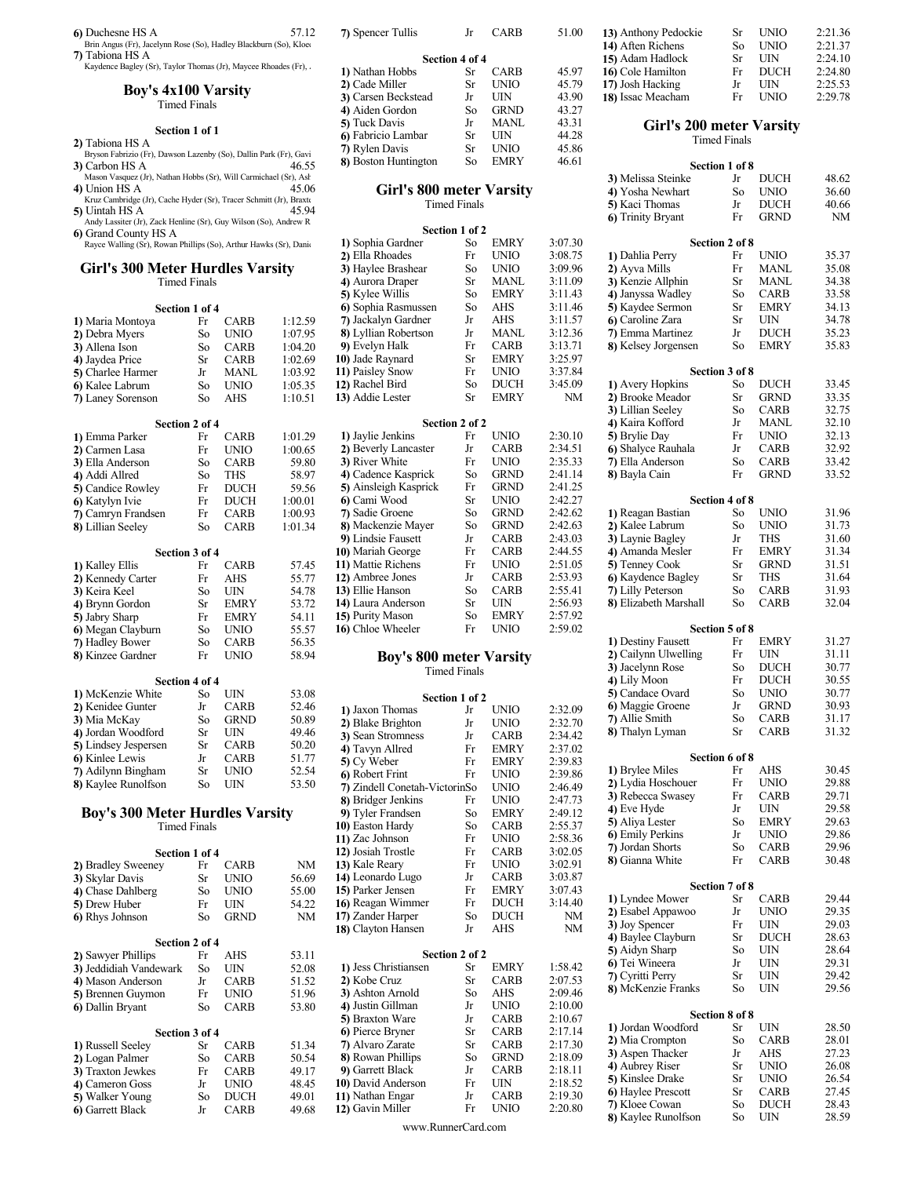- 
- 3) Carbon HS A  $46.55$  8) Boston Hunting
- Mason Vasquez (Jr), Nathan Hobbs (Sr), Will Carmichael (Sr), Ashton HS A 45.06 4) Union HS A  $_{45.06}$  45.06 Girl's 800 meter Varsity 4) Yosha Newhart So U.
- Kruz Cambridge (Jr), Cache Hyder (Sr), Tracer Schmitt (Jr), Braxte<br>5) Uintah HS A  $45.94$
- 
- 

#### Girl's 300 Meter Hurdles Varsity Timed Finals

|                                                                       | Section 1 of 4      |                |            | 6) Sophia Rasmussen                  | So                  | <b>AHS</b>    | 3:11.46 |
|-----------------------------------------------------------------------|---------------------|----------------|------------|--------------------------------------|---------------------|---------------|---------|
| 1) Maria Montoya                                                      | Fr                  | <b>CARB</b>    | 1:12.59    | 7) Jackalyn Gardner                  | Jr                  | AHS           | 3:11.57 |
| 2) Debra Myers                                                        | So                  | <b>UNIO</b>    | 1:07.95    | 8) Lyllian Robertson                 | Jr                  | <b>MANL</b>   | 3:12.36 |
| 3) Allena Ison                                                        | So                  | <b>CARB</b>    | 1:04.20    | 9) Evelyn Halk                       | Fr                  | <b>CARB</b>   | 3:13.71 |
| 4) Jaydea Price                                                       | Sr                  | <b>CARB</b>    | 1:02.69    | 10) Jade Raynard                     | Sr                  | <b>EMRY</b>   | 3:25.97 |
| 5) Charlee Harmer                                                     | Jr                  | <b>MANL</b>    | 1:03.92    | 11) Paisley Snow                     | Fr                  | <b>UNIO</b>   | 3:37.84 |
| 6) Kalee Labrum                                                       | So                  | <b>UNIO</b>    | 1:05.35    | 12) Rachel Bird                      | $\rm So$            | <b>DUCH</b>   | 3:45.09 |
| 7) Laney Sorenson                                                     | So                  | <b>AHS</b>     | 1:10.51    | 13) Addie Lester                     | Sr                  | <b>EMRY</b>   | NM      |
|                                                                       | Section 2 of 4      |                |            |                                      | Section 2 of 2      |               |         |
| 1) Emma Parker                                                        | Fr                  | <b>CARB</b>    | 1:01.29    | 1) Jaylie Jenkins                    | Fr                  | <b>UNIO</b>   | 2:30.10 |
| 2) Carmen Lasa                                                        | Fr                  | <b>UNIO</b>    | 1:00.65    | 2) Beverly Lancaster                 | Jr                  | <b>CARB</b>   | 2:34.51 |
| 3) Ella Anderson                                                      | So                  | <b>CARB</b>    | 59.80      | 3) River White                       | Fr                  | <b>UNIO</b>   | 2:35.33 |
| 4) Addi Allred                                                        | So                  | <b>THS</b>     | 58.97      | 4) Cadence Kasprick                  | So                  | <b>GRND</b>   | 2:41.14 |
| 5) Candice Rowley                                                     | Fr                  | <b>DUCH</b>    | 59.56      | 5) Ainsleigh Kasprick                | Fr                  | <b>GRND</b>   | 2:41.25 |
| 6) Katylyn Ivie                                                       | Fr                  | <b>DUCH</b>    | 1:00.01    | 6) Cami Wood                         | Sr                  | <b>UNIO</b>   | 2:42.27 |
| 7) Camryn Frandsen                                                    | Fr                  | CARB           | 1:00.93    | 7) Sadie Groene                      | So                  | <b>GRND</b>   | 2:42.62 |
| 8) Lillian Seeley                                                     | So                  | <b>CARB</b>    | 1:01.34    | 8) Mackenzie Mayer                   | So                  | <b>GRND</b>   | 2:42.63 |
|                                                                       |                     |                |            | 9) Lindsie Fausett                   | Jr                  | <b>CARB</b>   | 2:43.03 |
|                                                                       | Section 3 of 4      |                |            | 10) Mariah George                    | Fr                  | CARB          | 2:44.55 |
| 1) Kalley Ellis                                                       | Fr                  | <b>CARB</b>    | 57.45      | 11) Mattie Richens                   | Fr                  | <b>UNIO</b>   | 2:51.05 |
| 2) Kennedy Carter                                                     | Fr                  | AHS            | 55.77      | 12) Ambree Jones                     | Jr                  | <b>CARB</b>   | 2:53.93 |
| 3) Keira Keel                                                         | So                  | <b>UIN</b>     | 54.78      | 13) Ellie Hanson                     | So                  | <b>CARB</b>   | 2:55.41 |
| 4) Brynn Gordon                                                       | Sr                  | <b>EMRY</b>    | 53.72      | 14) Laura Anderson                   | Sr                  | UIN           | 2:56.93 |
| 5) Jabry Sharp                                                        | Fr                  | <b>EMRY</b>    | 54.11      | 15) Purity Mason                     | So                  | <b>EMRY</b>   | 2:57.92 |
| 6) Megan Clayburn                                                     | So                  | <b>UNIO</b>    | 55.57      | 16) Chloe Wheeler                    | Fr                  | <b>UNIO</b>   | 2:59.02 |
| 7) Hadley Bower                                                       | So                  | <b>CARB</b>    | 56.35      |                                      |                     |               |         |
| 8) Kinzee Gardner                                                     | Fr                  | <b>UNIO</b>    | 58.94      | <b>Boy's 800 meter Varsity</b>       |                     |               |         |
|                                                                       |                     |                |            |                                      | <b>Timed Finals</b> |               |         |
|                                                                       | Section 4 of 4      |                |            |                                      |                     |               |         |
| 1) McKenzie White                                                     | So                  | UIN            | 53.08      |                                      | Section 1 of 2      |               |         |
| 2) Kenidee Gunter                                                     | Jr                  | <b>CARB</b>    | 52.46      | 1) Jaxon Thomas                      | Jr                  | <b>UNIO</b>   | 2:32.09 |
| 3) Mia McKay                                                          | So                  | <b>GRND</b>    | 50.89      | 2) Blake Brighton                    | Jr                  | <b>UNIO</b>   | 2:32.70 |
| 4) Jordan Woodford                                                    | Sr                  | UIN            | 49.46      | 3) Sean Stromness                    | Jr                  | <b>CARB</b>   | 2:34.42 |
| 5) Lindsey Jespersen                                                  | Sr                  | <b>CARB</b>    | 50.20      | 4) Tavyn Allred                      | Fr                  | <b>EMRY</b>   | 2:37.02 |
| 6) Kinlee Lewis                                                       | Jr                  | <b>CARB</b>    | 51.77      | 5) Cy Weber                          | Fr                  | <b>EMRY</b>   | 2:39.83 |
| 7) Adilynn Bingham                                                    | Sr                  | <b>UNIO</b>    | 52.54      | 6) Robert Frint                      | Fr                  | <b>UNIO</b>   | 2:39.86 |
| 8) Kaylee Runolfson                                                   | So                  | UIN            | 53.50      | 7) Zindell Conetah-VictorinSo        |                     | <b>UNIO</b>   | 2:46.49 |
|                                                                       |                     |                |            | 8) Bridger Jenkins                   | Fr                  | <b>UNIO</b>   | 2:47.73 |
| <b>Boy's 300 Meter Hurdles Varsity</b>                                |                     |                |            | 9) Tyler Frandsen                    | So                  | <b>EMRY</b>   | 2:49.12 |
|                                                                       | <b>Timed Finals</b> |                |            | 10) Easton Hardy                     | So                  | <b>CARB</b>   | 2:55.37 |
|                                                                       |                     |                |            | 11) Zac Johnson                      | Fr                  | <b>UNIO</b>   | 2:58.36 |
|                                                                       | Section 1 of 4      |                |            | 12) Josiah Trostle                   | Fr                  | CARB          | 3:02.05 |
| $\bullet$ $\bullet$ $\bullet$ $\bullet$ $\bullet$ $\bullet$<br>$\sim$ |                     | C <sub>1</sub> | <b>ATA</b> | $12.5$ $V_2$ $\alpha$ $R_3$ $\alpha$ | п.,                 | <b>TIMITO</b> | 2.02.01 |

| 2) Bradley Sweeney     | Fr | <b>CARB</b> | NM    | 13) Kale Reary       | Fr             | <b>UNIO</b> |             |
|------------------------|----|-------------|-------|----------------------|----------------|-------------|-------------|
| 3) Skylar Davis        | Sr | UNIO        | 56.69 | 14) Leonardo Lugo    | Jr             | <b>CARB</b> |             |
| 4) Chase Dahlberg      | So | UNIO        | 55.00 | 15) Parker Jensen    | Fr             | <b>EMRY</b> |             |
| 5) Drew Huber          | Fr | UIN         | 54.22 | 16) Reagan Wimmer    | Fr             | <b>DUCH</b> |             |
| 6) Rhys Johnson        | So | <b>GRND</b> | NM    | 17) Zander Harper    | So             | <b>DUCH</b> |             |
|                        |    |             |       | 18) Clayton Hansen   | Jr             | AHS         |             |
| Section 2 of 4         |    |             |       |                      |                |             |             |
| 2) Sawyer Phillips     | Fr | AHS         | 53.11 |                      | Section 2 of 2 |             |             |
| 3) Jeddidiah Vandewark | So | UIN         | 52.08 | 1) Jess Christiansen | Sr             | <b>EMRY</b> |             |
| 4) Mason Anderson      | Jr | CARB        | 51.52 | 2) Kobe Cruz         | Sr             | <b>CARB</b> |             |
| 5) Brennen Guymon      | Fr | UNIO        | 51.96 | 3) Ashton Arnold     | So             | AHS         |             |
| 6) Dallin Bryant       | So | <b>CARB</b> | 53.80 | 4) Justin Gillman    | Jr             | <b>UNIO</b> | 2           |
|                        |    |             |       | 5) Braxton Ware      | Jr             | <b>CARB</b> |             |
| Section 3 of 4         |    |             |       | 6) Pierce Bryner     | Sr             | <b>CARB</b> |             |
| 1) Russell Seeley      | Sr | CARB        | 51.34 | 7) Alvaro Zarate     | Sr             | <b>CARB</b> |             |
| 2) Logan Palmer        | So | <b>CARB</b> | 50.54 | 8) Rowan Phillips    | So             | <b>GRND</b> | 2           |
| 3) Traxton Jewkes      | Fr | <b>CARB</b> | 49.17 | 9) Garrett Black     | Jr             | <b>CARB</b> |             |
| 4) Cameron Goss        | Jr | UNIO        | 48.45 | 10) David Anderson   | Fr             | UIN         | $\tilde{c}$ |
| 5) Walker Young        | So | <b>DUCH</b> | 49.01 | 11) Nathan Engar     | Jr             | <b>CARB</b> | 2           |
| 6) Garrett Black       | Jr | <b>CARB</b> | 49.68 | 12) Gavin Miller     | Fr             | UNIO        | 2           |

| 6) Duchesne HS A                                                                     | 57.12 | 7) Spencer Tullis    | Jr             | <b>CARB</b> | 51.00 | 13) Anthony Pedockie            | Sr                        | <b>UNIO</b> |  |
|--------------------------------------------------------------------------------------|-------|----------------------|----------------|-------------|-------|---------------------------------|---------------------------|-------------|--|
| Brin Angus (Fr), Jacelynn Rose (So), Hadley Blackburn (So), Kloet                    |       |                      |                |             |       | 14) Aften Richens               | So                        | <b>UNIO</b> |  |
| 7) Tabiona HS A                                                                      |       |                      | Section 4 of 4 |             |       | 15) Adam Hadlock                | Sr.                       | UIN         |  |
| Kaydence Bagley (Sr), Taylor Thomas (Jr), Maycee Rhoades (Fr), .                     |       | 1) Nathan Hobbs      | Sr             | <b>CARB</b> | 45.97 | 16 Cole Hamilton                | Fr                        | DUCH        |  |
| <b>Boy's 4x100 Varsity</b>                                                           |       | 2) Cade Miller       | Sr             | <b>UNIO</b> | 45.79 | 17) Josh Hacking                | Jr                        | UIN         |  |
|                                                                                      |       | 3) Carsen Beckstead  | Jr             | UIN         | 43.90 | 18) Issac Meacham               | Fr                        | <b>UNIO</b> |  |
| Timed Finals                                                                         |       | 4) Aiden Gordon      | So             | <b>GRND</b> | 43.27 |                                 |                           |             |  |
|                                                                                      |       | 5) Tuck Davis        | .Jr            | <b>MANL</b> | 43.31 | <b>Girl's 200 meter Varsity</b> |                           |             |  |
| Section 1 of 1                                                                       |       | 6) Fabricio Lambar   | Sr.            | UIN         | 44.28 |                                 | <b>Timed Finals</b>       |             |  |
| 2) Tabiona HS A<br>Bryson Fabrizio (Fr), Dawson Lazenby (So), Dallin Park (Fr), Gavi |       | 7) Rylen Davis       | Sr             | <b>UNIO</b> | 45.86 |                                 |                           |             |  |
|                                                                                      | 100   | 8) Boston Huntington | So.            | <b>EMRY</b> | 46.61 |                                 | $\alpha$ $\beta$ $\alpha$ |             |  |

## Timed Finals

| 5) Uintah HS A                                                                            |                     |             | 45.94   |                                | типод типатэ        |             |           | л іхасі тіюшаз<br>6) Trinity Bryant   | IJ<br>Fr       | DUCTI<br><b>GRND</b> | TV.VV<br>NM    |  |
|-------------------------------------------------------------------------------------------|---------------------|-------------|---------|--------------------------------|---------------------|-------------|-----------|---------------------------------------|----------------|----------------------|----------------|--|
| Andy Lassiter (Jr), Zack Henline (Sr), Guy Wilson (So), Andrew R                          |                     |             |         |                                | Section 1 of 2      |             |           |                                       |                |                      |                |  |
| 6) Grand County HS A<br>Rayce Walling (Sr), Rowan Phillips (So), Arthur Hawks (Sr), Danis |                     |             |         | 1) Sophia Gardner              | So                  | EMRY        | 3:07.30   |                                       | Section 2 of 8 |                      |                |  |
|                                                                                           |                     |             |         | 2) Ella Rhoades                | Fr                  | <b>UNIO</b> | 3:08.75   | 1) Dahlia Perry                       | Fr             | UNIO                 | 35.37          |  |
| <b>Girl's 300 Meter Hurdles Varsity</b>                                                   |                     |             |         | 3) Haylee Brashear             | So                  | <b>UNIO</b> | 3:09.96   | 2) Ayva Mills                         | Fr             | <b>MANL</b>          | 35.08          |  |
|                                                                                           | <b>Timed Finals</b> |             |         | 4) Aurora Draper               | Sr                  | <b>MANL</b> | 3:11.09   | 3) Kenzie Allphin                     | Sr             | MANL                 | 34.38          |  |
|                                                                                           |                     |             |         | 5) Kylee Willis                | So                  | <b>EMRY</b> | 3:11.43   | 4) Janyssa Wadley                     | So             | <b>CARB</b>          | 33.58          |  |
| Section 1 of 4                                                                            |                     |             |         | 6) Sophia Rasmussen            | So                  | AHS         | 3:11.46   | 5) Kaydee Sermon                      | Sr             | <b>EMRY</b>          | 34.13          |  |
| 1) Maria Montoya                                                                          | Fr                  | <b>CARB</b> | 1:12.59 | 7) Jackalyn Gardner            | Jr                  | AHS         | 3:11.57   | 6) Caroline Zara                      | Sr             | UIN                  | 34.78          |  |
|                                                                                           |                     | <b>UNIO</b> | 1:07.95 | 8) Lyllian Robertson           | Jr                  | MANL        | 3:12.36   | 7) Emma Martinez                      | Jr             | <b>DUCH</b>          | 35.23          |  |
| 2) Debra Myers                                                                            | So                  |             |         |                                | Fr                  | <b>CARB</b> | 3:13.71   |                                       | So             | EMRY                 | 35.83          |  |
| 3) Allena Ison                                                                            | So                  | <b>CARB</b> | 1:04.20 | 9) Evelyn Halk                 |                     | <b>EMRY</b> | 3:25.97   | 8) Kelsey Jorgensen                   |                |                      |                |  |
| 4) Jaydea Price                                                                           | Sr                  | <b>CARB</b> | 1:02.69 | 10) Jade Raynard               | Sr                  | <b>UNIO</b> |           |                                       |                |                      |                |  |
| 5) Charlee Harmer                                                                         | Jr                  | <b>MANL</b> | 1:03.92 | 11) Paisley Snow               | Fr                  | <b>DUCH</b> | 3:37.84   |                                       | Section 3 of 8 | <b>DUCH</b>          |                |  |
| 6) Kalee Labrum                                                                           | So                  | <b>UNIO</b> | 1:05.35 | 12) Rachel Bird                | So                  |             | 3:45.09   | 1) Avery Hopkins                      | So             |                      | 33.45          |  |
| 7) Laney Sorenson                                                                         | So                  | AHS         | 1:10.51 | 13) Addie Lester               | Sr                  | <b>EMRY</b> | NM        | 2) Brooke Meador                      | Sr             | <b>GRND</b>          | 33.35          |  |
|                                                                                           |                     |             |         |                                |                     |             |           | 3) Lillian Seeley                     | So             | <b>CARB</b>          | 32.75          |  |
| Section 2 of 4                                                                            |                     |             |         |                                | Section 2 of 2      |             |           | 4) Kaira Kofford                      | Jr             | <b>MANL</b>          | 32.10          |  |
| 1) Emma Parker                                                                            | Fr                  | <b>CARB</b> | 1:01.29 | 1) Jaylie Jenkins              | Fr                  | UNIO        | 2:30.10   | 5) Brylie Day                         | Fr             | UNIO                 | 32.13          |  |
| 2) Carmen Lasa                                                                            | Fr                  | <b>UNIO</b> | 1:00.65 | 2) Beverly Lancaster           | Jr                  | <b>CARB</b> | 2:34.51   | 6) Shalyce Rauhala                    | Jr             | CARB                 | 32.92          |  |
| 3) Ella Anderson                                                                          | So                  | CARB        | 59.80   | 3) River White                 | Fr                  | <b>UNIO</b> | 2:35.33   | 7) Ella Anderson                      | So             | <b>CARB</b>          | 33.42          |  |
| 4) Addi Allred                                                                            | So                  | THS         | 58.97   | 4) Cadence Kasprick            | So                  | <b>GRND</b> | 2:41.14   | 8) Bayla Cain                         | Fr             | <b>GRND</b>          | 33.52          |  |
| 5) Candice Rowley                                                                         | Fr                  | <b>DUCH</b> | 59.56   | 5) Ainsleigh Kasprick          | Fr                  | <b>GRND</b> | 2:41.25   |                                       |                |                      |                |  |
| 6) Katylyn Ivie                                                                           | Fr                  | <b>DUCH</b> | 1:00.01 | 6 Cami Wood                    | Sr                  | <b>UNIO</b> | 2:42.27   |                                       | Section 4 of 8 |                      |                |  |
| 7) Camryn Frandsen                                                                        | Fr                  | <b>CARB</b> | 1:00.93 | 7) Sadie Groene                | So                  | <b>GRND</b> | 2:42.62   | 1) Reagan Bastian                     | So             | <b>UNIO</b>          | 31.96          |  |
| 8) Lillian Seeley                                                                         | So                  | <b>CARB</b> | 1:01.34 | 8) Mackenzie Mayer             | So                  | <b>GRND</b> | 2:42.63   | 2) Kalee Labrum                       | So             | <b>UNIO</b>          | 31.73          |  |
|                                                                                           |                     |             |         | 9) Lindsie Fausett             | Jr                  | CARB        | 2:43.03   | 3) Laynie Bagley                      | Jr             | THS                  | 31.60          |  |
|                                                                                           | Section 3 of 4      |             |         | 10) Mariah George              | Fr                  | <b>CARB</b> | 2:44.55   | 4) Amanda Mesler                      | Fr             | EMRY                 | 31.34          |  |
| 1) Kalley Ellis                                                                           | Fr                  | <b>CARB</b> | 57.45   | 11) Mattie Richens             | Fr                  | <b>UNIO</b> | 2:51.05   | 5) Tenney Cook                        | Sr             | <b>GRND</b>          | 31.51          |  |
| 2) Kennedy Carter                                                                         | Fr                  | AHS         | 55.77   | 12) Ambree Jones               | Jr                  | <b>CARB</b> | 2:53.93   | 6) Kaydence Bagley                    | Sr             | THS                  | 31.64          |  |
| <b>3)</b> Keira Keel                                                                      | So                  | UIN         | 54.78   | 13) Ellie Hanson               | So                  | <b>CARB</b> | 2:55.41   | 7) Lilly Peterson                     | So             | <b>CARB</b>          | 31.93          |  |
| 4) Brynn Gordon                                                                           | Sr                  | <b>EMRY</b> | 53.72   | 14) Laura Anderson             | Sr                  | UIN         | 2:56.93   | 8) Elizabeth Marshall                 | So             | <b>CARB</b>          | 32.04          |  |
| 5) Jabry Sharp                                                                            | Fr                  | <b>EMRY</b> | 54.11   | 15) Purity Mason               | So                  | <b>EMRY</b> | 2:57.92   |                                       |                |                      |                |  |
| 6) Megan Clayburn                                                                         | So                  | <b>UNIO</b> | 55.57   | 16) Chloe Wheeler              | Fr                  | <b>UNIO</b> | 2:59.02   |                                       | Section 5 of 8 |                      |                |  |
| 7) Hadley Bower                                                                           | So                  | <b>CARB</b> | 56.35   |                                |                     |             |           | 1) Destiny Fausett                    | Fr             | EMRY                 | 31.27          |  |
| 8) Kinzee Gardner                                                                         | Fr                  | <b>UNIO</b> | 58.94   | <b>Boy's 800 meter Varsity</b> |                     |             |           | 2) Cailynn Ulwelling                  | Fr             | UIN                  | 31.11          |  |
|                                                                                           |                     |             |         |                                | <b>Timed Finals</b> |             |           | 3) Jacelynn Rose                      | So             | <b>DUCH</b>          | 30.77          |  |
|                                                                                           | Section 4 of 4      |             |         |                                |                     |             |           | 4) Lily Moon                          | Fr             | <b>DUCH</b>          | 30.55          |  |
| 1) McKenzie White                                                                         | So                  | UIN         | 53.08   |                                | Section 1 of 2      |             |           | 5) Candace Ovard                      | So             | <b>UNIO</b>          | 30.77          |  |
| 2) Kenidee Gunter                                                                         | Jr                  | <b>CARB</b> | 52.46   | 1) Jaxon Thomas                | Jr                  | <b>UNIO</b> | 2:32.09   | 6) Maggie Groene                      | Jr             | <b>GRND</b>          | 30.93          |  |
| 3) Mia McKay                                                                              | So                  | <b>GRND</b> | 50.89   | 2) Blake Brighton              | Jr                  | <b>UNIO</b> | 2:32.70   | 7) Allie Smith                        | So             | CARB                 | 31.17          |  |
| 4) Jordan Woodford                                                                        | Sr                  | UIN         | 49.46   | 3) Sean Stromness              | Jr                  | <b>CARB</b> | 2:34.42   | 8) Thalyn Lyman                       | Sr             | <b>CARB</b>          | 31.32          |  |
| <b>5)</b> Lindsey Jespersen                                                               | Sr                  | <b>CARB</b> | 50.20   | 4) Tavyn Allred                | Fr                  | <b>EMRY</b> | 2:37.02   |                                       |                |                      |                |  |
| 6) Kinlee Lewis                                                                           | Jr                  | <b>CARB</b> | 51.77   | 5) Cy Weber                    | Fr                  | <b>EMRY</b> | 2:39.83   |                                       | Section 6 of 8 |                      |                |  |
| 7) Adilynn Bingham                                                                        | Sr                  | <b>UNIO</b> | 52.54   | 6) Robert Frint                | Fr                  | <b>UNIO</b> | 2:39.86   | 1) Brylee Miles                       | Fr             | AHS                  | 30.45          |  |
| 8) Kaylee Runolfson                                                                       | So                  | UIN         | 53.50   | 7) Zindell Conetah-VictorinSo  |                     | <b>UNIO</b> | 2:46.49   | 2) Lydia Hoschouer                    | Fr             | <b>UNIO</b>          | 29.88          |  |
|                                                                                           |                     |             |         | 8) Bridger Jenkins             | Fr                  | <b>UNIO</b> | 2:47.73   | 3) Rebecca Swasey                     | Fr             | <b>CARB</b>          | 29.71          |  |
| <b>Boy's 300 Meter Hurdles Varsity</b>                                                    |                     |             |         | 9) Tyler Frandsen              | So                  | <b>EMRY</b> | 2:49.12   | 4) Eve Hyde                           | Jr             | UIN                  | 29.58          |  |
|                                                                                           | <b>Timed Finals</b> |             |         | 10) Easton Hardy               | So                  | CARB        | 2:55.37   | 5) Aliya Lester                       | So             | EMRY                 | 29.63          |  |
|                                                                                           |                     |             |         | 11) Zac Johnson                | Fr                  | <b>UNIO</b> | 2:58.36   | 6) Emily Perkins                      | Jr             | <b>UNIO</b>          | 29.86          |  |
|                                                                                           | Section 1 of 4      |             |         | 12) Josiah Trostle             | Fr                  | <b>CARB</b> | 3:02.05   | 7) Jordan Shorts                      | So             | <b>CARB</b>          | 29.96          |  |
|                                                                                           |                     | Fr CARB     | NM      | 13) Kale Reary                 | Fr                  | <b>UNIO</b> | 3:02.91   | 8) Gianna White                       | Fr             | CARB                 | 30.48          |  |
| 2) Bradley Sweeney                                                                        |                     |             |         | 14) Leonardo Lugo              | Jr                  | <b>CARB</b> | 3:03.87   |                                       |                |                      |                |  |
| 3) Skylar Davis                                                                           | Sr                  | <b>UNIO</b> | 56.69   | 15) Parker Jensen              | Fr                  | EMRY        | 3:07.43   |                                       | Section 7 of 8 |                      |                |  |
| 4) Chase Dahlberg                                                                         | So                  | <b>UNIO</b> | 55.00   | 16) Reagan Wimmer              | Fr                  | <b>DUCH</b> | 3:14.40   | 1) Lyndee Mower                       | Sr             | <b>CARB</b>          | 29.44          |  |
| 5) Drew Huber                                                                             | Fr                  | UIN         | 54.22   |                                |                     |             |           | 2) Esabel Appawoo                     | Jr             | <b>UNIO</b>          | 29.35          |  |
| 6) Rhys Johnson                                                                           | So                  | <b>GRND</b> | NM      | 17) Zander Harper              | So                  | <b>DUCH</b> | NM        | 3) Joy Spencer                        | Fr             | UIN                  | 29.03          |  |
|                                                                                           |                     |             |         | 18) Clayton Hansen             | Jr                  | AHS         | <b>NM</b> | 4) Baylee Clayburn                    | Sr             | <b>DUCH</b>          | 28.63          |  |
|                                                                                           | Section 2 of 4      |             |         |                                |                     |             |           | 5) Aidyn Sharp                        | So             | UIN                  | 28.64          |  |
| 2) Sawyer Phillips                                                                        | Fr                  | AHS         | 53.11   |                                | Section 2 of 2      |             |           | 6) Tei Wineera                        | Jr             | UIN                  | 29.31          |  |
| 3) Jeddidiah Vandewark                                                                    | So                  | UIN         | 52.08   | 1) Jess Christiansen           | Sr                  | EMRY        | 1:58.42   | 7) Cyritti Perry                      | Sr             | UIN                  | 29.42          |  |
| 4) Mason Anderson                                                                         | Jr                  | <b>CARB</b> | 51.52   | 2) Kobe Cruz                   | Sr                  | <b>CARB</b> | 2:07.53   | 8) McKenzie Franks                    | So             | UIN                  | 29.56          |  |
| 5) Brennen Guymon                                                                         | Fr                  | <b>UNIO</b> | 51.96   | 3) Ashton Arnold               | So                  | AHS         | 2:09.46   |                                       |                |                      |                |  |
| 6) Dallin Bryant                                                                          | So                  | <b>CARB</b> | 53.80   | 4) Justin Gillman              | Jr                  | UNIO        | 2:10.00   |                                       | Section 8 of 8 |                      |                |  |
|                                                                                           |                     |             |         | 5) Braxton Ware                | Jr                  | <b>CARB</b> | 2:10.67   | 1) Jordan Woodford                    | Sr             | UIN                  | 28.50          |  |
|                                                                                           | Section 3 of 4      |             |         | 6) Pierce Bryner               | Sr                  | <b>CARB</b> | 2:17.14   | 2) Mia Crompton                       | So             | <b>CARB</b>          | 28.01          |  |
| 1) Russell Seeley                                                                         | Sr                  | <b>CARB</b> | 51.34   | 7) Alvaro Zarate               | Sr                  | <b>CARB</b> | 2:17.30   | 3) Aspen Thacker                      | Jr             | AHS                  | 27.23          |  |
| 2) Logan Palmer                                                                           | So                  | <b>CARB</b> | 50.54   | 8) Rowan Phillips              | So                  | <b>GRND</b> | 2:18.09   | 4) Aubrey Riser                       | Sr             | <b>UNIO</b>          | 26.08          |  |
| 3) Traxton Jewkes                                                                         | Fr                  | <b>CARB</b> | 49.17   | 9) Garrett Black               | Jr                  | <b>CARB</b> | 2:18.11   | 5) Kinslee Drake                      |                | <b>UNIO</b>          | 26.54          |  |
| 4) Cameron Goss                                                                           | Jr                  | <b>UNIO</b> | 48.45   | 10) David Anderson             | Fr                  | UIN         | 2:18.52   |                                       | Sr             |                      |                |  |
| 5) Walker Young                                                                           | So                  | <b>DUCH</b> | 49.01   | 11) Nathan Engar               | Jr                  | CARB        | 2:19.30   | 6) Haylee Prescott                    | Sr             | CARB                 | 27.45          |  |
| 6) Garrett Black                                                                          | Jr                  | <b>CARB</b> | 49.68   | 12) Gavin Miller               | Fr                  | <b>UNIO</b> | 2:20.80   | 7) Kloee Cowan<br>8) Kaylee Runolfson | So<br>So       | DUCH<br>UIN          | 28.43<br>28.59 |  |
|                                                                                           |                     |             |         |                                |                     |             |           |                                       |                |                      |                |  |

www.RunnerCard.com

| 7) Spencer Tullis              | Jr                  | CARB        | 51.00   | 13) Anthony Pedockie            | Sr             | <b>UNIO</b> | 2:21.36            |
|--------------------------------|---------------------|-------------|---------|---------------------------------|----------------|-------------|--------------------|
|                                |                     |             |         | 14) Aften Richens               | So             | <b>UNIO</b> | 2:21.37            |
|                                | Section 4 of 4      |             |         | 15) Adam Hadlock                | Sr             | <b>UIN</b>  | 2:24.10            |
| 1) Nathan Hobbs                | Sr                  | <b>CARB</b> | 45.97   | 16) Cole Hamilton               | Fr             | <b>DUCH</b> | 2:24.80            |
| 2) Cade Miller                 | Sr                  | <b>UNIO</b> | 45.79   | 17) Josh Hacking                | Jr             | <b>UIN</b>  | 2:25.53<br>2:29.78 |
| 3) Carsen Beckstead            | Jr                  | UIN         | 43.90   | 18) Issac Meacham               | Fr             | <b>UNIO</b> |                    |
| 4) Aiden Gordon                | So                  | <b>GRND</b> | 43.27   |                                 |                |             |                    |
| 5) Tuck Davis                  | Jr                  | <b>MANL</b> | 43.31   | <b>Girl's 200 meter Varsity</b> |                |             |                    |
| 6) Fabricio Lambar             | Sr                  | UIN         | 44.28   |                                 | Timed Finals   |             |                    |
| 7) Rylen Davis                 | Sr                  | <b>UNIO</b> | 45.86   |                                 |                |             |                    |
| 8) Boston Huntington           | So                  | <b>EMRY</b> | 46.61   |                                 | Section 1 of 8 |             |                    |
|                                |                     |             |         | 3) Melissa Steinke              | Jr             | DUCH        | 48.62              |
| Girl's 800 meter Varsity       |                     |             |         | 4) Yosha Newhart                | So             | <b>UNIO</b> | 36.60              |
|                                | <b>Timed Finals</b> |             |         | 5) Kaci Thomas                  | Jr             | <b>DUCH</b> | 40.66              |
|                                |                     |             |         | 6) Trinity Bryant               | Fr             | <b>GRND</b> | <b>NM</b>          |
|                                | Section 1 of 2      |             |         |                                 |                |             |                    |
| 1) Sophia Gardner              | So                  | <b>EMRY</b> | 3:07.30 |                                 | Section 2 of 8 |             |                    |
| 2) Ella Rhoades                | Fr                  | <b>UNIO</b> | 3:08.75 | 1) Dahlia Perry                 | Fr             | <b>UNIO</b> | 35.37              |
| 3) Haylee Brashear             | So                  | <b>UNIO</b> | 3:09.96 | 2) Ayva Mills                   | Fr             | <b>MANL</b> | 35.08              |
| 4) Aurora Draper               | Sr                  | MANL        | 3:11.09 | 3) Kenzie Allphin               | Sr             | <b>MANL</b> | 34.38              |
| 5) Kylee Willis                | So                  | <b>EMRY</b> | 3:11.43 | 4) Janyssa Wadley               | So             | <b>CARB</b> | 33.58              |
| 6) Sophia Rasmussen            | So                  | AHS         | 3:11.46 | 5) Kaydee Sermon                | Sr             | <b>EMRY</b> | 34.13              |
| 7) Jackalyn Gardner            | Jr                  | <b>AHS</b>  | 3:11.57 | 6) Caroline Zara                | Sr             | UIN         | 34.78              |
| 8) Lyllian Robertson           | Jr                  | <b>MANL</b> | 3:12.36 | 7) Emma Martinez                | Jr             | <b>DUCH</b> | 35.23              |
|                                |                     |             |         |                                 |                |             |                    |
| 9) Evelyn Halk                 | Fr                  | <b>CARB</b> | 3:13.71 | 8) Kelsey Jorgensen             | So             | <b>EMRY</b> | 35.83              |
| 10) Jade Raynard               | Sr                  | <b>EMRY</b> | 3:25.97 |                                 |                |             |                    |
| 11) Paisley Snow               | Fr                  | <b>UNIO</b> | 3:37.84 |                                 | Section 3 of 8 |             |                    |
| 12) Rachel Bird                | So                  | DUCH        | 3:45.09 | 1) Avery Hopkins                | So             | <b>DUCH</b> | 33.45              |
| 13) Addie Lester               | Sr                  | <b>EMRY</b> | NM      | 2) Brooke Meador                | Sr             | <b>GRND</b> | 33.35              |
|                                |                     |             |         | 3) Lillian Seeley               | So             | <b>CARB</b> | 32.75              |
|                                | Section 2 of 2      |             |         | 4) Kaira Kofford                | Jr             | MANL        | 32.10              |
| 1) Jaylie Jenkins              | Fr                  | <b>UNIO</b> | 2:30.10 | 5) Brylie Day                   | Fr             | <b>UNIO</b> | 32.13              |
| 2) Beverly Lancaster           | Jr                  | <b>CARB</b> | 2:34.51 | 6) Shalyce Rauhala              | Jr             | <b>CARB</b> | 32.92              |
| 3) River White                 | Fr                  | <b>UNIO</b> | 2:35.33 | 7) Ella Anderson                | So             | <b>CARB</b> | 33.42              |
| 4) Cadence Kasprick            | So                  | <b>GRND</b> | 2:41.14 | 8) Bayla Cain                   | Fr             | <b>GRND</b> | 33.52              |
| 5) Ainsleigh Kasprick          | Fr                  | <b>GRND</b> | 2:41.25 |                                 |                |             |                    |
| 6) Cami Wood                   | Sr                  | <b>UNIO</b> | 2:42.27 |                                 | Section 4 of 8 |             |                    |
| 7) Sadie Groene                | So                  | <b>GRND</b> | 2:42.62 | 1) Reagan Bastian               | So             | <b>UNIO</b> | 31.96              |
|                                | So                  | <b>GRND</b> | 2:42.63 | 2) Kalee Labrum                 | So             | <b>UNIO</b> | 31.73              |
| 8) Mackenzie Mayer             |                     |             |         |                                 |                |             |                    |
| 9) Lindsie Fausett             | Jr                  | <b>CARB</b> | 2:43.03 | 3) Laynie Bagley                | Jr             | <b>THS</b>  | 31.60              |
| 10) Mariah George              | Fr                  | <b>CARB</b> | 2:44.55 | 4) Amanda Mesler                | Fr             | <b>EMRY</b> | 31.34              |
| 11) Mattie Richens             | Fr                  | <b>UNIO</b> | 2:51.05 | 5) Tenney Cook                  | Sr             | <b>GRND</b> | 31.51              |
| 12) Ambree Jones               | Jr                  | <b>CARB</b> | 2:53.93 | 6) Kaydence Bagley              | Sr             | THS         | 31.64              |
| 13) Ellie Hanson               | So                  | <b>CARB</b> | 2:55.41 | 7) Lilly Peterson               | So             | <b>CARB</b> | 31.93              |
| 14) Laura Anderson             | Sr                  | UIN         | 2:56.93 | 8) Elizabeth Marshall           | So             | <b>CARB</b> | 32.04              |
| 15) Purity Mason               | So                  | <b>EMRY</b> | 2:57.92 |                                 |                |             |                    |
| 16) Chloe Wheeler              | Fr                  | <b>UNIO</b> | 2:59.02 |                                 | Section 5 of 8 |             |                    |
|                                |                     |             |         | 1) Destiny Fausett              | Fr             | EMRY        | 31.27              |
|                                |                     |             |         | 2) Cailynn Ulwelling            | Fr             | UIN         | 31.11              |
| <b>Boy's 800 meter Varsity</b> |                     |             |         | 3) Jacelynn Rose                | So             | <b>DUCH</b> | 30.77              |
|                                | <b>Timed Finals</b> |             |         | 4) Lily Moon                    | Fr             | <b>DUCH</b> | 30.55              |
|                                |                     |             |         |                                 |                |             |                    |
|                                | Section 1 of 2      |             |         | 5) Candace Ovard                | So             | <b>UNIO</b> | 30.77              |
| 1) Jaxon Thomas                | Jr                  | <b>UNIO</b> | 2:32.09 | 6) Maggie Groene                | Jr             | <b>GRND</b> | 30.93              |
| 2) Blake Brighton              | Jr                  | <b>UNIO</b> | 2:32.70 | 7) Allie Smith                  | So             | <b>CARB</b> | 31.17              |
| 3) Sean Stromness              | Jr                  | CARB        | 2:34.42 | 8) Thalyn Lyman                 | Sr             | <b>CARB</b> | 31.32              |
| 4) Tavyn Allred                | Fr                  | <b>EMRY</b> | 2:37.02 |                                 |                |             |                    |
| 5) Cy Weber                    | Fr                  | <b>EMRY</b> | 2:39.83 |                                 | Section 6 of 8 |             |                    |
| 6) Robert Frint                | Fr                  | <b>UNIO</b> | 2:39.86 | 1) Brylee Miles                 | Fr             | AHS         | 30.45              |
| 7) Zindell Conetah-VictorinSo  |                     | <b>UNIO</b> | 2:46.49 | 2) Lydia Hoschouer              | Fr             | <b>UNIO</b> | 29.88              |
|                                |                     |             |         | 3) Rebecca Swasey               | Fr             | <b>CARB</b> | 29.71              |
| 8) Bridger Jenkins             | Fr                  | <b>UNIO</b> | 2:47.73 | 4) Eve Hyde                     | Jr             | UIN         | 29.58              |
| 9) Tyler Frandsen              | So                  | <b>EMRY</b> | 2:49.12 | 5) Aliya Lester                 | So             | <b>EMRY</b> | 29.63              |
| 10) Easton Hardy               | So                  | <b>CARB</b> | 2:55.37 | 6) Emily Perkins                | Jr             | <b>UNIO</b> | 29.86              |
| 11) Zac Johnson                | Fr                  | <b>UNIO</b> | 2:58.36 | 7) Jordan Shorts                | So             | <b>CARB</b> | 29.96              |
| 12) Josiah Trostle             | Fr                  | <b>CARB</b> | 3:02.05 |                                 |                |             |                    |
| 13) Kale Reary                 | Fr                  | <b>UNIO</b> | 3:02.91 | 8) Gianna White                 | Fr             | <b>CARB</b> | 30.48              |
| 14) Leonardo Lugo              | Jr                  | <b>CARB</b> | 3:03.87 |                                 |                |             |                    |
| 15) Parker Jensen              | Fr                  | EMRY        | 3:07.43 |                                 | Section 7 of 8 |             |                    |
| 16) Reagan Wimmer              | Fr                  | <b>DUCH</b> | 3:14.40 | 1) Lyndee Mower                 | Sr             | <b>CARB</b> | 29.44              |
| 17) Zander Harper              | So                  | DUCH        | NM      | 2) Esabel Appawoo               | Jr             | <b>UNIO</b> | 29.35              |
| 18) Clayton Hansen             | Jr                  | AHS         | NM      | 3) Joy Spencer                  | Fr             | UIN         | 29.03              |
|                                |                     |             |         | 4) Baylee Clayburn              | Sr             | <b>DUCH</b> | 28.63              |
|                                | Section 2 of 2      |             |         | 5) Aidyn Sharp                  | So             | UIN         | 28.64              |
| 1) Jess Christiansen           | Sr                  | <b>EMRY</b> | 1:58.42 | 6) Tei Wineera                  | Jr             | UIN         | 29.31              |
| 2) Kobe Cruz                   | Sr                  | <b>CARB</b> | 2:07.53 | 7) Cyritti Perry                | Sr             | UIN         | 29.42              |
|                                |                     |             |         |                                 |                |             |                    |

## Section 8 of 8

| $\sigma$ ) Draxton ware | JГ  | <b>UAKD</b> | 2.10.07 |                       |     |             |       |  |
|-------------------------|-----|-------------|---------|-----------------------|-----|-------------|-------|--|
| 6 Pierce Bryner         | Sr  | CARB        | 2:17.14 | 1) Jordan Woodford    | Sr  | UIN         | 28.50 |  |
| 7) Alvaro Zarate        | Sr  | CARB        | 2:17.30 | 2) Mia Crompton       | So  | <b>CARB</b> | 28.01 |  |
| 8) Rowan Phillips       |     | GRND        | 2:18.09 | 3) Aspen Thacker      |     | AHS         | 27.23 |  |
|                         | So  |             |         | 4) Aubrey Riser       | Sr  | <b>UNIO</b> | 26.08 |  |
| 9) Garrett Black        | .Jr | CARB        | 2:18.11 | 5) Kinslee Drake      | Sr  | <b>UNIO</b> | 26.54 |  |
| 10) David Anderson      | Fr  | UIN         | 2:18.52 |                       | Sr  | CARB        | 27.45 |  |
| 11) Nathan Engar        | .Jr | CARB        | 2:19.30 | 6) Haylee Prescott    |     |             |       |  |
| 12) Gavin Miller        | F۳  | JNIO        | 2:20.80 | <b>7)</b> Kloee Cowan | So. | <b>DUCH</b> | 28.43 |  |
|                         | __  |             |         | 8) Kaylee Runolfson   | So. | UIN         | 28.59 |  |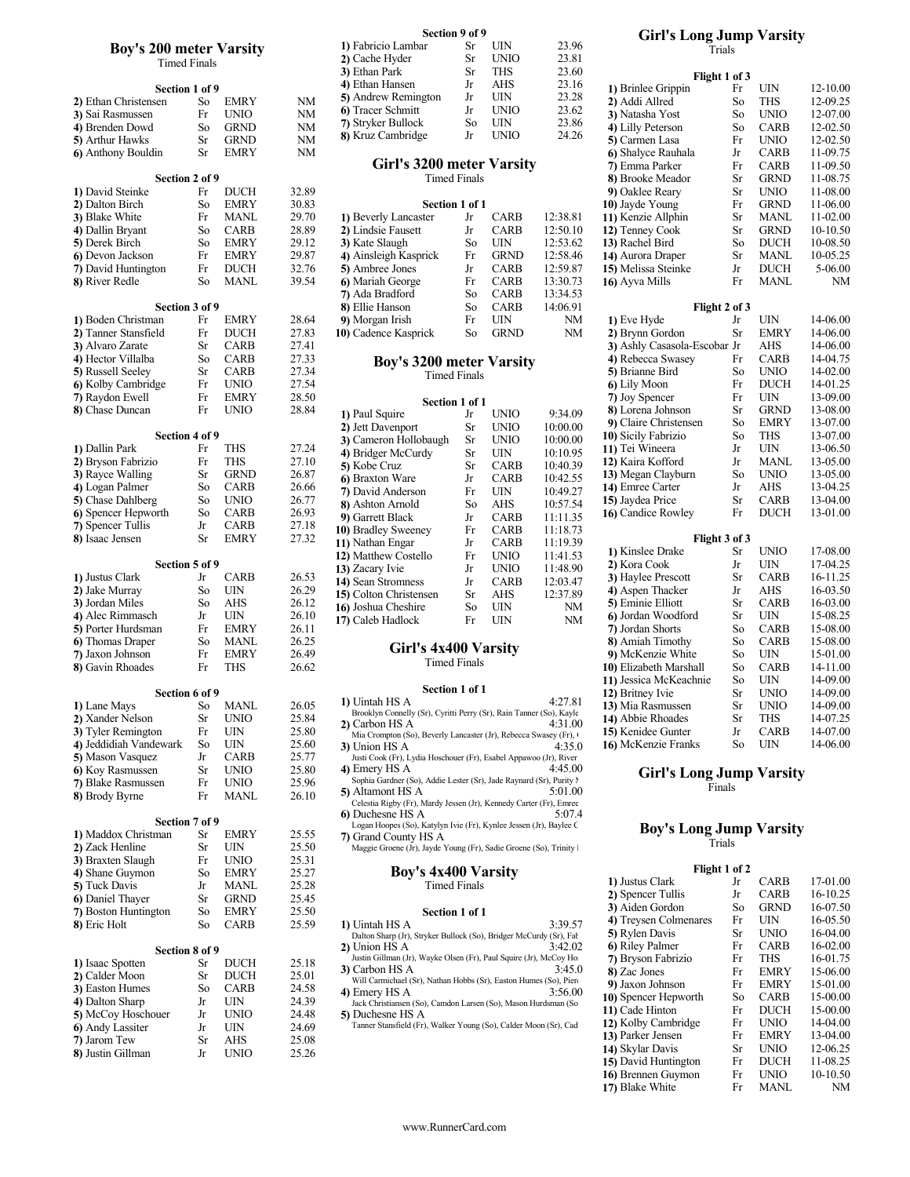## Boy's 200 meter Varsity

|                        |    |             |       | 4) Ethan Hansen                                                                    | Jr                  | AHS         | 23.16    |                              | r nght 1 of 3 |    |
|------------------------|----|-------------|-------|------------------------------------------------------------------------------------|---------------------|-------------|----------|------------------------------|---------------|----|
| Section 1 of 9         |    |             |       | 5) Andrew Remington                                                                | Jr                  | UIN         | 23.28    | 1) Brinlee Grippin           | Fr            | UI |
| 2) Ethan Christensen   | So | <b>EMRY</b> | NΜ    | 6) Tracer Schmitt                                                                  | Jr                  | <b>UNIO</b> | 23.62    | 2) Addi Allred               | So            | TH |
| 3) Sai Rasmussen       | Fr | <b>UNIO</b> | NΜ    |                                                                                    |                     |             |          | 3) Natasha Yost              | So            | Uľ |
| 4) Brenden Dowd        | So | <b>GRND</b> | NΜ    | 7) Stryker Bullock                                                                 | So                  | UIN         | 23.86    | 4) Lilly Peterson            | So            | C/ |
| 5) Arthur Hawks        | Sr | <b>GRND</b> | NΜ    | 8) Kruz Cambridge                                                                  | Jr                  | <b>UNIO</b> | 24.26    | 5) Carmen Lasa               | Fr            | Uľ |
| 6) Anthony Bouldin     | Sr | <b>EMRY</b> | NΜ    |                                                                                    |                     |             |          | 6) Shalyce Rauhala           | Jr            | C/ |
|                        |    |             |       | Girl's 3200 meter Varsity                                                          |                     |             |          | 7) Emma Parker               | Fr            | C/ |
| Section 2 of 9         |    |             |       |                                                                                    | <b>Timed Finals</b> |             |          | 8) Brooke Meador             | Sr            | GI |
| 1) David Steinke       | Fr | <b>DUCH</b> | 32.89 |                                                                                    |                     |             |          | 9) Oaklee Reary              | Sr            | Uľ |
|                        |    |             |       |                                                                                    |                     |             |          |                              |               |    |
| 2) Dalton Birch        | So | <b>EMRY</b> | 30.83 |                                                                                    | Section 1 of 1      |             |          | 10) Jayde Young              | Fr            | GI |
| 3) Blake White         | Fr | <b>MANL</b> | 29.70 | 1) Beverly Lancaster                                                               | Jr                  | <b>CARB</b> | 12:38.81 | 11) Kenzie Allphin           | Sr            | M. |
| 4) Dallin Bryant       | So | <b>CARB</b> | 28.89 | 2) Lindsie Fausett                                                                 | Jr                  | <b>CARB</b> | 12:50.10 | 12) Tenney Cook              | Sr            | GI |
| 5) Derek Birch         | So | <b>EMRY</b> | 29.12 | 3) Kate Slaugh                                                                     | So                  | UIN         | 12:53.62 | 13) Rachel Bird              | So            | DΙ |
| 6) Devon Jackson       | Fr | <b>EMRY</b> | 29.87 | 4) Ainsleigh Kasprick                                                              | Fr                  | <b>GRND</b> | 12:58.46 | 14) Aurora Draper            | Sr            | M. |
| 7) David Huntington    | Fr | <b>DUCH</b> | 32.76 | 5) Ambree Jones                                                                    | Jr                  | <b>CARB</b> | 12:59.87 | 15) Melissa Steinke          | Jr            | D  |
| 8) River Redle         | So | <b>MANL</b> | 39.54 | 6) Mariah George                                                                   | Fr                  | <b>CARB</b> | 13:30.73 | 16) Ayva Mills               | Fr            | M. |
|                        |    |             |       | 7) Ada Bradford                                                                    | So                  | <b>CARB</b> | 13:34.53 |                              |               |    |
| Section 3 of 9         |    |             |       | 8) Ellie Hanson                                                                    | So                  | <b>CARB</b> | 14:06.91 |                              | Flight 2 of 3 |    |
|                        | Fr | <b>EMRY</b> | 28.64 | 9) Morgan Irish                                                                    | Fr                  | UIN         | NM       |                              | Jr            | UI |
| 1) Boden Christman     |    |             |       |                                                                                    |                     |             |          | 1) Eve Hyde                  |               |    |
| 2) Tanner Stansfield   | Fr | <b>DUCH</b> | 27.83 | 10) Cadence Kasprick                                                               | So                  | <b>GRND</b> | NM       | 2) Brynn Gordon              | Sr            | EN |
| 3) Alvaro Zarate       | Sr | <b>CARB</b> | 27.41 |                                                                                    |                     |             |          | 3) Ashly Casasola-Escobar Jr |               | Al |
| 4) Hector Villalba     | So | <b>CARB</b> | 27.33 | <b>Boy's 3200 meter Varsity</b>                                                    |                     |             |          | 4) Rebecca Swasey            | Fr            | C/ |
| 5) Russell Seeley      | Sr | CARB        | 27.34 |                                                                                    | <b>Timed Finals</b> |             |          | 5) Brianne Bird              | So            | Uľ |
| 6) Kolby Cambridge     | Fr | <b>UNIO</b> | 27.54 |                                                                                    |                     |             |          | 6) Lily Moon                 | Fr            | D  |
| 7) Raydon Ewell        | Fr | <b>EMRY</b> | 28.50 |                                                                                    |                     |             |          | 7) Joy Spencer               | Fr            | UI |
| 8) Chase Duncan        | Fr | <b>UNIO</b> | 28.84 |                                                                                    | Section 1 of 1      |             |          | 8) Lorena Johnson            | Sr            | GI |
|                        |    |             |       | 1) Paul Squire                                                                     | Jr                  | <b>UNIO</b> | 9:34.09  | 9) Claire Christensen        | So            | EN |
|                        |    |             |       | 2) Jett Davenport                                                                  | Sr                  | <b>UNIO</b> | 10:00.00 |                              |               |    |
| Section 4 of 9         |    |             |       | 3) Cameron Hollobaugh                                                              | Sr                  | <b>UNIO</b> | 10:00.00 | 10) Sicily Fabrizio          | So            | Tŀ |
| 1) Dallin Park         | Fr | THS         | 27.24 | 4) Bridger McCurdy                                                                 | Sr                  | UIN         | 10:10.95 | 11) Tei Wineera              | Jr            | UI |
| 2) Bryson Fabrizio     | Fr | THS         | 27.10 | 5) Kobe Cruz                                                                       | Sr                  | <b>CARB</b> | 10:40.39 | 12) Kaira Kofford            | Jr            | M. |
| 3) Rayce Walling       | Sr | GRND        | 26.87 | 6) Braxton Ware                                                                    | Jr                  | <b>CARB</b> | 10:42.55 | 13) Megan Clayburn           | So            | Uľ |
| 4) Logan Palmer        | So | <b>CARB</b> | 26.66 | 7) David Anderson                                                                  | Fr                  | UIN         | 10:49.27 | 14) Emree Carter             | Jr            | Al |
| 5) Chase Dahlberg      | So | <b>UNIO</b> | 26.77 |                                                                                    | So                  | AHS         | 10:57.54 | 15) Jaydea Price             | Sr            | C/ |
| 6) Spencer Hepworth    | So | CARB        | 26.93 | 8) Ashton Arnold                                                                   |                     |             |          | 16) Candice Rowley           | Fr            | D  |
| 7) Spencer Tullis      | Jr | <b>CARB</b> | 27.18 | 9) Garrett Black                                                                   | Jr                  | <b>CARB</b> | 11:11.35 |                              |               |    |
| 8) Isaac Jensen        | Sr | <b>EMRY</b> | 27.32 | 10) Bradley Sweeney                                                                | Fr                  | <b>CARB</b> | 11:18.73 |                              | Flight 3 of 3 |    |
|                        |    |             |       | 11) Nathan Engar                                                                   | Jr                  | <b>CARB</b> | 11:19.39 |                              |               |    |
|                        |    |             |       | 12) Matthew Costello                                                               | Fr                  | <b>UNIO</b> | 11:41.53 | 1) Kinslee Drake             | Sr            | Uľ |
| Section 5 of 9         |    |             |       | 13) Zacary Ivie                                                                    | Jr                  | <b>UNIO</b> | 11:48.90 | 2) Kora Cook                 | Jr            | UI |
| 1) Justus Clark        | Jr | <b>CARB</b> | 26.53 | 14) Sean Stromness                                                                 | Jr                  | <b>CARB</b> | 12:03.47 | 3) Haylee Prescott           | Sr            | C/ |
| 2) Jake Murray         | So | UIN         | 26.29 | 15) Colton Christensen                                                             | Sr                  | <b>AHS</b>  | 12:37.89 | 4) Aspen Thacker             | Jr            | Al |
| 3) Jordan Miles        | So | <b>AHS</b>  | 26.12 | 16) Joshua Cheshire                                                                | So                  | UIN         | NM       | 5) Eminie Elliott            | Sr            | C/ |
| 4) Alec Rimmasch       | Jr | UIN         | 26.10 |                                                                                    |                     |             |          | 6) Jordan Woodford           | Sr            | UI |
| 5) Porter Hurdsman     | Fr | <b>EMRY</b> | 26.11 | 17) Caleb Hadlock                                                                  | Fr                  | UIN         | NM       | 7) Jordan Shorts             | So            | C/ |
| 6) Thomas Draper       | So | <b>MANL</b> | 26.25 |                                                                                    |                     |             |          | 8) Amiah Timothy             | So            | C/ |
| 7) Jaxon Johnson       | Fr | <b>EMRY</b> | 26.49 | Girl's 4x400 Varsity                                                               |                     |             |          |                              | So            | UI |
|                        |    |             |       |                                                                                    | <b>Timed Finals</b> |             |          | 9) McKenzie White            |               |    |
| 8) Gavin Rhoades       | Fr | THS         | 26.62 |                                                                                    |                     |             |          | 10) Elizabeth Marshall       | So            | C/ |
|                        |    |             |       |                                                                                    |                     |             |          | 11) Jessica McKeachnie       | So            | UI |
| Section 6 of 9         |    |             |       |                                                                                    | Section 1 of 1      |             |          | 12) Britney Ivie             | Sr            | Uľ |
| 1) Lane Mays           | So | <b>MANL</b> | 26.05 | 1) Uintah HS A                                                                     |                     |             | 4:27.81  | 13) Mia Rasmussen            | Sr            | UI |
| 2) Xander Nelson       | Sr | <b>UNIO</b> | 25.84 | Brooklyn Connelly (Sr), Cyritti Perry (Sr), Rain Tanner (So), Kayle                |                     |             |          | 14) Abbie Rhoades            | Sr            | Tŀ |
| 3) Tyler Remington     | Fr | UIN         | 25.80 | 2) Carbon HS A                                                                     |                     |             | 4:31.00  | 15) Kenidee Gunter           | Jr            | C/ |
| 4) Jeddidiah Vandewark | So | UIN         | 25.60 | Mia Crompton (So), Beverly Lancaster (Jr), Rebecca Swasey (Fr), O                  |                     |             |          | 16) McKenzie Franks          | So            | U  |
| 5) Mason Vasquez       |    | <b>CARB</b> | 25.77 | 3) Union HS A                                                                      |                     |             | 4:35.0   |                              |               |    |
|                        | Jr |             |       | Justi Cook (Fr), Lydia Hoschouer (Fr), Esabel Appawoo (Jr), River<br>4) Emerv HS A |                     |             | 4:45.00  |                              |               |    |
| 6) Koy Rasmussen       | Sr | <b>UNIO</b> | 25.80 | Sophia Gardner (So), Addie Lester (Sr), Jade Raynard (Sr), Purity !                |                     |             |          | <b>Girl's Long Jump Va</b>   |               |    |
| 7) Blake Rasmussen     | Fr | <b>UNIO</b> | 25.96 | 5) Altamont HS A                                                                   |                     |             | 5:01.00  |                              | Finals        |    |
| 8) Brody Byrne         | Fr | MANL        | 26.10 | Celestia Rigby (Fr), Mardy Jessen (Jr), Kennedy Carter (Fr), Emree                 |                     |             |          |                              |               |    |
|                        |    |             |       | 6) Duchesne HS A                                                                   |                     |             | 5:07.4   |                              |               |    |
| Section 7 of 9         |    |             |       | Logan Hoopes (So), Katylyn Ivie (Fr), Kynlee Jessen (Jr), Baylee C                 |                     |             |          |                              |               |    |
| 1) Maddox Christman    | Sr | <b>EMRY</b> | 25.55 | 7) Grand County HS A                                                               |                     |             |          | <b>Boy's Long Jump Va</b>    |               |    |
| 2) Zack Henline        | Sr | UIN         | 25.50 | Maggie Groene (Jr), Jayde Young (Fr), Sadie Groene (So), Trinity                   |                     |             |          |                              | Trials        |    |
| 3) Braxten Slaugh      | Fr | <b>UNIO</b> | 25.31 |                                                                                    |                     |             |          |                              |               |    |
|                        |    |             |       |                                                                                    |                     |             |          |                              | Flight 1 of 2 |    |
| 4) Shane Guymon        | So | <b>EMRY</b> | 25.27 | <b>Boy's 4x400 Varsity</b>                                                         |                     |             |          | 1) Justus Clark              | Jr            | C/ |
| 5) Tuck Davis          | Jr | MANL        | 25.28 |                                                                                    | <b>Timed Finals</b> |             |          |                              | Jr            | C/ |
| 6) Daniel Thayer       | Sr | <b>GRND</b> | 25.45 |                                                                                    |                     |             |          | 2) Spencer Tullis            |               |    |
| 7) Boston Huntington   | So | <b>EMRY</b> | 25.50 |                                                                                    | Section 1 of 1      |             |          | 3) Aiden Gordon              | So            | GI |
| 8) Eric Holt           | So | <b>CARB</b> | 25.59 | 1) Uintah HS A                                                                     |                     |             | 3:39.57  | 4) Treysen Colmenares        | Fr            | UI |
|                        |    |             |       | Dalton Sharp (Jr), Stryker Bullock (So), Bridger McCurdy (Sr), Fal                 |                     |             |          | 5) Rylen Davis               | Sr            | UI |
| Section 8 of 9         |    |             |       | 2) Union HS A                                                                      |                     |             | 3:42.02  | 6) Riley Palmer              | Fr            | C/ |
|                        |    | <b>DUCH</b> | 25.18 | Justin Gillman (Jr), Wayke Olsen (Fr), Paul Squire (Jr), McCoy Ho                  |                     |             |          | 7) Bryson Fabrizio           | Fr            | TF |
| 1) Isaac Spotten       | Sr |             |       | 3) Carbon HS A                                                                     |                     |             | 3:45.0   | 8) Zac Jones                 | Fr            | EŅ |
| 2) Calder Moon         | Sr | DUCH        | 25.01 | Will Carmichael (Sr), Nathan Hobbs (Sr), Easton Humes (So), Pien                   |                     |             |          | 9) Jaxon Johnson             | Fr            | ΕN |
| 3) Easton Humes        | So | <b>CARB</b> | 24.58 | 4) Emery HS A                                                                      |                     |             | 3:56.00  | 10) Spencer Hepworth         | So            | C/ |
| 4) Dalton Sharp        | Jr | UIN         | 24.39 | Jack Christiansen (So), Camdon Larsen (So), Mason Hurdsman (So                     |                     |             |          |                              |               |    |
| 5) McCoy Hoschouer     | Jr | <b>UNIO</b> | 24.48 | 5) Duchesne HS A                                                                   |                     |             |          | 11) Cade Hinton              | Fr            | D  |
| 6) Andy Lassiter       | Jr | UIN         | 24.69 | Tanner Stansfield (Fr), Walker Young (So), Calder Moon (Sr), Cad                   |                     |             |          | 12) Kolby Cambridge          | Fr            | UI |
| 7) Jarom Tew           | Sr | AHS         | 25.08 |                                                                                    |                     |             |          | 13) Parker Jensen            | Fr            | ΕN |
| 8) Justin Gillman      | Jr | <b>UNIO</b> | 25.26 |                                                                                    |                     |             |          | 14) Skylar Davis             | Sr            | UI |

|                                |                     |             |             |                     |     |             |       | <b>UILL 5 LUILE JUILLE VALSILY</b> |               |                                        |          |
|--------------------------------|---------------------|-------------|-------------|---------------------|-----|-------------|-------|------------------------------------|---------------|----------------------------------------|----------|
| <b>Boy's 200 meter Varsity</b> |                     |             |             | 1) Fabricio Lambar  | Sr  | <b>UIN</b>  | 23.96 |                                    | Trials        |                                        |          |
|                                | <b>Timed Finals</b> |             |             | 2) Cache Hyder      | Sr  | <b>UNIO</b> | 23.81 |                                    |               |                                        |          |
|                                |                     |             |             | 3) Ethan Park       | Sr  | THS         | 23.60 |                                    | Flight 1 of 3 |                                        |          |
|                                | Section 1 of 9      |             |             | 4) Ethan Hansen     |     | AHS         | 23.16 | 1) Brinlee Grippin                 |               | UIN                                    | 12-10.00 |
| 2) Ethan Christensen           | So                  | <b>EMRY</b> | NM          | 5) Andrew Remington | .Jr | UIN         | 23.28 | 2) Addi Allred                     | So            | THS                                    | 12-09.25 |
| 3) Sai Rasmussen               | Fr                  | <b>UNIO</b> | NM          | 6 Tracer Schmitt    | .Jr | <b>UNIO</b> | 23.62 | 3) Natasha Yost                    | So            | <b>UNIO</b>                            | 12-07.00 |
| 4) Brenden Dowd                | So                  | <b>GRND</b> | NΜ          | 7) Stryker Bullock  | So  | UIN         | 23.86 | 4) Lilly Peterson                  | So            | <b>CARB</b>                            | 12-02.50 |
| E) Authoris Harritra           |                     | $Cn$ $CDMD$ | <b>NIME</b> | 8) Kruz Cambridge   | .Jr | <b>UNIO</b> | 24.26 | $\Gamma$ Compact Loss              |               | $E_{\text{m}} = I \text{N} I I \Omega$ | 12.02.50 |

## Timed Finals **8**) Brooke Me

| 17 DU VIU ORIHING              | . .            | <u>DUC</u> 11 | <i>JL.</i> 07 |                                           |                |                   |                | 71 OUNIVE IWAI Y    | ັ                     | $\cup$      | 11 VV.    |
|--------------------------------|----------------|---------------|---------------|-------------------------------------------|----------------|-------------------|----------------|---------------------|-----------------------|-------------|-----------|
| 2) Dalton Birch                | So             | EMRY          | 30.83         |                                           | Section 1 of 1 |                   |                | 10) Jayde Young     | Fr.                   | <b>GRND</b> | $11-06$ . |
| 3) Blake White                 | Fr             | MANL          | 29.70         | 1) Beverly Lancaster                      | Jr             | <b>CARB</b>       | 12:38.81       | 11) Kenzie Allphin  | Sr                    | MANL        | $11-02.$  |
| 4) Dallin Bryant               | So             | CARB          | 28.89         | 2) Lindsie Fausett                        | Jr             | <b>CARB</b>       | 12:50.10       | 12) Tenney Cook     | Sr.                   | <b>GRND</b> | $10-10.$  |
| 5) Derek Birch                 | So             | EMRY          | 29.12         | 3) Kate Slaugh                            | So             | <b>UIN</b>        | 12:53.62       | 13) Rachel Bird     | So.                   | DUCH        | $10-08.$  |
| 6) Devon Jackson               | Fr             | EMRY          | 29.87         | 4) Ainsleigh Kasprick                     | Fr             | <b>GRND</b>       | 12:58.46       | 14) Aurora Draper   | Sr                    | MANL        | $10-05.$  |
| 7) David Huntington            | Fr             | <b>DUCH</b>   | 32.76         | 5) Ambree Jones                           | Jr             | CARB              | 12:59.87       | 15) Melissa Steinke | Jr                    | DUCH        | $5-06$    |
| 8) River Redle                 | So             | MANL          | 39.54         | 6) Mariah George                          | Fr             | CARB              | 13:30.73       | 16) Ayva Mills      | Fr                    | MANL        | N         |
|                                |                |               |               | 7) Ada Bradford                           | So             | CARB              | 13:34.53       |                     |                       |             |           |
|                                | Section 3 of 9 |               |               | 8) Ellie Hanson                           | So             | CARB              | 14:06.91       |                     | Flight 2 of 3         |             |           |
| 1) Boden Christman             | Fr             | EMRY          | 28.64         | 9) Morgan Irish                           | Fr             | UIN               | NM             | 1) Eve Hyde         | .Jr                   | UIN         | 14-06.    |
| <sup>1</sup> Tonnor Stonofiold | $E_{\rm{m}}$   | <b>DI KLI</b> | 2702          | $10\sqrt{C}$ odonao $V$ ognual $\epsilon$ |                | $C_{\alpha}$ CDND | N <sub>D</sub> | $\sum_{m}$          | $\mathbf{C}_{\infty}$ | <b>EMDV</b> | 14.06     |

| 7) Raydon Ewell     | Fr             | <b>EMRY</b> | 28.50 | Section 1 of 1         |     |             |          | 7) Joy Spencer        | Fr            | <b>UIN</b>  | 13-09.      |
|---------------------|----------------|-------------|-------|------------------------|-----|-------------|----------|-----------------------|---------------|-------------|-------------|
| 8) Chase Duncan     | Fr             | <b>UNIO</b> | 28.84 | 1) Paul Squire         | Jr  | <b>UNIO</b> | 9:34.09  | 8) Lorena Johnson     | Sr            | <b>GRND</b> | $13-08.$    |
|                     |                |             |       | 2) Jett Davenport      | Sr  | <b>UNIO</b> | 10:00.00 | 9) Claire Christensen | So            | <b>EMRY</b> | $13-07$ .   |
|                     | Section 4 of 9 |             |       | 3) Cameron Hollobaugh  | Sr  | <b>UNIO</b> | 10:00.00 | 10) Sicily Fabrizio   | So.           | THS         | $13-07$ .   |
| 1) Dallin Park      | Fr             | THS         | 27.24 | 4) Bridger McCurdy     | Sr  | <b>UIN</b>  | 10:10.95 | 11) Tei Wineera       | .Jr           | UIN         | $13-06$ .   |
| 2) Bryson Fabrizio  | Fr             | THS         | 27.10 | 5) Kobe Cruz           | Sr  | <b>CARB</b> | 10:40.39 | 12) Kaira Kofford     | Jr            | <b>MANL</b> | $13-05.$    |
| 3) Rayce Walling    | Sr             | <b>GRND</b> | 26.87 | 6) Braxton Ware        | Jr  | <b>CARB</b> | 10:42.55 | 13) Megan Clayburn    | So            | <b>UNIO</b> | $13 - 05$ . |
| 4) Logan Palmer     | So             | <b>CARB</b> | 26.66 | 7) David Anderson      | Fr  | UIN         | 10:49.27 | 14) Emree Carter      | Jr            | AHS         | $13-04.$    |
| 5) Chase Dahlberg   | So             | UNIO        | 26.77 | 8) Ashton Arnold       | So  | <b>AHS</b>  | 10:57.54 | 15) Jaydea Price      | Sr            | <b>CARB</b> | $13-04.$    |
| 6) Spencer Hepworth | So             | <b>CARB</b> | 26.93 | 9) Garrett Black       | Jr  | <b>CARB</b> | 11:11.35 | 16 Candice Rowley     | Fr            | <b>DUCH</b> | $13-01.$    |
| 7) Spencer Tullis   | Jr             | <b>CARB</b> | 27.18 | 10) Bradley Sweeney    | Fr  | <b>CARB</b> | 11:18.73 |                       |               |             |             |
| 8) Isaac Jensen     | Sr             | <b>EMRY</b> | 27.32 | 11) Nathan Engar       | Jr  | <b>CARB</b> | 11:19.39 |                       | Flight 3 of 3 |             |             |
|                     |                |             |       | 12) Matthew Costello   | Fr  | <b>UNIO</b> | 11:41.53 | 1) Kinslee Drake      | Sr            | <b>UNIO</b> | $17-08.$    |
|                     | Section 5 of 9 |             |       | 13) Zacary Ivie        | Jr  | <b>UNIO</b> | 11:48.90 | 2) Kora Cook          | Jr            | <b>UIN</b>  | $17-04$ .   |
| 1) Justus Clark     | Jr             | <b>CARB</b> | 26.53 | 14) Sean Stromness     | Jr  | <b>CARB</b> | 12:03.47 | 3) Haylee Prescott    | Sr            | <b>CARB</b> | $16-11.$    |
| 2) Jake Murray      | So             | UIN         | 26.29 | 15) Colton Christensen | Sr  | <b>AHS</b>  | 12:37.89 | 4) Aspen Thacker      | Jr            | AHS         | $16-03.$    |
| 3) Jordan Miles     | So             | AHS         | 26.12 | 16) Joshua Cheshire    | So. | <b>UIN</b>  | NM       | 5) Eminie Elliott     | Sr            | <b>CARB</b> | $16-03.$    |
| 4) Alec Rimmasch    | Jr             | UIN         | 26.10 | 17) Caleb Hadlock      | Fr  | <b>UIN</b>  | NM       | 6) Jordan Woodford    | Sr            | UIN         | 15-08.      |
|                     |                |             |       |                        |     |             |          |                       |               |             |             |

# Timed Finals

## Section 1 of 1  $4.2781$

| Section 6 of 9         |    |             |       | <b>DUUDH 1 VI 1</b>                                                                          |         | 12) Britney Ivie                | Sг            | UNIO        | 14-09.00                                       |  |
|------------------------|----|-------------|-------|----------------------------------------------------------------------------------------------|---------|---------------------------------|---------------|-------------|------------------------------------------------|--|
| 1) Lane Mays           | So | <b>MANL</b> | 26.05 | 1) Uintah HS A                                                                               | 4:27.81 | 13) Mia Rasmussen               | Sr            | <b>UNIO</b> | 14-09.00                                       |  |
| 2) Xander Nelson       | Sr | UNIO        | 25.84 | Brooklyn Connelly (Sr), Cyritti Perry (Sr), Rain Tanner (So), Kayle<br>2) Carbon HS A        | 4:31.00 | 14) Abbie Rhoades               | Sr            | <b>THS</b>  | 14-07.25                                       |  |
| 3) Tyler Remington     | Fr | UIN         | 25.80 | Mia Crompton (So), Beverly Lancaster (Jr), Rebecca Swasey (Fr), 0                            |         | 15) Kenidee Gunter              | Jr            | <b>CARB</b> | 14-07.00                                       |  |
| 4) Jeddidiah Vandewark | So | UIN         | 25.60 | 3) Union HS A                                                                                | 4:35.0  | 16) McKenzie Franks             | So            | <b>UIN</b>  | 14-06.00                                       |  |
| 5) Mason Vasquez       |    | CARB        | 25.77 | Justi Cook (Fr), Lydia Hoschouer (Fr), Esabel Appawoo (Jr), River                            |         |                                 |               |             |                                                |  |
| 6) Koy Rasmussen       | Sr | UNIO        | 25.80 | 4) Emery HS A                                                                                | 4:45.00 | <b>Girl's Long Jump Varsity</b> |               |             |                                                |  |
| 7) Blake Rasmussen     | Fr | UNIO        | 25.96 | Sophia Gardner (So), Addie Lester (Sr), Jade Raynard (Sr), Purity l                          |         |                                 | Finals        |             |                                                |  |
| 8) Brody Byrne         | Fr | <b>MANL</b> | 26.10 | 5) Altamont HS A                                                                             | 5:01.00 |                                 |               |             |                                                |  |
|                        |    |             |       | Celestia Rigby (Fr), Mardy Jessen (Jr), Kennedy Carter (Fr), Emree<br><b>6</b> Duchesne HS A | 5:07.4  |                                 |               |             |                                                |  |
| Section 7 of 9         |    |             |       | Logan Hoopes (So), Katylyn Ivie (Fr), Kynlee Jessen (Jr), Baylee C                           |         |                                 |               |             |                                                |  |
| 1) Maddox Christman    | Sr | EMRY        | 25.55 | 7) Grand County HS A                                                                         |         | <b>Boy's Long Jump Varsity</b>  |               |             |                                                |  |
| 2) Zack Henline        | Sr | UIN         | 25.50 | Maggie Groene (Jr), Jayde Young (Fr), Sadie Groene (So), Trinity l                           |         |                                 | <b>Trials</b> |             |                                                |  |
| 3) Braxten Slaugh      | Fr | UNIO        | 25.31 |                                                                                              |         |                                 |               |             |                                                |  |
| 4) Shane Guymon        | So | EMRY        | 25.27 | <b>Boy's 4x400 Varsity</b>                                                                   |         |                                 | Flight 1 of 2 |             |                                                |  |
| 5) Tuck Davis          | Jr | MANL        | 25.28 | <b>Timed Finals</b>                                                                          |         | 1) Justus Clark                 | Jr            | <b>CARB</b> | 17-01.00                                       |  |
| 6) Daniel Thayer       | Sr | GRND        | 25.45 |                                                                                              |         | 2) Spencer Tullis               | Jr            | CARB        | 16-10.25<br>$\sim$ $\sim$ $\sim$ $\sim$ $\sim$ |  |
|                        |    |             |       |                                                                                              |         |                                 |               |             |                                                |  |

| 8) Eric Holt       | $50^{\circ}$   | CARB        | 25.59 | ) Uintah HS A                                                                   | 3:39.57 | 71.11                |     |             | $\cdot$ |
|--------------------|----------------|-------------|-------|---------------------------------------------------------------------------------|---------|----------------------|-----|-------------|---------|
|                    |                |             |       | Dalton Sharp (Jr), Stryker Bullock (So), Bridger McCurdy (Sr), Fal              |         | 5) Rylen Davis       | Sr  | <b>UNIO</b> | 16.     |
|                    | Section 8 of 9 |             |       | 2) Union HS A                                                                   | 3:42.02 | 6) Riley Palmer      | Fr  | <b>CARB</b> | 16      |
| 1) Isaac Spotten   | Sr             | <b>DUCH</b> | 25.18 | Justin Gillman (Jr), Wayke Olsen (Fr), Paul Squire (Jr), McCoy Ho               |         | 7) Bryson Fabrizio   | Fr  | THS         | 16.     |
| 2) Calder Moon     | Sr             | <b>DUCH</b> | 25.01 | 3) Carbon HS A                                                                  | 3:45.0  | 8) Zac Jones         | Fr  | <b>EMRY</b> | 15      |
| 3) Easton Humes    | So             | CARB        | 24.58 | Will Carmichael (Sr), Nathan Hobbs (Sr), Easton Humes (So), Pien-               |         | 9) Jaxon Johnson     | Fr  | <b>EMRY</b> | 15      |
| 4) Dalton Sharp    | .Jr            | UIN         | 24.39 | 4) Emery HS A<br>Jack Christiansen (So), Camdon Larsen (So), Mason Hurdsman (So | 3:56.00 | 10) Spencer Hepworth | So. | <b>CARB</b> | 15      |
| 5) McCoy Hoschouer | .Jr            | <b>UNIO</b> | 24.48 | 5) Duchesne HS A                                                                |         | 11) Cade Hinton      | Fr  | <b>DUCH</b> | $15 -$  |
| 6) Andy Lassiter   | .Jr            | UIN         | 24.69 | Tanner Stansfield (Fr), Walker Young (So), Calder Moon (Sr), Cad                |         | 12) Kolby Cambridge  | Fr  | <b>UNIO</b> | 14.     |
| 7) Jarom Tew       | Sr             | AHS         | 25.08 |                                                                                 |         | 13) Parker Jensen    | Fr  | <b>EMRY</b> | 13.     |
| 8) Justin Gillman  |                | <b>UNIO</b> | 25.26 |                                                                                 |         | 14) Skylar Davis     | Sr  | <b>UNIO</b> | $12-$   |
|                    | .Jr            |             |       |                                                                                 |         | 15) David Huntinoton | Fr  | <b>DUCH</b> | 11.     |

#### Section 9 of 9 Girl's Long J Section 9 of 9<br>
1) Fabricio Lambar Sr UIN 23.96 Girl's Long Jump Varsity Trials

|                           | THE LIBRARY    |             |           | 3) Ethan Park                                                       | <b>Sr</b>           | <b>THS</b>                 | 23.60     |                              |                |             |          |  |
|---------------------------|----------------|-------------|-----------|---------------------------------------------------------------------|---------------------|----------------------------|-----------|------------------------------|----------------|-------------|----------|--|
|                           |                |             |           | 4) Ethan Hansen                                                     | Jr                  | AHS                        | 23.16     |                              | Flight 1 of 3  |             |          |  |
|                           | Section 1 of 9 |             |           | 5) Andrew Remington                                                 | Jr                  | UIN                        | 23.28     | 1) Brinlee Grippin           | Fr             | UIN         | 12-10.00 |  |
| 2) Ethan Christensen      | So             | <b>EMRY</b> | NM        | 6) Tracer Schmitt                                                   | Jr                  | <b>UNIO</b>                | 23.62     | 2) Addi Allred               | So             | THS         | 12-09.25 |  |
| 3) Sai Rasmussen          | Fr             | <b>UNIO</b> | <b>NM</b> | 7) Stryker Bullock                                                  | So                  | UIN                        | 23.86     | 3) Natasha Yost              | So             | <b>UNIO</b> | 12-07.00 |  |
| 4) Brenden Dowd           | So             | <b>GRND</b> | <b>NM</b> | 8) Kruz Cambridge                                                   | Jr                  | <b>UNIO</b>                | 24.26     | 4) Lilly Peterson            | So             | <b>CARB</b> | 12-02.50 |  |
| <b>5)</b> Arthur Hawks    | Sr             | <b>GRND</b> | NM        |                                                                     |                     |                            |           | 5) Carmen Lasa               | Fr             | <b>UNIO</b> | 12-02.50 |  |
| 6) Anthony Bouldin        | Sr             | <b>EMRY</b> | NM        |                                                                     |                     |                            |           | 6) Shalyce Rauhala           | Jr             | <b>CARB</b> | 11-09.75 |  |
|                           |                |             |           | Girl's 3200 meter Varsity                                           |                     |                            |           | 7) Emma Parker               | Fr             | CARB        | 11-09.50 |  |
|                           | Section 2 of 9 |             |           |                                                                     | <b>Timed Finals</b> |                            |           | 8) Brooke Meador             | Sr             | <b>GRND</b> | 11-08.75 |  |
| 1) David Steinke          | Fr             | DUCH        | 32.89     |                                                                     |                     |                            |           | 9) Oaklee Reary              | Sr.            | <b>UNIO</b> | 11-08.00 |  |
| 2) Dalton Birch           | So             | <b>EMRY</b> | 30.83     |                                                                     | Section 1 of 1      |                            |           | 10) Jayde Young              | Fr             | <b>GRND</b> | 11-06.00 |  |
| 3) Blake White            | Fr             | MANL        | 29.70     | 1) Beverly Lancaster                                                | Jr                  | <b>CARB</b>                | 12:38.81  | 11) Kenzie Allphin           | Sr             | <b>MANL</b> | 11-02.00 |  |
| 4) Dallin Bryant          | So             | <b>CARB</b> | 28.89     | 2) Lindsie Fausett                                                  | Jr                  | <b>CARB</b>                | 12:50.10  | 12) Tenney Cook              | Sr             | <b>GRND</b> | 10-10.50 |  |
| 5) Derek Birch            | So             | <b>EMRY</b> | 29.12     | 3) Kate Slaugh                                                      | So                  | UIN                        | 12:53.62  | 13) Rachel Bird              | So             | <b>DUCH</b> | 10-08.50 |  |
| 6) Devon Jackson          | Fr             | <b>EMRY</b> | 29.87     | 4) Ainsleigh Kasprick                                               | Fr                  | <b>GRND</b>                | 12:58.46  | 14) Aurora Draper            | Sr.            | <b>MANL</b> | 10-05.25 |  |
| 7) David Huntington       | Fr             | DUCH        | 32.76     | 5) Ambree Jones                                                     | Jr                  | <b>CARB</b>                | 12:59.87  | 15) Melissa Steinke          | Jr             | DUCH        | 5-06.00  |  |
| 8) River Redle            | So             | MANL        | 39.54     | 6) Mariah George                                                    | Fr                  | <b>CARB</b>                | 13:30.73  | 16) Ayva Mills               | Fr             | <b>MANL</b> | NM       |  |
|                           |                |             |           | 7) Ada Bradford                                                     | So                  | <b>CARB</b>                | 13:34.53  |                              |                |             |          |  |
|                           | Section 3 of 9 |             |           | 8) Ellie Hanson                                                     | So                  | <b>CARB</b>                | 14:06.91  |                              | Flight 2 of 3  |             |          |  |
| 1) Boden Christman        | Fr             | <b>EMRY</b> | 28.64     | 9) Morgan Irish                                                     | Fr                  | UIN                        | <b>NM</b> | 1) Eve Hyde                  | Jr             | UIN         | 14-06.00 |  |
| 2) Tanner Stansfield      | Fr             | <b>DUCH</b> | 27.83     | 10) Cadence Kasprick                                                | So                  | <b>GRND</b>                | NM        | 2) Brynn Gordon              | Sr             | <b>EMRY</b> | 14-06.00 |  |
| 3) Alvaro Zarate          | Sr             | <b>CARB</b> | 27.41     |                                                                     |                     |                            |           | 3) Ashly Casasola-Escobar Jr |                | AHS         | 14-06.00 |  |
| <b>4)</b> Hector Villalba | So             | <b>CARB</b> | 27.33     | <b>Boy's 3200 meter Varsity</b>                                     |                     |                            |           | 4) Rebecca Swasey            | Fr             | <b>CARB</b> | 14-04.75 |  |
| <b>5)</b> Russell Seeley  | Sr             | <b>CARB</b> | 27.34     |                                                                     | <b>Timed Finals</b> |                            |           | 5) Brianne Bird              | So             | <b>UNIO</b> | 14-02.00 |  |
| 6) Kolby Cambridge        | Fr             | <b>UNIO</b> | 27.54     |                                                                     |                     |                            |           | 6) Lily Moon                 | Fr             | <b>DUCH</b> | 14-01.25 |  |
| 7) Raydon Ewell           | Fr             | <b>EMRY</b> | 28.50     |                                                                     | Section 1 of 1      |                            |           | 7) Joy Spencer               | Fr             | UIN         | 13-09.00 |  |
| 8) Chase Duncan           | Fr             | <b>UNIO</b> | 28.84     | 1) Paul Squire                                                      | Jr                  | <b>UNIO</b>                | 9:34.09   | 8) Lorena Johnson            | Sr.            | <b>GRND</b> | 13-08.00 |  |
|                           |                |             |           | 2) Jett Davenport                                                   | Sr                  | UNIO                       | 10:00.00  | 9) Claire Christensen        | So             | <b>EMRY</b> | 13-07.00 |  |
|                           | Section 4 of 9 |             |           | 3) Cameron Hollobaugh                                               | Sr                  | <b>UNIO</b>                | 10:00.00  | 10) Sicily Fabrizio          | S <sub>o</sub> | THS         | 13-07.00 |  |
| 1) Dallin Park            | Fr             | THS         | 27.24     |                                                                     | Sr                  | UIN                        | 10:10.95  | 11) Tei Wineera              | Jr             | <b>UIN</b>  | 13-06.50 |  |
| 2) Bryson Fabrizio        | Fr             | THS         | 27.10     | 4) Bridger McCurdy                                                  |                     |                            |           | 12) Kaira Kofford            | Jr             | MANL        | 13-05.00 |  |
| 3) Rayce Walling          | Sr             | <b>GRND</b> | 26.87     | 5) Kobe Cruz                                                        | Sr                  | <b>CARB</b><br><b>CARB</b> | 10:40.39  | 13) Megan Clayburn           | So             | <b>UNIO</b> | 13-05.00 |  |
| 4) Logan Palmer           | So             | <b>CARB</b> | 26.66     | 6) Braxton Ware                                                     | Jr                  |                            | 10:42.55  | 14) Emree Carter             | Jr             | AHS         | 13-04.25 |  |
| 5) Chase Dahlberg         | So             | <b>UNIO</b> | 26.77     | 7) David Anderson                                                   | Fr                  | UIN                        | 10:49.27  | 15) Jaydea Price             | Sr             | <b>CARB</b> | 13-04.00 |  |
| 6) Spencer Hepworth       | So             | <b>CARB</b> | 26.93     | 8) Ashton Arnold                                                    | So                  | AHS                        | 10:57.54  | 16) Candice Rowley           | Fr             | DUCH        | 13-01.00 |  |
| 7) Spencer Tullis         | Jr             | CARB        | 27.18     | 9) Garrett Black                                                    | Jr                  | CARB                       | 11:11.35  |                              |                |             |          |  |
| 8) Isaac Jensen           | Sr             | <b>EMRY</b> | 27.32     | 10) Bradley Sweeney                                                 | Fr                  | <b>CARB</b>                | 11:18.73  |                              | Flight 3 of 3  |             |          |  |
|                           |                |             |           | 11) Nathan Engar                                                    | Jr                  | <b>CARB</b>                | 11:19.39  | 1) Kinslee Drake             | Sr             | <b>UNIO</b> | 17-08.00 |  |
|                           | Section 5 of 9 |             |           | 12) Matthew Costello                                                | Fr                  | UNIO                       | 11:41.53  | 2) Kora Cook                 | Jr             | <b>UIN</b>  | 17-04.25 |  |
| 1) Justus Clark           | Jr             | <b>CARB</b> | 26.53     | 13) Zacary Ivie                                                     | Jr                  | <b>UNIO</b>                | 11:48.90  | 3) Haylee Prescott           | Sr             | <b>CARB</b> | 16-11.25 |  |
| 2) Jake Murray            | So             | UIN         | 26.29     | 14) Sean Stromness                                                  | Jr                  | <b>CARB</b>                | 12:03.47  | 4) Aspen Thacker             | Jr             | AHS         | 16-03.50 |  |
|                           | So             | AHS         | 26.12     | 15) Colton Christensen                                              | Sr                  | AHS                        | 12:37.89  | 5) Eminie Elliott            | Sr.            | <b>CARB</b> | 16-03.00 |  |
| 3) Jordan Miles           | Jr             | UIN         | 26.10     | 16) Joshua Cheshire                                                 | So                  | UIN                        | NM        | 6) Jordan Woodford           | Sr             | UIN         | 15-08.25 |  |
| 4) Alec Rimmasch          | Fr             | <b>EMRY</b> | 26.11     | 17) Caleb Hadlock                                                   | Fr                  | UIN                        | NM        | 7) Jordan Shorts             | So             | <b>CARB</b> | 15-08.00 |  |
| <b>5)</b> Porter Hurdsman |                |             |           |                                                                     |                     |                            |           |                              |                |             |          |  |
| 6) Thomas Draper          | So             | <b>MANL</b> | 26.25     | Girl's 4x400 Varsity                                                |                     |                            |           | 8) Amiah Timothy             | So             | <b>CARB</b> | 15-08.00 |  |
| 7) Jaxon Johnson          | Fr             | <b>EMRY</b> | 26.49     |                                                                     | <b>Timed Finals</b> |                            |           | 9) McKenzie White            | So             | UIN         | 15-01.00 |  |
| 8) Gavin Rhoades          | Fr             | THS         | 26.62     |                                                                     |                     |                            |           | 10) Elizabeth Marshall       | So             | CARB        | 14-11.00 |  |
|                           |                |             |           |                                                                     | Section 1 of 1      |                            |           | 11) Jessica McKeachnie       | S <sub>o</sub> | <b>UIN</b>  | 14-09.00 |  |
|                           | Section 6 of 9 |             |           | 1) Uintah HS A                                                      |                     |                            | 4:27.81   | 12) Britney Ivie             | Sr             | <b>UNIO</b> | 14-09.00 |  |
| 1) Lane Mays              | So             | MANL        | 26.05     | Brooklyn Connelly (Sr), Cyritti Perry (Sr), Rain Tanner (So), Kayle |                     |                            |           | 13) Mia Rasmussen            | Sr             | <b>UNIO</b> | 14-09.00 |  |
| 2) Xander Nelson          | <b>Sr</b>      | <b>UNIO</b> | 25.84     | 2) Carbon HS A                                                      |                     |                            | 4:31.00   | 14) Abbie Rhoades            | Sr.            | THS         | 14-07.25 |  |
| 3) Tyler Remington        | Fr             | UIN         | 25.80     | Mia Crompton (So), Beverly Lancaster (Jr), Rebecca Swasey (Fr),     |                     |                            |           | 15) Kenidee Gunter           | Jr             | <b>CARB</b> | 14-07.00 |  |

# Finals

# Trials

| Flight 1 of 2 |  |
|---------------|--|

| DUY 5 TATUU YALSILY                                                                         |                       |    |             |           |
|---------------------------------------------------------------------------------------------|-----------------------|----|-------------|-----------|
| <b>Timed Finals</b>                                                                         | 1) Justus Clark       | Jr | <b>CARB</b> | 17-01.00  |
|                                                                                             | 2) Spencer Tullis     | Jr | <b>CARB</b> | 16-10.25  |
| Section 1 of 1                                                                              | 3) Aiden Gordon       | So | <b>GRND</b> | 16-07.50  |
| 3:39.57<br>1) Uintah HS A                                                                   | 4) Treysen Colmenares | Fr | UIN         | 16-05.50  |
| Dalton Sharp (Jr), Stryker Bullock (So), Bridger McCurdy (Sr), Fal                          | 5) Rylen Davis        | Sr | <b>UNIO</b> | 16-04.00  |
| 2) Union HS A<br>3:42.02                                                                    | 6) Riley Palmer       | Fr | <b>CARB</b> | 16-02.00  |
| Justin Gillman (Jr), Wayke Olsen (Fr), Paul Squire (Jr), McCoy Ho                           | 7) Bryson Fabrizio    | Fr | THS         | 16-01.75  |
| 3:45.0<br>3) Carbon HS A                                                                    | 8) Zac Jones          | Fr | <b>EMRY</b> | 15-06.00  |
| Will Carmichael (Sr), Nathan Hobbs (Sr), Easton Humes (So), Pien                            | 9) Jaxon Johnson      | Fr | <b>EMRY</b> | 15-01.00  |
| 3:56.00<br>4) Emery HS A<br>Jack Christiansen (So), Camdon Larsen (So), Mason Hurdsman (So) | 10) Spencer Hepworth  | So | <b>CARB</b> | 15-00.00  |
| 5) Duchesne HS A                                                                            | 11) Cade Hinton       | Fr | <b>DUCH</b> | 15-00.00  |
| Tanner Stansfield (Fr), Walker Young (So), Calder Moon (Sr), Cad                            | 12) Kolby Cambridge   | Fr | <b>UNIO</b> | 14-04.00  |
|                                                                                             | 13) Parker Jensen     | Fr | <b>EMRY</b> | 13-04.00  |
|                                                                                             | 14) Skylar Davis      | Sr | <b>UNIO</b> | 12-06.25  |
|                                                                                             | 15) David Huntington  | Fr | <b>DUCH</b> | 11-08.25  |
|                                                                                             | 16) Brennen Guymon    | Fr | <b>UNIO</b> | 10-10.50  |
|                                                                                             | 17) Blake White       | Fr | <b>MANL</b> | <b>NM</b> |
|                                                                                             |                       |    |             |           |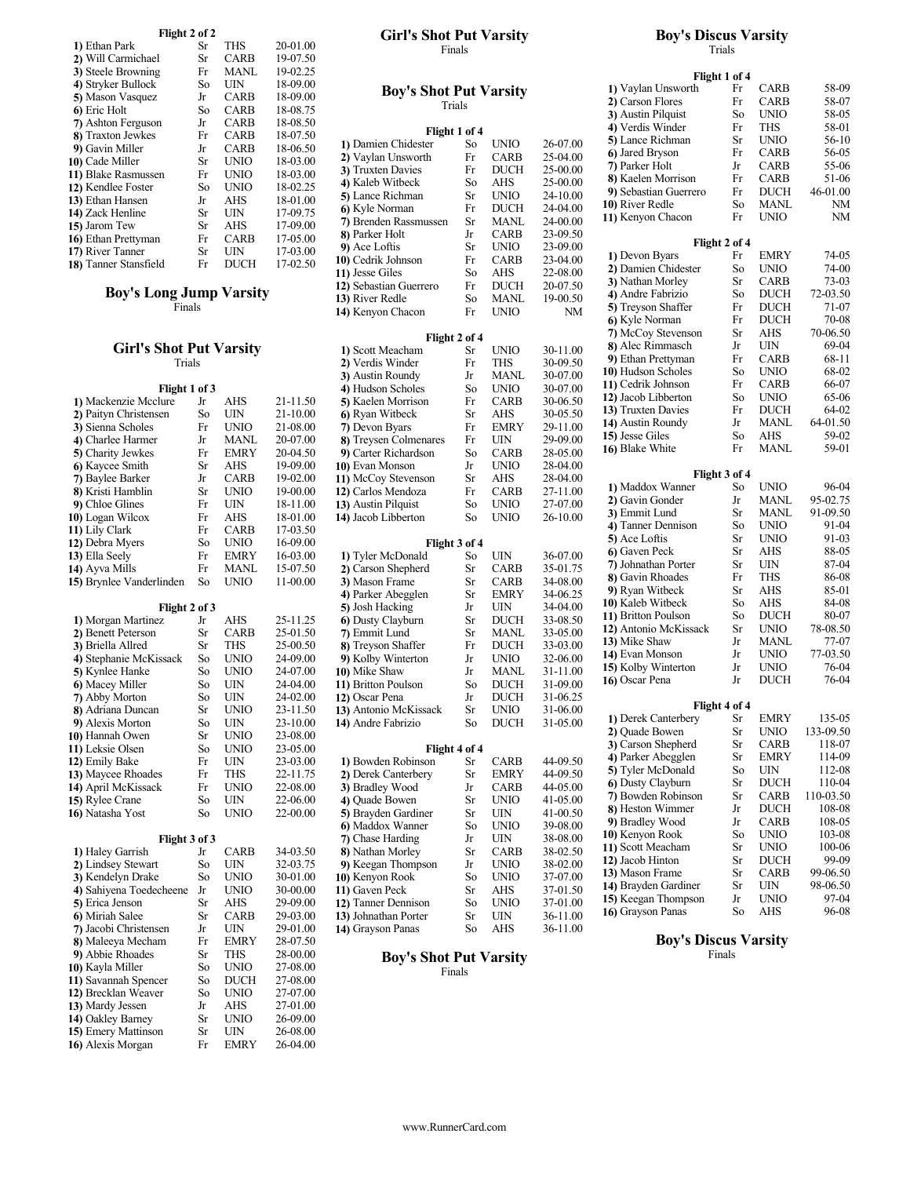|                       | Flight 2 of 2 |             |          | <b>Girl's Shot Put Varsity</b> |              |             |          |  |
|-----------------------|---------------|-------------|----------|--------------------------------|--------------|-------------|----------|--|
| 1) Ethan Park         | Sr            | THS         | 20-01.00 | Finals                         |              |             |          |  |
| 2) Will Carmichael    | Sr            | CARB        | 19-07.50 |                                |              |             |          |  |
| 3) Steele Browning    | Fr            | MANL        | 19-02.25 |                                |              |             |          |  |
| 4) Stryker Bullock    | So            | UIN         | 18-09.00 |                                |              |             |          |  |
| 5) Mason Vasquez      | Jr            | <b>CARB</b> | 18-09.00 | <b>Boy's Shot Put Varsity</b>  |              |             |          |  |
| 6 Eric Holt           | So            | <b>CARB</b> | 18-08.75 | Trials                         |              |             |          |  |
| 7) Ashton Ferguson    | Jr            | CARB        | 18-08.50 |                                |              |             |          |  |
| 8) Traxton Jewkes     | Fr            | CARB        | 18-07.50 | Flight 1 of 4                  |              |             |          |  |
| 9) Gavin Miller       | Jr            | CARB        | 18-06.50 | 1) Damien Chidester            | So           | UNIO        | 26-07.00 |  |
| 10) Cade Miller       | Sr            | UNIO        | 18-03.00 | 2) Vaylan Unsworth             | Fr           | <b>CARB</b> | 25-04.00 |  |
| 11) Blake Rasmussen   | Fr            | UNIO        | 18-03.00 | 3) Truxten Davies              | Fr           | <b>DUCH</b> | 25-00.00 |  |
| 12) Kendlee Foster    | So            | UNIO        | 18-02.25 | 4) Kaleb Witbeck               | So           | AHS         | 25-00.00 |  |
| 13) Ethan Hansen      | Jr            | AHS         | 18-01.00 | 5) Lance Richman               | Sr           | UNIO        | 24-10.00 |  |
| 14) Zack Henline      | Sr            | UIN         | 17-09.75 | 6) Kyle Norman                 | Fr           | <b>DUCH</b> | 24-04.00 |  |
| 15) Jarom Tew         | Sr            | AHS         | 17-09.00 | 7) Brenden Rassmussen          | Sr           | MANL        | 24-00.00 |  |
| 16) Ethan Prettyman   | Fr            | <b>CARB</b> | 17-05.00 | 8) Parker Holt                 | Jr           | <b>CARB</b> | 23-09.50 |  |
| 17) River Tanner      | Sr            | UIN         | 17-03.00 | 9) Ace Loftis                  | Sr           | <b>UNIO</b> | 23-09.00 |  |
| 18) Tanner Stansfield | Fr            | DUCH        | 17-02.50 | 10) Cedrik Johnson             | Fr           | CARB        | 23-04.00 |  |
|                       |               |             |          | 11) Jesse Giles                | $S_{\Omega}$ | ΔHS         | 22-08.00 |  |

## Boy's Long Jump Varsity  $\frac{12}{13}$

Finals  $\begin{bmatrix} 13 \\ 14 \end{bmatrix}$ 

# Girl's Shot Put Varsity 1

#### Trials 2)<br>3 **Flight 1 of 3**<br>
lure Jr AHS 21-11.50 5) 1) Mackenzie Mcclure Jr AHS 21-11.50 5)<br>
2) Paityn Christensen So UIN 21-10.00 6) 2) Paityn Christensen So UIN 21-10.00 6) Ryan Witbeck Sr AHS 30-05.50<br>
3) Sienna Scholes Fr UNIO 21-08.00 7) Devon Byars Fr EMRY 29-11.00 3) Sienna Scholes Fr UNIO 21-08.00 7) Devon Byars Fr EMRY 29-11.00<br>4) Charlee Harmer Jr MANL 20-07.00 8) Treysen Colmenares Fr UIN 29-09.00 4) Charlee Harmer Jr MANL 20-07.00<br>5) Charity Jewkes Fr EMRY 20-04.50 5) Charity Jewkes Fr EMRY 20-04.50 9) Carter Richardson So CARB 28-05.00<br>
6) Kaycee Smith Sr AHS 19-09.00 10) Evan Monson Jr UNIO 28-04.00 **6)** Kaycee Smith Sr AHS 19-09.00 **10**<br> **7)** Baylee Barker Jr CARB 19-02.00 **11** 7) Baylee Barker Jr CARB 19-02.00 11) McCoy Stevenson Sr AHS 28-04.00<br>
8) Kristi Hamblin Sr UNIO 19-00.00 12) Carlos Mendoza Fr CARB 27-11.00 8) Kristi Hamblin Sr UNIO 19-00.00 12) Carlos Mendoza Fr CARB 27-11.00<br>
9) Chloe Glines Fr UIN 18-11.00 13) Austin Pilquist So UNIO 27-07.00 9) Chloe Glines Fr UIN 18-11.00 13) Austin Pilquist So UNIO 27-07.00<br>10) Logan Wilcox Fr AHS 18-01.00 14) Jacob Libberton So UNIO 26-10.00 **10)** Logan Wilcox Fr AHS 18-01.00 **14)**<br> **11)** Lily Clark Fr CARB 17-03.50 11) Lily Clark Fr CARB 17-03.50<br>
12) Debra Myers So UNIO 16-09.00 12) Debra Myers So UNIO 16-09.00 Flight 3 of 4<br>
13) Ella Seely Fr EMRY 16-03.00 1) Tyler McDonald So UIN 36-07.00 13) Ella Seely Fr EMRY 16-03.00 1) Tyler McDonald So UIN 36-07.00<br>14) Ayva Mills Fr MANL 15-07.50 2) Carson Shepherd Sr CARB 35-01.75 14) Ayva Mills Fr MANL 15-07.50 2)<br>15) Brynlee Vanderlinden So UNIO 11-00.00 3) 15) Brynlee Vanderlinden So UNIO 11-00.00 3) Mason Frame Sr CARB 34-08.00<br>4) Parker Abegglen Sr EMRY 34-06.25 Flight 2 of 3 5<br>  $\frac{1}{2}$  5  $\frac{1}{25}$  5  $\frac{5}{6}$ 1) Morgan Martinez Jr AHS 25-11.25<br>2) Benett Peterson Sr CARB 25-01.50 2) Benett Peterson Sr CARB 25-01.50 7) Emmit Lund Sr MANL 33-05.00<br>
3) Briella Allred Sr THS 25-00.50 8) Treyson Shaffer Fr DUCH 33-03.00 3) Briella Allred Sr THS 25-00.50 8)<br>4) Stephanie McKissack So UNIO 24-09.00 9) 4) Stephanie McKissack So UNIO 24-09.00 9) Kolby Winterton Jr UNIO 32-06.00<br>5) Kynlee Hanke So UNIO 24-07.00 10) Mike Shaw Jr MANL 31-11.00 5) Kynlee Hanke So UNIO 24-07.00 10) Mike Shaw Jr MANL 31-11.00<br>
6) Macey Miller So UIN 24-04.00 11) Britton Poulson So DUCH 31-09.00 6) Macey Miller So UIN 24-04.00 11) 7) Abby Morton So UIN 24-02.00 12) Oscar Pena Jr DUCH 31-06.25<br>
8) Adriana Duncan Sr UNIO 23-11.50 13) Antonio McKissack Sr UNIO 31-06.00 8) Adriana Duncan Sr UNIO 23-11.50 13) Antonio McKissack Sr UNIO 31-06.00<br>
9) Alexis Morton So UIN 23-10.00 14) Andre Fabrizio So DUCH 31-05.00 9) Alexis Morton So UIN 23-10.00 14)<br>10) Hannah Owen Sr UNIO 23-08.00 10) Hannah Owen Sr UNIO 23-08.00<br>11) Leksie Olsen So UNIO 23-05.00 11) Leksie Olsen So UNIO 23-05.00 Flight 4 of 4<br>
12) Emily Bake Fr UIN 23-03.00 1) Bowden Robinson Sr CARB 44-09.50 12) Emily Bake Fr UIN 23-03.00 1) Bowden Robinson Sr CARB 44-09.50<br>13) Maycee Rhoades Fr THS 22-11.75 2) Derek Canterbery Sr EMRY 44-09.50 13) Maycee Rhoades Fr THS 22-11.75 2) 14) April McKissack Fr UNIO 22-08.00 3) Bradley Wood Jr CARB 44-05.00<br>15) Rylee Crane So UIN 22-06.00 4) Quade Bowen Sr UNIO 41-05.00 15) Rylee Crane So UIN 22-06.00 4) Quade Bowen Sr UNIO 41-05.00<br>16) Natasha Yost So UNIO 22-00.00 5) Brayden Gardiner Sr UIN 41-00.50 16) Natasha Yost So UNIO 22-00.00 5) Brayden Gardiner Sr UIN 41-00.50<br>6 Maddox Wanner So UNIO 39-08.00 Flight 3 of 3 6<br>
J<sub>r</sub> CARB 34-03.50 8 1) Haley Garrish Jr CARB 34-03.50 8) Nathan Morley Sr CARB 38-02.50<br>2) Lindsey Stewart So UIN 32-03.75 9) Keegan Thompson Jr UNIO 38-02.00 2) Lindsey Stewart So UIN 32-03.75 9)<br>3) Kendelyn Drake So UNIO 30-01.00 10) 3) Kendelyn Drake So UNIO 30-01.00 10) Kenyon Rook So UNIO 37-07.00<br>4) Sahiyena Toedecheene Jr UNIO 30-00.00 11) Gaven Peck Sr AHS 37-01.50 4) Sahiyena Toedecheene Jr UNIO 30-00.00 11) Gaven Peck Sr AHS 37-01.50<br>5) Erica Jenson Sr AHS 29-09.00 12) Tanner Dennison So UNIO 37-01.00 5) Erica Jenson Sr AHS 29-09.00 12)<br>
6) Miriah Salee Sr CARB 29-03.00 13) 6) Miriah Salee Sr CARB 29-03.00 13) Johnathan Porter Sr UIN 36-11.00<br>
7) Jacobi Christensen Jr UIN 29-01.00 14) Grayson Panas So AHS 36-11.00 7) Jacobi Christensen Jr UIN 29-01.00 8) Maleeya Mecham Fr EMRY 28-07.50<br>9) Abbie Rhoades Sr THS 28-00.00 9) Abbie Rhoades Sr THS 28-00.00<br>
0) Kavla Miller So UNIO 27-08.00 10) Kayla Miller So UNIO 27-08.00<br>11) Savannah Spencer So DUCH 27-08.00 11) Savannah Spencer<br>
12) Brecklan Weaver<br>
12 Brecklan Weaver<br>
13 O UNIO 27-07.00

12) Brecklan Weaver So UNIO 27-07.00<br>
13) Mardy Jessen Jr AHS 27-01.00 **13)** Mardy Jessen Jr AHS 27-01.00<br> **14)** Oakley Barney Sr UNIO 26-09.00 14) Oakley Barney Sr UNIO 26-09.00<br>15) Emery Mattinson Sr UIN 26-08.00 15) Emery Mattinson Sr UIN 26-08.00<br>16) Alexis Morgan Fr EMRY 26-04.00

16) Alexis Morgan

| <b>Girl's Shot Put Varsity</b> | <b>Boy's Discus Varsity</b> |  |
|--------------------------------|-----------------------------|--|
| Finals                         | rials                       |  |

|                                         |          |                     |                      | 1) Vaylan Unsworth          | Flight 1 of 4<br>Fr | <b>CARB</b> | 58-09     |
|-----------------------------------------|----------|---------------------|----------------------|-----------------------------|---------------------|-------------|-----------|
| <b>Boy's Shot Put Varsity</b>           |          |                     |                      | 2) Carson Flores            | Fr                  | <b>CARB</b> | 58-07     |
| Trials                                  |          |                     |                      | 3) Austin Pilquist          | So                  | <b>UNIO</b> | 58-05     |
|                                         |          |                     |                      | 4) Verdis Winder            | Fr                  | THS         | 58-01     |
| Flight 1 of 4                           |          |                     |                      | 5) Lance Richman            | Sr                  | <b>UNIO</b> | 56-10     |
| 1) Damien Chidester                     | So       | <b>UNIO</b>         | 26-07.00             | 6) Jared Bryson             | Fr                  | <b>CARB</b> | 56-05     |
| 2) Vaylan Unsworth<br>3) Truxten Davies | Fr<br>Fr | <b>CARB</b><br>DUCH | 25-04.00<br>25-00.00 | 7) Parker Holt              | Jr                  | CARB        | 55-06     |
| 4) Kaleb Witbeck                        | So       | AHS                 | 25-00.00             | 8) Kaelen Morrison          | Fr                  | CARB        | 51-06     |
| 5) Lance Richman                        | Sr       | <b>UNIO</b>         | 24-10.00             | 9) Sebastian Guerrero       | Fr                  | <b>DUCH</b> | 46-01.00  |
| 6) Kyle Norman                          | Fr       | DUCH                | 24-04.00             | 10) River Redle             | So                  | <b>MANL</b> | NΜ        |
|                                         | Sr       | MANL                | 24-00.00             | 11) Kenyon Chacon           | Fr                  | <b>UNIO</b> | NM        |
| 7) Brenden Rassmussen                   |          |                     |                      |                             |                     |             |           |
| 8) Parker Holt                          | Jr       | <b>CARB</b>         | 23-09.50             |                             | Flight 2 of 4       |             |           |
| 9) Ace Loftis                           | Sr       | <b>UNIO</b>         | 23-09.00             | 1) Devon Byars              | Fr                  | <b>EMRY</b> | 74-05     |
| 10) Cedrik Johnson                      | Fr       | <b>CARB</b>         | 23-04.00             | 2) Damien Chidester         | So                  | <b>UNIO</b> | 74-00     |
| 11) Jesse Giles                         | So       | AHS                 | 22-08.00             | 3) Nathan Morley            | Sr                  | <b>CARB</b> | 73-03     |
| 12) Sebastian Guerrero                  | Fr       | <b>DUCH</b>         | 20-07.50             | 4) Andre Fabrizio           | So                  | <b>DUCH</b> | 72-03.50  |
| 13) River Redle                         | So       | MANL                | 19-00.50             | 5) Treyson Shaffer          | Fr                  | <b>DUCH</b> | 71-07     |
| 14) Kenyon Chacon                       | Fr       | <b>UNIO</b>         | NM                   | 6) Kyle Norman              | Fr                  | <b>DUCH</b> | 70-08     |
|                                         |          |                     |                      | 7) McCoy Stevenson          | Sr                  | AHS         | 70-06.50  |
| Flight 2 of 4                           |          |                     |                      | 8) Alec Rimmasch            | Jr                  | UIN         | 69-04     |
| 1) Scott Meacham                        | Sr       | <b>UNIO</b>         | 30-11.00             | 9) Ethan Prettyman          | Fr                  | CARB        | 68-11     |
| 2) Verdis Winder                        | Fr       | <b>THS</b>          | 30-09.50             | 10) Hudson Scholes          | So                  | <b>UNIO</b> | 68-02     |
| 3) Austin Roundy                        | Jr       | MANL                | 30-07.00             | 11) Cedrik Johnson          | Fr                  | <b>CARB</b> | 66-07     |
| 4) Hudson Scholes                       | So       | <b>UNIO</b>         | 30-07.00             | 12) Jacob Libberton         | So                  | <b>UNIO</b> | 65-06     |
| 5) Kaelen Morrison                      | Fr       | <b>CARB</b>         | 30-06.50             | 13) Truxten Davies          | Fr                  | <b>DUCH</b> | 64-02     |
| 6) Ryan Witbeck                         | Sr       | AHS                 | 30-05.50             | 14) Austin Roundy           | Jr                  | MANL        | 64-01.50  |
| 7) Devon Byars                          | Fr       | <b>EMRY</b>         | 29-11.00             | 15) Jesse Giles             | So                  | AHS         | 59-02     |
| 8) Treysen Colmenares                   | Fr       | UIN                 | 29-09.00             | 16) Blake White             | Fr                  | MANL        | 59-01     |
| 9) Carter Richardson                    | So       | <b>CARB</b>         | 28-05.00             |                             |                     |             |           |
| 10) Evan Monson                         | Jr       | <b>UNIO</b>         | 28-04.00             |                             | Flight 3 of 4       |             |           |
| 11) McCoy Stevenson                     | Sr       | AHS                 | 28-04.00             | 1) Maddox Wanner            | So                  | <b>UNIO</b> | 96-04     |
| 12) Carlos Mendoza                      | Fr       | <b>CARB</b>         | 27-11.00             | 2) Gavin Gonder             | Jr                  | <b>MANL</b> | 95-02.75  |
| 13) Austin Pilquist                     | So       | <b>UNIO</b>         | 27-07.00             | 3) Emmit Lund               | Sr                  | MANL        | 91-09.50  |
| 14) Jacob Libberton                     | So       | <b>UNIO</b>         | 26-10.00             | 4) Tanner Dennison          | So                  | <b>UNIO</b> | 91-04     |
|                                         |          |                     |                      | 5) Ace Loftis               | Sr                  | <b>UNIO</b> | 91-03     |
| Flight 3 of 4                           |          |                     |                      | 6) Gaven Peck               | Sr                  | AHS         | 88-05     |
| 1) Tyler McDonald                       | So       | UIN                 | 36-07.00             |                             |                     |             |           |
| 2) Carson Shepherd                      | Sr       | <b>CARB</b>         | 35-01.75             | 7) Johnathan Porter         | Sr                  | UIN         | 87-04     |
| 3) Mason Frame                          | Sr       | <b>CARB</b>         | 34-08.00             | 8) Gavin Rhoades            | Fr                  | <b>THS</b>  | 86-08     |
| 4) Parker Abegglen                      | Sr       | <b>EMRY</b>         | 34-06.25             | 9) Ryan Witbeck             | Sr                  | <b>AHS</b>  | 85-01     |
| 5) Josh Hacking                         | Jr       | UIN                 | 34-04.00             | 10) Kaleb Witbeck           | So                  | AHS         | 84-08     |
| 6) Dusty Clayburn                       | Sr       | <b>DUCH</b>         | 33-08.50             | 11) Britton Poulson         | So                  | <b>DUCH</b> | 80-07     |
| 7) Emmit Lund                           | Sr       | MANL                | 33-05.00             | 12) Antonio McKissack       | Sr                  | <b>UNIO</b> | 78-08.50  |
| 8) Treyson Shaffer                      | Fr       | DUCH                | 33-03.00             | 13) Mike Shaw               | Jr                  | MANL        | 77-07     |
| 9) Kolby Winterton                      | Jr       | <b>UNIO</b>         | 32-06.00             | 14) Evan Monson             | Jr                  | <b>UNIO</b> | 77-03.50  |
| <b>10)</b> Mike Shaw                    | Jr       | MANL                | 31-11.00             | 15) Kolby Winterton         | Jr                  | <b>UNIO</b> | 76-04     |
| 11) Britton Poulson                     | So       | <b>DUCH</b>         | 31-09.00             | 16) Oscar Pena              | Jr                  | <b>DUCH</b> | 76-04     |
| 12) Oscar Pena                          | Jr       | DUCH                | 31-06.25             |                             |                     |             |           |
| 13) Antonio McKissack                   | Sr       | <b>UNIO</b>         | 31-06.00             |                             | Flight 4 of 4       |             |           |
| 14) Andre Fabrizio                      | So       | <b>DUCH</b>         | 31-05.00             | 1) Derek Canterbery         | Sr                  | <b>EMRY</b> | 135-05    |
|                                         |          |                     |                      | 2) Quade Bowen              | Sr                  | <b>UNIO</b> | 133-09.50 |
| Flight 4 of 4                           |          |                     |                      | 3) Carson Shepherd          | Sr                  | CARB        | 118-07    |
| 1) Bowden Robinson                      | Sr       | CARB                | 44-09.50             | 4) Parker Abegglen          | Sr                  | <b>EMRY</b> | 114-09    |
| 2) Derek Canterbery                     | Sr       | <b>EMRY</b>         | 44-09.50             | 5) Tyler McDonald           | So                  | UIN         | 112-08    |
| 3) Bradley Wood                         | Jr       | <b>CARB</b>         | 44-05.00             | 6) Dusty Clayburn           | Sr                  | DUCH        | 110-04    |
| 4) Quade Bowen                          | Sr       | <b>UNIO</b>         | 41-05.00             | 7) Bowden Robinson          | Sr                  | CARB        | 110-03.50 |
| 5) Brayden Gardiner                     | Sr       | <b>UIN</b>          | 41-00.50             | 8) Heston Wimmer            | Jr                  | <b>DUCH</b> | 108-08    |
| 6) Maddox Wanner                        | So       | <b>UNIO</b>         | 39-08.00             | 9) Bradley Wood             | Jr                  | CARB        | 108-05    |
| 7) Chase Harding                        | Jr       | UIN                 | 38-08.00             | 10) Kenyon Rook             | So                  | <b>UNIO</b> | 103-08    |
| 8) Nathan Morley                        | Sr       | <b>CARB</b>         | 38-02.50             | 11) Scott Meacham           | Sr                  | <b>UNIO</b> | 100-06    |
| 9) Keegan Thompson                      | Jr       | <b>UNIO</b>         | 38-02.00             | 12) Jacob Hinton            | Sr                  | <b>DUCH</b> | 99-09     |
| 10) Kenyon Rook                         | So       | <b>UNIO</b>         | 37-07.00             | 13) Mason Frame             | Sr                  | CARB        | 99-06.50  |
| 11) Gaven Peck                          | Sr       | AHS                 | 37-01.50             | 14) Brayden Gardiner        | Sr                  | UIN         | 98-06.50  |
| 12) Tanner Dennison                     | So       | <b>UNIO</b>         |                      | 15) Keegan Thompson         | Jr                  | <b>UNIO</b> | 97-04     |
|                                         | Sr       | UIN                 | 37-01.00             | 16) Grayson Panas           | So                  | AHS         | 96-08     |
| 13) Johnathan Porter                    |          |                     | 36-11.00             |                             |                     |             |           |
| 14) Grayson Panas                       | So       | AHS                 | 36-11.00             | <b>Boy's Discus Varsity</b> |                     |             |           |
|                                         |          |                     |                      |                             |                     |             |           |
| <b>Boy's Shot Put Varsity</b>           |          |                     |                      |                             | Finals              |             |           |

# Trials

|                               |               |             |          |                       | Flight 1 of 4 |             |           |  |
|-------------------------------|---------------|-------------|----------|-----------------------|---------------|-------------|-----------|--|
| <b>Boy's Shot Put Varsity</b> |               |             |          | 1) Vaylan Unsworth    | Fr            | <b>CARB</b> | 58-09     |  |
|                               | Trials        |             |          | 2) Carson Flores      | Fr            | <b>CARB</b> | 58-07     |  |
|                               |               |             |          | 3) Austin Pilquist    | So            | <b>UNIO</b> | 58-05     |  |
|                               | Flight 1 of 4 |             |          | 4) Verdis Winder      | Fr            | THS         | 58-01     |  |
| 1) Damien Chidester           | So            | <b>UNIO</b> | 26-07.00 | 5) Lance Richman      | Sr            | <b>UNIO</b> | 56-10     |  |
| 2) Vaylan Unsworth            | Fr            | <b>CARB</b> | 25-04.00 | 6) Jared Bryson       | Fr            | <b>CARB</b> | 56-05     |  |
| 3) Truxten Davies             | Fr            | <b>DUCH</b> | 25-00.00 | 7) Parker Holt        | Jr            | <b>CARB</b> | 55-06     |  |
| 4) Kaleb Witbeck              | So            | <b>AHS</b>  | 25-00.00 | 8) Kaelen Morrison    | Fr            | <b>CARB</b> | 51-06     |  |
| <b>5)</b> Lance Richman       | Sr            | <b>UNIO</b> | 24-10.00 | 9) Sebastian Guerrero | Fr            | <b>DUCH</b> | 46-01.00  |  |
| 6) Kyle Norman                | Fr            | <b>DUCH</b> | 24-04.00 | 10) River Redle       | So            | MANL        | NΜ        |  |
| 7) Brenden Rassmussen         | Sr            | MANL        | 24-00.00 | 11) Kenyon Chacon     | Fr            | <b>UNIO</b> | NM        |  |
| 8) Parker Holt                | Jr            | <b>CARB</b> | 23-09.50 |                       |               |             |           |  |
| 9) Ace Loftis                 | Sr            | <b>UNIO</b> | 23-09.00 |                       | Flight 2 of 4 |             |           |  |
| 10) Cedrik Johnson            | Fr            | <b>CARB</b> | 23-04.00 | 1) Devon Byars        | Fr            | <b>EMRY</b> | 74-05     |  |
| 11) Jesse Giles               | So            | <b>AHS</b>  | 22-08.00 | 2) Damien Chidester   | So            | <b>UNIO</b> | 74-00     |  |
| 12) Sebastian Guerrero        | Fr            | <b>DUCH</b> | 20-07.50 | 3) Nathan Morley      | Sr            | <b>CARB</b> | $73-03$   |  |
| 13) River Redle               | So            | MANL        | 19-00.50 | 4) Andre Fabrizio     | So            | <b>DUCH</b> | 72-03.50  |  |
| 14) Kenyon Chacon             | Fr            | <b>UNIO</b> | NM       | 5) Treyson Shaffer    | Fr            | <b>DUCH</b> | 71-07     |  |
|                               |               |             |          | 6) Kyle Norman        | Fr            | <b>DUCH</b> | 70-08     |  |
|                               | Flight 2 of 4 |             |          | 7) McCoy Stevenson    | Sr            | AHS         | 70-06.50  |  |
| 1) Scott Meacham              | Sr            | <b>UNIO</b> | 30-11.00 | 8) Alec Rimmasch      | Jr            | <b>UIN</b>  | 69-04     |  |
| 2) Verdis Winder              | Fr            | <b>THS</b>  | 30-09.50 | 9) Ethan Prettyman    | Fr            | <b>CARB</b> | 68-11     |  |
| 3) Austin Roundy              | Jr            | MANL        | 30-07.00 | 10) Hudson Scholes    | So            | <b>UNIO</b> | 68-02     |  |
| 4) Hudson Scholes             | So            | <b>UNIO</b> | 30-07.00 | 11) Cedrik Johnson    | Fr            | <b>CARB</b> | 66-07     |  |
| 5) Kaelen Morrison            | Fr            | <b>CARB</b> | 30-06.50 | 12) Jacob Libberton   | So            | <b>UNIO</b> | 65-06     |  |
| 6) Ryan Witbeck               | Sr            | AHS         | 30-05.50 | 13) Truxten Davies    | Fr            | <b>DUCH</b> | 64-02     |  |
| 7) Devon Byars                | Fr            | <b>EMRY</b> | 29-11.00 | 14) Austin Roundy     | Jr            | MANL        | 64-01.50  |  |
| 8) Treysen Colmenares         | Fr            | UIN         | 29-09.00 | 15) Jesse Giles       | So            | AHS         | 59-02     |  |
| 9) Carter Richardson          | So            | <b>CARB</b> | 28-05.00 | 16) Blake White       | Fr            | <b>MANL</b> | 59-01     |  |
| <b>10)</b> Evan Monson        | Jr            | <b>UNIO</b> | 28-04.00 |                       |               |             |           |  |
| 11) McCoy Stevenson           | Sr            | AHS         | 28-04.00 |                       | Flight 3 of 4 |             |           |  |
| 12) Carlos Mendoza            | Fr            | <b>CARB</b> | 27-11.00 | 1) Maddox Wanner      | So            | <b>UNIO</b> | 96-04     |  |
| 13) Austin Pilquist           | So            | <b>UNIO</b> | 27-07.00 | 2) Gavin Gonder       | Jr            | <b>MANL</b> | 95-02.75  |  |
| 14) Jacob Libberton           | So            | <b>UNIO</b> | 26-10.00 | 3) Emmit Lund         | Sr            | MANL        | 91-09.50  |  |
|                               |               |             |          | 4) Tanner Dennison    | So            | <b>UNIO</b> | 91-04     |  |
|                               | Flight 3 of 4 |             |          | 5) Ace Loftis         | Sr            | <b>UNIO</b> | 91-03     |  |
| 1) Tyler McDonald             | So            | UIN         | 36-07.00 | 6) Gaven Peck         | Sr            | AHS         | 88-05     |  |
| 2) Carson Shepherd            | Sr            | <b>CARB</b> | 35-01.75 | 7) Johnathan Porter   | Sr            | <b>UIN</b>  | 87-04     |  |
| 3) Mason Frame                | Sr            | <b>CARB</b> | 34-08.00 | 8) Gavin Rhoades      | Fr            | <b>THS</b>  | 86-08     |  |
| 4) Parker Abegglen            | Sr            | <b>EMRY</b> | 34-06.25 | 9) Ryan Witbeck       | Sr            | AHS         | 85-01     |  |
| 5) Josh Hacking               | Jr            | <b>UIN</b>  | 34-04.00 | 10) Kaleb Witbeck     | So            | AHS         | 84-08     |  |
| 6) Dusty Clayburn             | Sr            | <b>DUCH</b> | 33-08.50 | 11) Britton Poulson   | So            | <b>DUCH</b> | 80-07     |  |
| 7) Emmit Lund                 | Sr            | MANL        | 33-05.00 | 12) Antonio McKissack | Sr            | <b>UNIO</b> | 78-08.50  |  |
| 8) Treyson Shaffer            | Fr            | <b>DUCH</b> | 33-03.00 | 13) Mike Shaw         | Jr            | MANL        | 77-07     |  |
| 9) Kolby Winterton            | Jr            | <b>UNIO</b> | 32-06.00 | 14) Evan Monson       | Jr            | <b>UNIO</b> | 77-03.50  |  |
| 10) Mike Shaw                 | Jr            | <b>MANL</b> | 31-11.00 | 15) Kolby Winterton   | Jr            | <b>UNIO</b> | 76-04     |  |
| 11) Britton Poulson           | So            | <b>DUCH</b> | 31-09.00 | 16) Oscar Pena        | Jr            | <b>DUCH</b> | 76-04     |  |
| 12) Oscar Pena                | Jr            | <b>DUCH</b> | 31-06.25 |                       |               |             |           |  |
| 13) Antonio McKissack         | Sr            | <b>UNIO</b> | 31-06.00 |                       | Flight 4 of 4 |             |           |  |
| 14) Andre Fabrizio            | So            | <b>DUCH</b> | 31-05.00 | 1) Derek Canterbery   | Sr            | <b>EMRY</b> | 135-05    |  |
|                               |               |             |          | 2) Quade Bowen        | Sr            | UNIO        | 133-09.50 |  |
|                               | Flight 4 of 4 |             |          | 3) Carson Shepherd    | Sr            | <b>CARB</b> | 118-07    |  |
| 1) Bowden Robinson            | Sr            | <b>CARB</b> | 44-09.50 | 4) Parker Abegglen    | Sr            | <b>EMRY</b> | 114-09    |  |
| 2) Derek Canterbery           | Sr            | <b>EMRY</b> | 44-09.50 | 5) Tyler McDonald     | So            | UIN         | 112-08    |  |
| 3) Bradley Wood               | Jr            | <b>CARB</b> | 44-05.00 | 6) Dusty Clayburn     | Sr            | <b>DUCH</b> | 110-04    |  |
| 4) Quade Bowen                | Sr            | <b>UNIO</b> | 41-05.00 | 7) Bowden Robinson    | Sr            | CARB        | 110-03.50 |  |
| 5) Brayden Gardiner           | Sr            | UIN         | 41-00.50 | 8) Heston Wimmer      | Jr            | <b>DUCH</b> | 108-08    |  |
| 6) Maddox Wanner              | So            | <b>UNIO</b> | 39-08.00 | 9) Bradley Wood       | Jr            | <b>CARB</b> | 108-05    |  |
| 7) Chase Harding              | Jr            | UIN         | 38-08.00 | 10) Kenyon Rook       | So            | <b>UNIO</b> | 103-08    |  |
| 8) Nathan Morley              | Sr            | <b>CARB</b> | 38-02.50 | 11) Scott Meacham     | Sr            | <b>UNIO</b> | 100-06    |  |
| 9) Keegan Thompson            | Jr            | <b>UNIO</b> | 38-02.00 | 12) Jacob Hinton      | Sr            | <b>DUCH</b> | 99-09     |  |
| 10) Kenyon Rook               | So            | <b>UNIO</b> | 37-07.00 | 13) Mason Frame       | Sr            | <b>CARB</b> | 99-06.50  |  |
| 11) Gaven Peck                | Sr            | AHS         | 37-01.50 | 14) Brayden Gardiner  | Sr            | UIN         | 98-06.50  |  |
| 12) Tanner Dennison           | So            | UNIO        | 37-01.00 | 15) Keegan Thompson   | Jr            | <b>UNIO</b> | 97-04     |  |
|                               |               |             |          |                       |               |             |           |  |

Finals

#### Boy's Discus Varsity Finals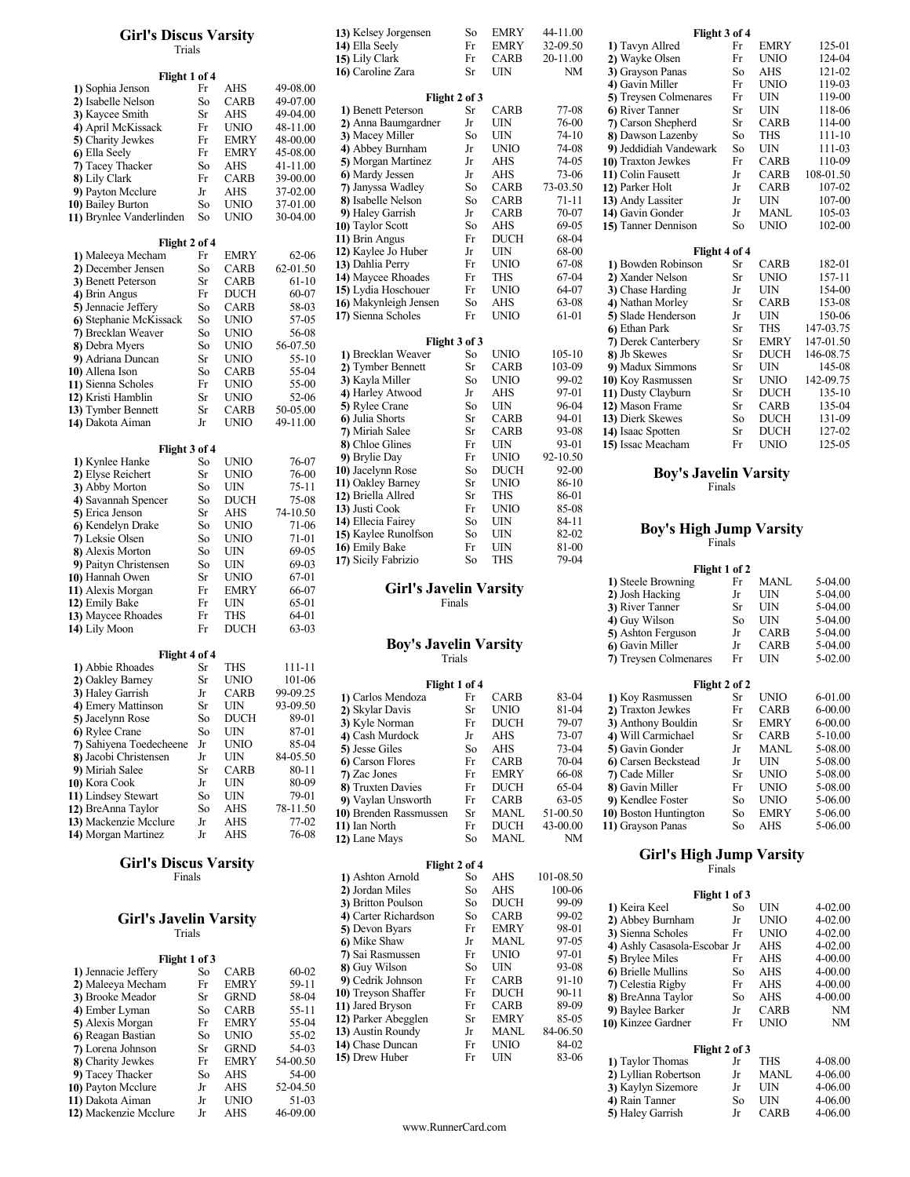### Girl's Discus Varsity 13) Kelsey Jorgensen So Trials  $\qquad \qquad \text{I4}$ ) Ella Se

|                          |           |                    |           | 15) Lify Clark               | 1.1           | <b>UAND</b> | 20-11.00  |  |
|--------------------------|-----------|--------------------|-----------|------------------------------|---------------|-------------|-----------|--|
| Flight 1 of 4            |           |                    |           | 16) Caroline Zara            | Sr            | UIN         | NM        |  |
| 1) Sophia Jenson         | Fr        | AHS                | 49-08.00  |                              |               |             |           |  |
| 2) Isabelle Nelson       | So        | CARB               | 49-07.00  | Flight 2 of 3                |               |             |           |  |
| 3) Kaycee Smith          | Sr        | AHS                | 49-04.00  | 1) Benett Peterson           | Sr            | CARB        | 77-08     |  |
| 4) April McKissack       | Fr        | <b>UNIO</b>        | 48-11.00  | 2) Anna Baumgardner          | Jr            | UIN         | 76-00     |  |
|                          | Fr        | <b>EMRY</b>        | 48-00.00  | 3) Macey Miller              | So            | UIN         | $74 - 10$ |  |
| 5) Charity Jewkes        |           |                    |           | 4) Abbey Burnham             | Jr            | UNIO        | 74-08     |  |
| 6) Ella Seely            | Fr        | <b>EMRY</b>        | 45-08.00  | 5) Morgan Martinez           | Jr            | AHS         | 74-05     |  |
| 7) Tacey Thacker         | So        | AHS<br><b>CARB</b> | 41-11.00  | 6) Mardy Jessen              | Jr            | AHS         | 73-06     |  |
| 8) Lily Clark            | Fr        |                    | 39-00.00  | 7) Janyssa Wadley            | So            | CARB        | 73-03.50  |  |
| 9) Payton Mcclure        | Jr        | AHS                | 37-02.00  | 8) Isabelle Nelson           | So            | <b>CARB</b> | 71-11     |  |
| 10) Bailey Burton        | So        | <b>UNIO</b>        | 37-01.00  | 9) Haley Garrish             | Jr            | CARB        | 70-07     |  |
| 11) Brynlee Vanderlinden | So        | <b>UNIO</b>        | 30-04.00  | 10) Taylor Scott             | So            | AHS         | 69-05     |  |
|                          |           |                    |           | 11) Brin Angus               | Fr            | <b>DUCH</b> | 68-04     |  |
| Flight 2 of 4            |           |                    |           | 12) Kaylee Jo Huber          | Jr            | UIN         | 68-00     |  |
| 1) Maleeya Mecham        | Fr        | <b>EMRY</b>        | $62 - 06$ | 13) Dahlia Perry             | Fr            | UNIO        | 67-08     |  |
| 2) December Jensen       | So        | CARB               | 62-01.50  | 14) Maycee Rhoades           | Fr            | THS         | 67-04     |  |
| 3) Benett Peterson       | Sr        | CARB               | 61-10     | 15) Lydia Hoschouer          | Fr            | UNIO        | 64-07     |  |
| 4) Brin Angus            | Fr        | DUCH               | 60-07     | 16) Makynleigh Jensen        | So            | AHS         | 63-08     |  |
| 5) Jennacie Jeffery      | So        | CARB               | 58-03     |                              | Fr            | UNIO        | 61-01     |  |
| 6) Stephanie McKissack   | So        | UNIO               | 57-05     | 17) Sienna Scholes           |               |             |           |  |
| 7) Brecklan Weaver       | So        | UNIO               | 56-08     | Flight 3 of 3                |               |             |           |  |
| 8) Debra Myers           | So        | UNIO               | 56-07.50  |                              |               |             |           |  |
| 9) Adriana Duncan        | Sr        | UNIO               | 55-10     | 1) Brecklan Weaver           | So            | UNIO        | 105-10    |  |
| <b>10)</b> Allena Ison   | So        | CARB               | 55-04     | 2) Tymber Bennett            | Sr            | CARB        | 103-09    |  |
| 11) Sienna Scholes       | Fr        | UNIO               | 55-00     | 3) Kayla Miller              | So            | UNIO        | 99-02     |  |
| 12) Kristi Hamblin       | Sr        | UNIO               | 52-06     | 4) Harley Atwood             | Jr            | AHS         | 97-01     |  |
| 13) Tymber Bennett       | Sr        | <b>CARB</b>        | 50-05.00  | <b>5)</b> Rylee Crane        | So            | UIN         | 96-04     |  |
| 14) Dakota Aiman         | Jr        | UNIO               | 49-11.00  | 6) Julia Shorts              | Sr            | CARB        | 94-01     |  |
|                          |           |                    |           | 7) Miriah Salee              | Sr            | CARB        | 93-08     |  |
| Flight 3 of 4            |           |                    |           | 8) Chloe Glines              | Fr            | UIN         | 93-01     |  |
| 1) Kynlee Hanke          | So        | <b>UNIO</b>        | 76-07     | 9) Brylie Day                | Fr            | <b>UNIO</b> | 92-10.50  |  |
| 2) Elyse Reichert        | Sr        | UNIO               | 76-00     | 10) Jacelynn Rose            | So            | DUCH        | 92-00     |  |
| 3) Abby Morton           | So        | UIN                | 75-11     | 11) Oakley Barney            | Sr            | UNIO        | 86-10     |  |
| 4) Savannah Spencer      | So        | <b>DUCH</b>        | 75-08     | 12) Briella Allred           | Sr            | THS         | 86-01     |  |
| 5) Erica Jenson          | Sr        | AHS                | 74-10.50  | 13) Justi Cook               | Fr            | <b>UNIO</b> | 85-08     |  |
| 6) Kendelyn Drake        | So        | UNIO               | 71-06     | 14) Ellecia Fairey           | So            | UIN         | 84-11     |  |
| 7) Leksie Olsen          | So        | UNIO               | 71-01     | 15) Kaylee Runolfson         | So            | UIN         | 82-02     |  |
| 8) Alexis Morton         | So        | UIN                | 69-05     | 16) Emily Bake               | Fr            | UIN         | 81-00     |  |
| 9) Paityn Christensen    | So        | UIN                | 69-03     | 17) Sicily Fabrizio          | So            | THS         | 79-04     |  |
| 10) Hannah Owen          | Sr        | UNIO               | 67-01     |                              |               |             |           |  |
| 11) Alexis Morgan        | Fr        | <b>EMRY</b>        | 66-07     | Girl's Javelin Varsity       |               |             |           |  |
| 12) Emily Bake           | Fr        | UIN                | 65-01     | Finals                       |               |             |           |  |
| 13) Maycee Rhoades       | Fr        | THS                | 64-01     |                              |               |             |           |  |
| 14) Lily Moon            | Fr        | DUCH               | 63-03     |                              |               |             |           |  |
|                          |           |                    |           | <b>Boy's Javelin Varsity</b> |               |             |           |  |
| Flight 4 of 4            |           |                    |           | Trials                       |               |             |           |  |
| 1) Abbie Rhoades         | Sr        | THS                | 111-11    |                              |               |             |           |  |
| 2) Oakley Barney         | Sr        | <b>UNIO</b>        | 101-06    |                              | Flight 1 of 4 |             |           |  |
| 3) Haley Garrish         | Jr        | CARB               | 99-09.25  | 1) Carlos Mendoza            | Fr            | CARB        | 83-04     |  |
| 4) Emery Mattinson       | Sr        | UIN                | 93-09.50  | 2) Skylar Davis              | Sr            | UNIO        | 81-04     |  |
| 5) Jacelynn Rose         | So        | <b>DUCH</b>        | 89-01     | 3) Kyle Norman               | Fr            | DUCH        | 79-07     |  |
| 6) Rylee Crane           | So        | UIN                | 87-01     | 4) Cash Murdock              | Jr            | AHS         | 73-07     |  |
| 7) Sahiyena Toedecheene  | Jr        | <b>UNIO</b>        | 85-04     | 5) Jesse Giles               | So            | AHS         | 73-04     |  |
| 8) Jacobi Christensen    | Jr        | UIN                | 84-05.50  | 6) Carson Flores             | Fr            | CARB        | 70-04     |  |
| 9) Miriah Salee          | Sr        | CARB               | 80-11     | 7) Zac Jones                 | Fr            | EMRY        | 66-08     |  |
| 10) Kora Cook            | Jr        | UIN                | 80-09     |                              | Fr            | DUCH        | 65-04     |  |
| 11) Lindsey Stewart      | So        | UIN                | 79-01     | 8) Truxten Davies            | Fr            |             |           |  |
| 12) BreAnna Taylor       | So        | AHS                | 78-11.50  | 9) Vaylan Unsworth           |               | CARB        | 63-05     |  |
| 13) Mackenzie Mcclure    | Jr        | AHS                | 77-02     | 10) Brenden Rassmussen       | Sr            | MANL        | 51-00.50  |  |
| 14) Morgan Martinez      | <b>Ir</b> | ΔHS                | 76-08     | 11) Ian North                | Fr            | DUCH        | 43-00.00  |  |

## Girl's Discus Varsity<br>Finals 1 Finals 1

# Girl's Javelin Varsity  $\frac{4}{5}$

|                       | Trials        |             |           | 5) Devon Byars      | Fr | EMRY        | 98-01     |  |
|-----------------------|---------------|-------------|-----------|---------------------|----|-------------|-----------|--|
|                       |               |             |           | 6) Mike Shaw        | Jr | <b>MANL</b> | 97-05     |  |
|                       | Flight 1 of 3 |             |           | 7) Sai Rasmussen    | Fr | <b>UNIO</b> | 97-01     |  |
| 1) Jennacie Jeffery   | So            | <b>CARB</b> | $60 - 02$ | 8) Guy Wilson       | So | UIN         | 93-08     |  |
| 2) Maleeya Mecham     | Fr            | <b>EMRY</b> | 59-11     | 9) Cedrik Johnson   | Fr | <b>CARB</b> | $91-10$   |  |
| 3) Brooke Meador      | Sr            | <b>GRND</b> | 58-04     | 10) Treyson Shaffer | Fr | <b>DUCH</b> | $90 - 11$ |  |
| 4) Ember Lyman        | So            | <b>CARB</b> | $55 - 11$ | 11) Jared Bryson    | Fr | <b>CARB</b> | 89-09     |  |
| 5) Alexis Morgan      | Fr            | <b>EMRY</b> | 55-04     | 12) Parker Abegglen | Sr | <b>EMRY</b> | 85-05     |  |
| 6) Reagan Bastian     | So            | <b>UNIO</b> | $55-02$   | 13) Austin Roundy   | Jr | MANL        | 84-06.50  |  |
| 7) Lorena Johnson     | Sr            | <b>GRND</b> | $54-03$   | 14) Chase Duncan    | Fr | <b>UNIO</b> | 84-02     |  |
| 8) Charity Jewkes     | Fr            | <b>EMRY</b> | 54-00.50  | 15) Drew Huber      | Fr | UIN         | 83-06     |  |
| 9) Tacey Thacker      | So            | AHS         | 54-00     |                     |    |             |           |  |
| 10) Payton Mcclure    | Jr            | AHS         | 52-04.50  |                     |    |             |           |  |
| 11) Dakota Aiman      | Jr            | <b>UNIO</b> | 51-03     |                     |    |             |           |  |
| 12) Mackenzie Mcclure | Jr            | AHS         | 46-09.00  |                     |    |             |           |  |
|                       |               |             |           |                     |    |             |           |  |

| <b>Girl's Discus Varsity</b> |           |             |           | 13) Kelsey Jorgensen          | So            | <b>EMRY</b> | 44-11.00   |                                | Flight 3 of 4 |              |            |
|------------------------------|-----------|-------------|-----------|-------------------------------|---------------|-------------|------------|--------------------------------|---------------|--------------|------------|
| Trials                       |           |             |           | 14) Ella Seely                | Fr            | <b>EMRY</b> | 32-09.50   | 1) Tavyn Allred                | Fr            | <b>EMRY</b>  | 125-01     |
|                              |           |             |           | 15) Lily Clark                | Fr            | CARB        | 20-11.00   | 2) Wayke Olsen                 | Fr            | <b>UNIO</b>  | 124-04     |
| Flight 1 of 4                |           |             |           | 16) Caroline Zara             | Sr            | <b>UIN</b>  | <b>NM</b>  | 3) Grayson Panas               | So            | <b>AHS</b>   | 121-02     |
| 1) Sophia Jenson             | Fr        | <b>AHS</b>  | 49-08.00  |                               |               |             |            | 4) Gavin Miller                | Fr            | <b>UNIO</b>  | 119-03     |
| 2) Isabelle Nelson           | So        | <b>CARB</b> | 49-07.00  |                               | Flight 2 of 3 |             |            | 5) Treysen Colmenares          | Fr            | <b>UIN</b>   | 119-00     |
| 3) Kaycee Smith              | <b>Sr</b> | AHS         | 49-04.00  | 1) Benett Peterson            | Sr            | <b>CARB</b> | 77-08      | 6) River Tanner                | <b>Sr</b>     | <b>UIN</b>   | 118-06     |
| 4) April McKissack           | Fr        | <b>UNIO</b> | 48-11.00  | 2) Anna Baumgardner           | Jr            | <b>UIN</b>  | 76-00      | 7) Carson Shepherd             | <b>Sr</b>     | <b>CARB</b>  | 114-00     |
| 5) Charity Jewkes            | Fr        | <b>EMRY</b> | 48-00.00  | 3) Macey Miller               | So            | <b>UIN</b>  | $74-10$    | 8) Dawson Lazenby              | So            | <b>THS</b>   | $111 - 10$ |
| 6) Ella Seely                | Fr        | <b>EMRY</b> | 45-08.00  | 4) Abbey Burnham              | Jr            | <b>UNIO</b> | 74-08      | 9) Jeddidiah Vandewark         | So            | <b>UIN</b>   | 111-03     |
| 7) Tacey Thacker             | So        | AHS         | 41-11.00  | 5) Morgan Martinez            | Jr            | AHS         | 74-05      | 10) Traxton Jewkes             | Fr            | <b>CARB</b>  | 110-09     |
| 8) Lily Clark                | Fr        | CARB        | 39-00.00  | 6) Mardy Jessen               | Jr            | <b>AHS</b>  | 73-06      | 11) Colin Fausett              | Jr            | CARB         | 108-01.50  |
| 9) Payton Mcclure            | Jr        | AHS         | 37-02.00  | 7) Janyssa Wadley             | So            | CARB        | 73-03.50   | 12) Parker Holt                | Jr            | CARB         | 107-02     |
| 0) Bailey Burton             | So        | <b>UNIO</b> | 37-01.00  | 8) Isabelle Nelson            | So            | CARB        | $71 - 11$  | 13) Andy Lassiter              | Jr            | <b>UIN</b>   | 107-00     |
| 1) Brynlee Vanderlinden      | So        | <b>UNIO</b> | 30-04.00  | 9) Haley Garrish              | Jr            | CARB        | 70-07      | 14) Gavin Gonder               | Jr            | <b>MANL</b>  | 105-03     |
|                              |           |             |           | 10) Taylor Scott              | So            | AHS         | 69-05      | 15) Tanner Dennison            | So            | <b>UNIO</b>  | 102-00     |
| Flight 2 of 4                |           |             |           | 11) Brin Angus                | Fr            | <b>DUCH</b> | 68-04      |                                |               |              |            |
| 1) Maleeya Mecham            | Fr        | <b>EMRY</b> | $62 - 06$ | 12) Kaylee Jo Huber           | Jr            | <b>UIN</b>  | 68-00      |                                | Flight 4 of 4 |              |            |
| 2) December Jensen           | So        | <b>CARB</b> | 62-01.50  | 13) Dahlia Perry              | Fr            | <b>UNIO</b> | 67-08      | 1) Bowden Robinson             | Sr            | <b>CARB</b>  | 182-01     |
| 3) Benett Peterson           | <b>Sr</b> | <b>CARB</b> | $61 - 10$ | 14) Maycee Rhoades            | Fr            | <b>THS</b>  | 67-04      | 2) Xander Nelson               | Sr            | <b>UNIO</b>  | 157-11     |
| 4) Brin Angus                | Fr        | <b>DUCH</b> | 60-07     | 15) Lydia Hoschouer           | Fr            | <b>UNIO</b> | 64-07      | 3) Chase Harding               | Jr            | <b>UIN</b>   | 154-00     |
| 5) Jennacie Jeffery          | So        | CARB        | 58-03     | 16) Makynleigh Jensen         | So            | <b>AHS</b>  | 63-08      | 4) Nathan Morley               | Sr            | <b>CARB</b>  | 153-08     |
| 6) Stephanie McKissack       | So        | <b>UNIO</b> | 57-05     | 17) Sienna Scholes            | Fr            | <b>UNIO</b> | 61-01      | 5) Slade Henderson             | Jr            | <b>UIN</b>   | 150-06     |
| 7) Brecklan Weaver           | So        | <b>UNIO</b> | 56-08     |                               |               |             |            | 6) Ethan Park                  | Sr            | <b>THS</b>   | 147-03.75  |
| 8) Debra Myers               | So        | <b>UNIO</b> | 56-07.50  |                               | Flight 3 of 3 |             |            | 7) Derek Canterbery            | Sr            | <b>EMRY</b>  | 147-01.50  |
| 9) Adriana Duncan            | Sr        | <b>UNIO</b> | $55-10$   | 1) Brecklan Weaver            | So            | <b>UNIO</b> | $105 - 10$ | 8) Jb Skewes                   | Sr            | <b>DUCH</b>  | 146-08.75  |
| 0) Allena Ison               | So        | <b>CARB</b> | 55-04     | 2) Tymber Bennett             | Sr            | CARB        | 103-09     | 9) Madux Simmons               | Sr            | <b>UIN</b>   | 145-08     |
| 1) Sienna Scholes            | Fr        | <b>UNIO</b> | 55-00     | 3) Kayla Miller               | So            | <b>UNIO</b> | 99-02      | 10) Koy Rasmussen              | Sr            | <b>UNIO</b>  | 142-09.75  |
| 2) Kristi Hamblin            | Sr        | <b>UNIO</b> | $52 - 06$ | 4) Harley Atwood              | Jr            | AHS         | 97-01      | 11) Dusty Clayburn             | <b>Sr</b>     | <b>DUCH</b>  | 135-10     |
| 3) Tymber Bennett            | <b>Sr</b> | CARB        | 50-05.00  | 5) Rylee Crane                | So            | <b>UIN</b>  | 96-04      | 12) Mason Frame                | Sr            | <b>CARB</b>  | 135-04     |
| 4) Dakota Aiman              | Jr        | <b>UNIO</b> | 49-11.00  | 6) Julia Shorts               | Sr            | <b>CARB</b> | 94-01      | 13) Dierk Skewes               | So            | <b>DUCH</b>  | 131-09     |
|                              |           |             |           | 7) Miriah Salee               | Sr            | <b>CARB</b> | 93-08      | 14) Isaac Spotten              | Sr            | <b>DUCH</b>  | 127-02     |
| Flight 3 of 4                |           |             |           | 8) Chloe Glines               | Fr            | <b>UIN</b>  | 93-01      | 15) Issac Meacham              | Fr            | <b>UNIO</b>  | 125-05     |
| 1) Kynlee Hanke              | So        | <b>UNIO</b> | 76-07     | 9) Brylie Day                 | Fr            | <b>UNIO</b> | 92-10.50   |                                |               |              |            |
| 2) Elyse Reichert            | Sr        | <b>UNIO</b> | 76-00     | 10) Jacelynn Rose             | So            | <b>DUCH</b> | $92 - 00$  | <b>Boy's Javelin Varsity</b>   |               |              |            |
| 3) Abby Morton               | So        | <b>UIN</b>  | $75 - 11$ | 11) Oakley Barney             | Sr            | <b>UNIO</b> | 86-10      |                                | Finals        |              |            |
| 4) Savannah Spencer          | So        | <b>DUCH</b> | 75-08     | 12) Briella Allred            | Sr            | <b>THS</b>  | 86-01      |                                |               |              |            |
| 5) Erica Jenson              | <b>Sr</b> | AHS         | 74-10.50  | 13) Justi Cook                | Fr            | <b>UNIO</b> | 85-08      |                                |               |              |            |
| 6) Kendelyn Drake            | So        | <b>UNIO</b> | 71-06     | 14) Ellecia Fairey            | So            | UIN         | 84-11      |                                |               |              |            |
| 7) Leksie Olsen              | So        | <b>UNIO</b> | 71-01     | 15) Kaylee Runolfson          | So            | UIN         | 82-02      | <b>Boy's High Jump Varsity</b> |               |              |            |
| 8) Alexis Morton             | So        | <b>UIN</b>  | 69-05     | 16) Emily Bake                | Fr            | <b>UIN</b>  | 81-00      |                                | Finals        |              |            |
| 9) Paityn Christensen        | So        | <b>UIN</b>  | 69-03     | 17) Sicily Fabrizio           | So            | <b>THS</b>  | 79-04      |                                |               |              |            |
| 0) Hannah Owen               | <b>Sr</b> | <b>UNIO</b> | 67-01     |                               |               |             |            |                                | Flight 1 of 2 |              |            |
|                              |           | <b>EMRY</b> | 66-07     | <b>Girl's Javelin Varsity</b> |               |             |            | 1) Steele Browning             | Fr            | MANL         | 5-04.00    |
| 1) Alexis Morgan             | Fr        | <b>UIN</b>  | 65-01     |                               |               |             |            | 2) Josh Hacking                | Jr            | UIN          | 5-04.00    |
| 2) Emily Bake                | Fr        |             |           |                               | Finals        |             |            | 3) River Tanner                | Sr            | UIN          | 5-04.00    |
| 3) Maycee Rhoades            | Fr        | <b>THS</b>  | 64-01     |                               |               |             |            | A Guy Wilson                   | $S_{\Omega}$  | <b>TIINI</b> | 5.04.00    |

#### Boy's Javelin Varsity Trials

| 2) Oakley Barney           | Sr  | UNIO        | 101-06   | Flight 1 of 4          |    |             |          |                       | Flight 2 of 2 |             |             |
|----------------------------|-----|-------------|----------|------------------------|----|-------------|----------|-----------------------|---------------|-------------|-------------|
| 3) Haley Garrish           | Jr  | <b>CARB</b> | 99-09.25 | 1) Carlos Mendoza      | Fr | <b>CARB</b> | 83-04    | 1) Koy Rasmussen      | Sr            | <b>UNIO</b> | 6-01.00     |
| 4) Emery Mattinson         | Sr  | UIN         | 93-09.50 | 2) Skylar Davis        | Sr | UNIO        | 81-04    | 2) Traxton Jewkes     | Fr            | <b>CARB</b> | 6-00.00     |
| 5) Jacelynn Rose           | So  | <b>DUCH</b> | 89-01    | 3) Kyle Norman         | Fr | <b>DUCH</b> | 79-07    | 3) Anthony Bouldin    | Sr.           | <b>EMRY</b> | 6-00.00     |
| 6) Rylee Crane             | So  | UIN         | 87-01    | 4) Cash Murdock        | Jr | AHS         | 73-07    | 4) Will Carmichael    | Sr            | <b>CARB</b> | $5 - 10.00$ |
| 7) Sahiyena Toedecheene Jr |     | UNIO        | 85-04    | 5) Jesse Giles         | So | AHS         | $73-04$  | 5) Gavin Gonder       | Jr            | <b>MANL</b> | 5-08.00     |
| 8) Jacobi Christensen      | Jr  | UIN         | 84-05.50 | 6 Carson Flores        | Fr | <b>CARB</b> | $70-04$  | 6 Carsen Beckstead    | Jr            | UIN         | 5-08.00     |
| 9) Miriah Salee            | Sr  | <b>CARB</b> | 80-11    | 7) Zac Jones           | Fr | <b>EMRY</b> | 66-08    | 7) Cade Miller        | Sr.           | <b>UNIO</b> | 5-08.00     |
| 10) Kora Cook              | Jr  | <b>UIN</b>  | 80-09    | 8) Truxten Davies      | Fr | <b>DUCH</b> | 65-04    | 8) Gavin Miller       | Fr            | <b>UNIO</b> | 5-08.00     |
| 11) Lindsey Stewart        | So  | UIN         | 79-01    | 9) Vaylan Unsworth     | Fr | <b>CARB</b> | 63-05    | 9) Kendlee Foster     | So.           | <b>UNIO</b> | 5-06.00     |
| 12) BreAnna Taylor         | So. | AHS         | 78-11.50 | 10) Brenden Rassmussen | Sr | <b>MANL</b> | 51-00.50 | 10) Boston Huntington | So            | <b>EMRY</b> | 5-06.00     |
| 13) Mackenzie Mcclure      | Jr  | AHS         | 77-02    | 11) Ian North          | Fr | <b>DUCH</b> | 43-00.00 | 11) Grayson Panas     | So            | AHS         | 5-06.00     |
| 14) Morgan Martinez        | Jr  | AHS         | 76-08    | 12) Lane Mays          | So | MANL        | NΜ       |                       |               |             |             |
|                            |     |             |          |                        |    |             |          |                       |               |             |             |

|                      |               |             | Girl's High Jump Varsity |                              |    |             |   |  |  |  |  |
|----------------------|---------------|-------------|--------------------------|------------------------------|----|-------------|---|--|--|--|--|
|                      | Flight 2 of 4 |             |                          | Finals                       |    |             |   |  |  |  |  |
| 1) Ashton Arnold     | So            | AHS         | 101-08.50                |                              |    |             |   |  |  |  |  |
| 2) Jordan Miles      | So            | AHS         | 100-06                   | Flight 1 of 3                |    |             |   |  |  |  |  |
| 3) Britton Poulson   | So            | <b>DUCH</b> | 99-09                    | 1) Keira Keel                | So | UIN         | 4 |  |  |  |  |
| 4) Carter Richardson | So            | <b>CARB</b> | 99-02                    | 2) Abbey Burnham             | Jr | <b>UNIO</b> | 4 |  |  |  |  |
| 5) Devon Byars       | Fr            | <b>EMRY</b> | 98-01                    | 3) Sienna Scholes            | Fr | <b>UNIO</b> | 4 |  |  |  |  |
| 6) Mike Shaw         | Jr            | <b>MANL</b> | 97-05                    | 4) Ashly Casasola-Escobar Jr |    | AHS         | 4 |  |  |  |  |
| 7) Sai Rasmussen     | Fr            | <b>UNIO</b> | 97-01                    | 5) Brylee Miles              | Fr | AHS         | 4 |  |  |  |  |
| 8) Guy Wilson        | So            | UIN         | 93-08                    | 6) Brielle Mullins           | So | AHS         | 4 |  |  |  |  |
| 9) Cedrik Johnson    | Fr            | <b>CARB</b> | $91-10$                  | 7) Celestia Rigby            | Fr | AHS         | 4 |  |  |  |  |
| 10) Treyson Shaffer  | Fr            | <b>DUCH</b> | $90 - 11$                | 8) BreAnna Taylor            | So | AHS         | 4 |  |  |  |  |
| 11) Jared Bryson     | Fr            | <b>CARB</b> | 89-09                    | 9) Baylee Barker             | Jr | <b>CARB</b> |   |  |  |  |  |
| 12) Parker Abegglen  | Sr            | <b>EMRY</b> | 85-05                    | 10) Kinzee Gardner           | Fr | <b>UNIO</b> |   |  |  |  |  |
| 13) Austin Roundy    | Jr            | <b>MANL</b> | 84-06.50                 |                              |    |             |   |  |  |  |  |
| 14) Chase Duncan     | Fr            | <b>UNIO</b> | 84-02                    | Flight 2 of 3                |    |             |   |  |  |  |  |
| 15) Drew Huber       | Fr            | UIN         | 83-06                    | 1) Taylor Thomas             | Jr | THS         | 4 |  |  |  |  |

| 13) Kelsey Jorgensen  | So            | <b>EMRY</b> | 44-11.00   | Flight 3 of 4          |           |             |            |  |
|-----------------------|---------------|-------------|------------|------------------------|-----------|-------------|------------|--|
| 14) Ella Seely        | Fr            | <b>EMRY</b> | 32-09.50   | 1) Tavyn Allred        | Fr        | <b>EMRY</b> | 125-01     |  |
| 15) Lily Clark        | Fr            | CARB        | 20-11.00   | 2) Wayke Olsen         | Fr        | <b>UNIO</b> | 124-04     |  |
| 16) Caroline Zara     | Sr            | <b>UIN</b>  | <b>NM</b>  | 3) Grayson Panas       | So        | <b>AHS</b>  | 121-02     |  |
|                       |               |             |            | 4) Gavin Miller        | Fr        | <b>UNIO</b> | 119-03     |  |
|                       | Flight 2 of 3 |             |            | 5) Treysen Colmenares  | Fr        | <b>UIN</b>  | 119-00     |  |
| 1) Benett Peterson    | Sr            | <b>CARB</b> | 77-08      | 6) River Tanner        | <b>Sr</b> | <b>UIN</b>  | 118-06     |  |
| 2) Anna Baumgardner   | Jr            | <b>UIN</b>  | 76-00      | 7) Carson Shepherd     | <b>Sr</b> | <b>CARB</b> | 114-00     |  |
| 3) Macey Miller       | So            | <b>UIN</b>  | $74-10$    | 8) Dawson Lazenby      | So        | <b>THS</b>  | 111-10     |  |
| 4) Abbey Burnham      | Jr            | <b>UNIO</b> | 74-08      | 9) Jeddidiah Vandewark | So        | <b>UIN</b>  | 111-03     |  |
| 5) Morgan Martinez    | Jr            | <b>AHS</b>  | 74-05      | 10) Traxton Jewkes     | Fr        | <b>CARB</b> | 110-09     |  |
| 6) Mardy Jessen       | Jr            | <b>AHS</b>  | 73-06      | 11) Colin Fausett      | Jr        | CARB        | 108-01.50  |  |
| 7) Janyssa Wadley     | So            | <b>CARB</b> | 73-03.50   | 12) Parker Holt        | Jr        | <b>CARB</b> | 107-02     |  |
| 8) Isabelle Nelson    | So            | <b>CARB</b> | $71 - 11$  | 13) Andy Lassiter      | Jr        | UIN         | 107-00     |  |
| 9) Haley Garrish      | Jr            | <b>CARB</b> | 70-07      | 14) Gavin Gonder       | Jr        | MANL        | 105-03     |  |
| 10) Taylor Scott      | So            | <b>AHS</b>  | 69-05      | 15) Tanner Dennison    | So        | <b>UNIO</b> | 102-00     |  |
| 11) Brin Angus        | Fr            | <b>DUCH</b> | 68-04      |                        |           |             |            |  |
| 12) Kaylee Jo Huber   | Jr            | <b>UIN</b>  | 68-00      | Flight 4 of 4          |           |             |            |  |
| 13) Dahlia Perry      | Fr            | <b>UNIO</b> | 67-08      | 1) Bowden Robinson     | Sr        | <b>CARB</b> | 182-01     |  |
| 14) Maycee Rhoades    | Fr            | <b>THS</b>  | $67-04$    | 2) Xander Nelson       | <b>Sr</b> | <b>UNIO</b> | 157-11     |  |
| 15) Lydia Hoschouer   | Fr            | <b>UNIO</b> | 64-07      | 3) Chase Harding       | Jr        | <b>UIN</b>  | 154-00     |  |
| 16) Makynleigh Jensen | So            | <b>AHS</b>  | 63-08      | 4) Nathan Morley       | <b>Sr</b> | <b>CARB</b> | 153-08     |  |
| 17) Sienna Scholes    | Fr            | <b>UNIO</b> | 61-01      | 5) Slade Henderson     | Jr        | UIN         | 150-06     |  |
|                       |               |             |            | 6) Ethan Park          | <b>Sr</b> | <b>THS</b>  | 147-03.75  |  |
|                       | Flight 3 of 3 |             |            | 7) Derek Canterbery    | <b>Sr</b> | <b>EMRY</b> | 147-01.50  |  |
| 1) Brecklan Weaver    | So            | <b>UNIO</b> | $105 - 10$ | 8) Jb Skewes           | <b>Sr</b> | <b>DUCH</b> | 146-08.75  |  |
| 2) Tymber Bennett     | Sr            | CARB        | 103-09     | 9) Madux Simmons       | <b>Sr</b> | UIN         | 145-08     |  |
| 3) Kayla Miller       | So            | <b>UNIO</b> | 99-02      | 10) Koy Rasmussen      | <b>Sr</b> | <b>UNIO</b> | 142-09.75  |  |
| 4) Harley Atwood      | Jr            | <b>AHS</b>  | 97-01      | 11) Dusty Clayburn     | Sr        | <b>DUCH</b> | $135 - 10$ |  |
| 5) Rylee Crane        | So            | <b>UIN</b>  | 96-04      | 12) Mason Frame        | <b>Sr</b> | CARB        | 135-04     |  |
| 6) Julia Shorts       | Sr            | <b>CARB</b> | 94-01      | 13) Dierk Skewes       | So        | <b>DUCH</b> | 131-09     |  |
| 7) Miriah Salee       | Sr            | <b>CARB</b> | 93-08      | 14) Isaac Spotten      | <b>Sr</b> | <b>DUCH</b> | 127-02     |  |
| 8) Chloe Glines       | Fr            | <b>UIN</b>  | 93-01      | 15) Issac Meacham      | Fr        | <b>UNIO</b> | 125-05     |  |

# Finals

# Finals

|                       | 1 HGHL 1 UI 4 |             |           |  |
|-----------------------|---------------|-------------|-----------|--|
| 1) Steele Browning    | Fr            | MANL        | 5-04.00   |  |
| 2) Josh Hacking       |               | UIN         | 5-04.00   |  |
| 3) River Tanner       |               | UIN         | 5-04.00   |  |
| 4) Guy Wilson         | So            | UIN         | 5-04.00   |  |
| 5) Ashton Ferguson    | .Jr           | <b>CARB</b> | 5-04.00   |  |
| 6) Gavin Miller       | .Jr           | CARB        | 5-04.00   |  |
| 7) Treysen Colmenares | Fr            | UIN         | $5-02.00$ |  |
|                       |               |             |           |  |

| Fr  | CARB        | 83-04         | 1) Koy Rasmussen      | Sr  | <b>UNIO</b> | 6-01.00       |  |
|-----|-------------|---------------|-----------------------|-----|-------------|---------------|--|
| Sr  | UNIO        | 81-04         | 2) Traxton Jewkes     | Fr  | <b>CARB</b> | 6-00.00       |  |
| Fr  | <b>DUCH</b> | 79-07         | 3) Anthony Bouldin    | Sr  | <b>EMRY</b> | $6 - 00.00$   |  |
| Jr  | AHS         | 73-07         | 4) Will Carmichael    | Sr  | <b>CARB</b> | $5 - 10.00$   |  |
| So. | AHS         | $73-04$       | 5) Gavin Gonder       | Jr  | MANL        | 5-08.00       |  |
| Fr  | <b>CARB</b> | $70-04$       | 6 Carsen Beckstead    | Jr  | UIN         | 5-08.00       |  |
| Fr  | <b>EMRY</b> | 66-08         | 7) Cade Miller        | Sr  | <b>UNIO</b> | 5-08.00       |  |
| Fr  | DUCH        | 65-04         | 8) Gavin Miller       | Fr  | <b>UNIO</b> | 5-08.00       |  |
| Fr  | <b>CARB</b> | $63-05$       | 9) Kendlee Foster     | So. | <b>UNIO</b> | 5-06.00       |  |
| Sr  | <b>MANL</b> | 51-00.50      | 10) Boston Huntington | So. | EMRY        | 5-06.00       |  |
| Fr  | <b>DUCH</b> | 43-00.00      | 11) Grayson Panas     | So  | AHS         | 5-06.00       |  |
|     |             | Flight 1 of 4 |                       |     |             | Flight 2 of 2 |  |

## Girl's High Jump Varsity

| 2) Jordan Miles      | So. | <b>AHS</b>  | 100-06    | Flight 1 of 3                |    |             |             |  |
|----------------------|-----|-------------|-----------|------------------------------|----|-------------|-------------|--|
| 3) Britton Poulson   | So  | <b>DUCH</b> | 99-09     | 1) Keira Keel                | So | <b>UIN</b>  | $4 - 02.00$ |  |
| 4) Carter Richardson | So  | <b>CARB</b> | 99-02     | 2) Abbey Burnham             | Jr | UNIO        | $4 - 02.00$ |  |
| 5) Devon Byars       | Fr  | <b>EMRY</b> | 98-01     | 3) Sienna Scholes            | Fr | UNIO        | $4 - 02.00$ |  |
| 6) Mike Shaw         | Jr  | <b>MANL</b> | 97-05     | 4) Ashly Casasola-Escobar Jr |    | AHS         | $4 - 02.00$ |  |
| 7) Sai Rasmussen     | Fr  | UNIO        | 97-01     | 5) Brylee Miles              | Fr | AHS         | 4-00.00     |  |
| 8) Guy Wilson        | So. | UIN         | 93-08     | 6) Brielle Mullins           | So | <b>AHS</b>  | 4-00.00     |  |
| 9) Cedrik Johnson    | Fr  | <b>CARB</b> | 91-10     | 7) Celestia Rigby            | Fr | <b>AHS</b>  | 4-00.00     |  |
| 10) Treyson Shaffer  | Fr  | <b>DUCH</b> | $90 - 11$ | 8) BreAnna Taylor            | So | AHS         | $4 - 00.00$ |  |
| 11) Jared Bryson     | Fr  | <b>CARB</b> | 89-09     | 9) Baylee Barker             | Jr | <b>CARB</b> | NM          |  |
| 12) Parker Abegglen  | Sr  | <b>EMRY</b> | 85-05     | 10) Kinzee Gardner           | Fr | UNIO        | NM          |  |
| 13) Austin Roundy    | Jr  | <b>MANL</b> | 84-06.50  |                              |    |             |             |  |
| 14) Chase Duncan     | Fr  | UNIO        | 84-02     | Flight 2 of 3                |    |             |             |  |
| 15) Drew Huber       | Fr  | UIN         | 83-06     | 1) Taylor Thomas             | Jr | <b>THS</b>  | 4-08.00     |  |
|                      |     |             |           | 2) Lyllian Robertson         | Jr | <b>MANL</b> | 4-06.00     |  |
|                      |     |             |           | 3) Kaylyn Sizemore           | Jr | <b>UIN</b>  | 4-06.00     |  |
|                      |     |             |           | 4) Rain Tanner               | So | <b>UIN</b>  | $4 - 06.00$ |  |
|                      |     |             |           | 5) Haley Garrish             | Jr | <b>CARB</b> | 4-06.00     |  |
|                      |     |             |           |                              |    |             |             |  |